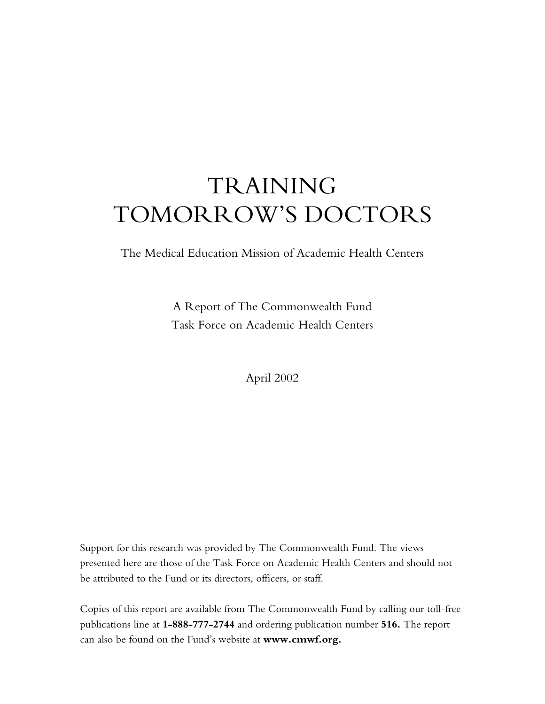# TRAINING TOMORROW'S DOCTORS

The Medical Education Mission of Academic Health Centers

A Report of The Commonwealth Fund Task Force on Academic Health Centers

April 2002

Support for this research was provided by The Commonwealth Fund. The views presented here are those of the Task Force on Academic Health Centers and should not be attributed to the Fund or its directors, officers, or staff.

Copies of this report are available from The Commonwealth Fund by calling our toll-free publications line at **1-888-777-2744** and ordering publication number **516.** The report can also be found on the Fund's website at www.cmwf.org.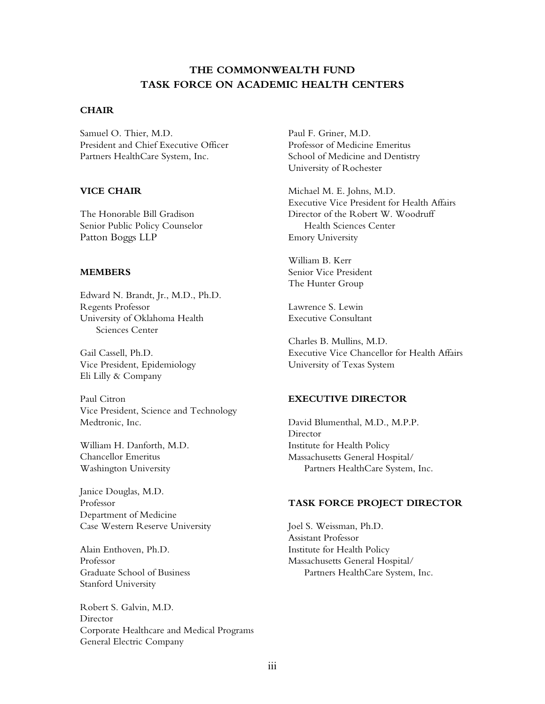# **THE COMMONWEALTH FUND TASK FORCE ON ACADEMIC HEALTH CENTERS**

#### **CHAIR**

Samuel O. Thier, M.D. President and Chief Executive Officer Partners HealthCare System, Inc.

## **VICE CHAIR**

The Honorable Bill Gradison Senior Public Policy Counselor Patton Boggs LLP

#### **MEMBERS**

Edward N. Brandt, Jr., M.D., Ph.D. Regents Professor University of Oklahoma Health Sciences Center

Gail Cassell, Ph.D. Vice President, Epidemiology Eli Lilly & Company

Paul Citron Vice President, Science and Technology Medtronic, Inc.

William H. Danforth, M.D. Chancellor Emeritus Washington University

Janice Douglas, M.D. Professor Department of Medicine Case Western Reserve University

Alain Enthoven, Ph.D. Professor Graduate School of Business Stanford University

Robert S. Galvin, M.D. Director Corporate Healthcare and Medical Programs General Electric Company

Paul F. Griner, M.D. Professor of Medicine Emeritus School of Medicine and Dentistry University of Rochester

Michael M. E. Johns, M.D. Executive Vice President for Health Affairs Director of the Robert W. Woodruff Health Sciences Center Emory University

William B. Kerr Senior Vice President The Hunter Group

Lawrence S. Lewin Executive Consultant

Charles B. Mullins, M.D. Executive Vice Chancellor for Health Affairs University of Texas System

#### **EXECUTIVE DIRECTOR**

David Blumenthal, M.D., M.P.P. Director Institute for Health Policy Massachusetts General Hospital/ Partners HealthCare System, Inc.

#### **TASK FORCE PROJECT DIRECTOR**

Joel S. Weissman, Ph.D. Assistant Professor Institute for Health Policy Massachusetts General Hospital/ Partners HealthCare System, Inc.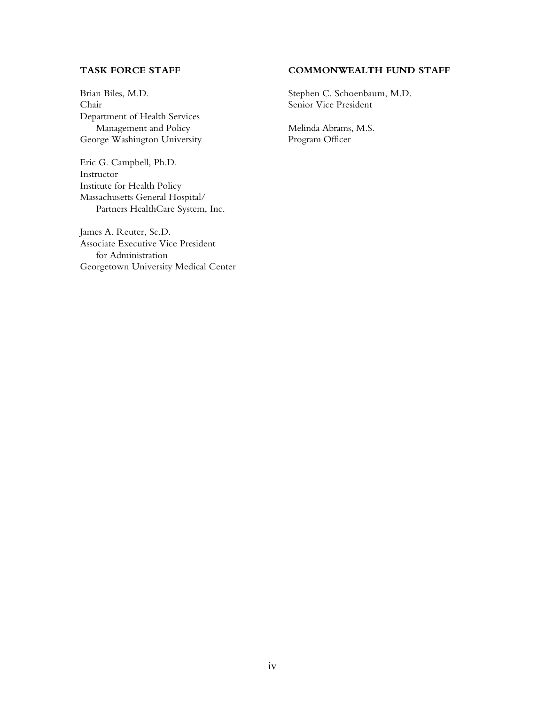## **TASK FORCE STAFF**

Brian Biles, M.D. Chair Department of Health Services Management and Policy George Washington University

Eric G. Campbell, Ph.D. Instructor Institute for Health Policy Massachusetts General Hospital/ Partners HealthCare System, Inc.

James A. Reuter, Sc.D. Associate Executive Vice President for Administration Georgetown University Medical Center

## **COMMONWEALTH FUND STAFF**

Stephen C. Schoenbaum, M.D. Senior Vice President

Melinda Abrams, M.S. Program Officer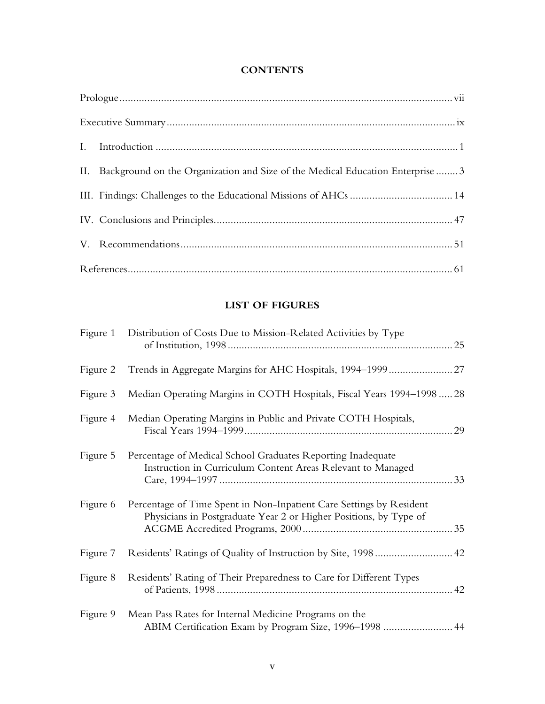# **CONTENTS**

| II. Background on the Organization and Size of the Medical Education Enterprise  3 |
|------------------------------------------------------------------------------------|
|                                                                                    |
|                                                                                    |
|                                                                                    |
|                                                                                    |

# **LIST OF FIGURES**

| Figure 1 | Distribution of Costs Due to Mission-Related Activities by Type                                                                          |  |
|----------|------------------------------------------------------------------------------------------------------------------------------------------|--|
| Figure 2 |                                                                                                                                          |  |
| Figure 3 | Median Operating Margins in COTH Hospitals, Fiscal Years 1994–1998  28                                                                   |  |
| Figure 4 | Median Operating Margins in Public and Private COTH Hospitals,                                                                           |  |
| Figure 5 | Percentage of Medical School Graduates Reporting Inadequate<br>Instruction in Curriculum Content Areas Relevant to Managed               |  |
| Figure 6 | Percentage of Time Spent in Non-Inpatient Care Settings by Resident<br>Physicians in Postgraduate Year 2 or Higher Positions, by Type of |  |
| Figure 7 |                                                                                                                                          |  |
| Figure 8 | Residents' Rating of Their Preparedness to Care for Different Types                                                                      |  |
| Figure 9 | Mean Pass Rates for Internal Medicine Programs on the<br>ABIM Certification Exam by Program Size, 1996-1998  44                          |  |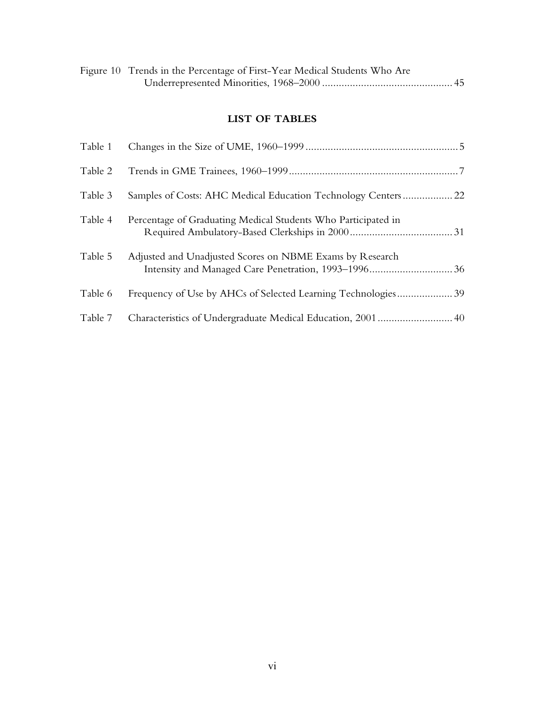| Figure 10 Trends in the Percentage of First-Year Medical Students Who Are |  |
|---------------------------------------------------------------------------|--|
|                                                                           |  |

# **LIST OF TABLES**

| Table 1 |                                                               |
|---------|---------------------------------------------------------------|
| Table 2 |                                                               |
| Table 3 |                                                               |
| Table 4 | Percentage of Graduating Medical Students Who Participated in |
| Table 5 | Adjusted and Unadjusted Scores on NBME Exams by Research      |
| Table 6 | Frequency of Use by AHCs of Selected Learning Technologies39  |
| Table 7 |                                                               |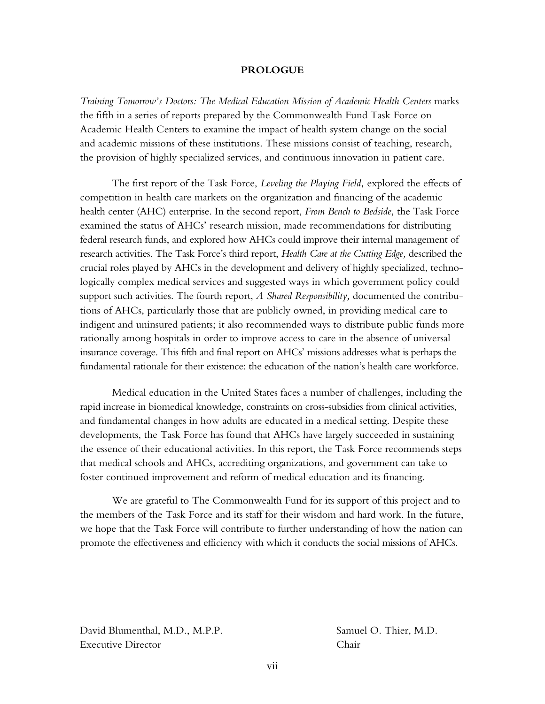#### **PROLOGUE**

*Training Tomorrowís Doctors: The Medical Education Mission of Academic Health Centers* marks the fifth in a series of reports prepared by the Commonwealth Fund Task Force on Academic Health Centers to examine the impact of health system change on the social and academic missions of these institutions. These missions consist of teaching, research, the provision of highly specialized services, and continuous innovation in patient care.

The first report of the Task Force, *Leveling the Playing Field,* explored the effects of competition in health care markets on the organization and financing of the academic health center (AHC) enterprise. In the second report, *From Bench to Bedside,* the Task Force examined the status of AHCsí research mission, made recommendations for distributing federal research funds, and explored how AHCs could improve their internal management of research activities. The Task Force's third report, *Health Care at the Cutting Edge*, described the crucial roles played by AHCs in the development and delivery of highly specialized, technologically complex medical services and suggested ways in which government policy could support such activities. The fourth report, *A Shared Responsibility,* documented the contributions of AHCs, particularly those that are publicly owned, in providing medical care to indigent and uninsured patients; it also recommended ways to distribute public funds more rationally among hospitals in order to improve access to care in the absence of universal insurance coverage. This fifth and final report on AHCs' missions addresses what is perhaps the fundamental rationale for their existence: the education of the nationís health care workforce.

Medical education in the United States faces a number of challenges, including the rapid increase in biomedical knowledge, constraints on cross-subsidies from clinical activities, and fundamental changes in how adults are educated in a medical setting. Despite these developments, the Task Force has found that AHCs have largely succeeded in sustaining the essence of their educational activities. In this report, the Task Force recommends steps that medical schools and AHCs, accrediting organizations, and government can take to foster continued improvement and reform of medical education and its financing.

We are grateful to The Commonwealth Fund for its support of this project and to the members of the Task Force and its staff for their wisdom and hard work. In the future, we hope that the Task Force will contribute to further understanding of how the nation can promote the effectiveness and efficiency with which it conducts the social missions of AHCs.

David Blumenthal, M.D., M.P.P. Samuel O. Thier, M.D. Executive Director Chair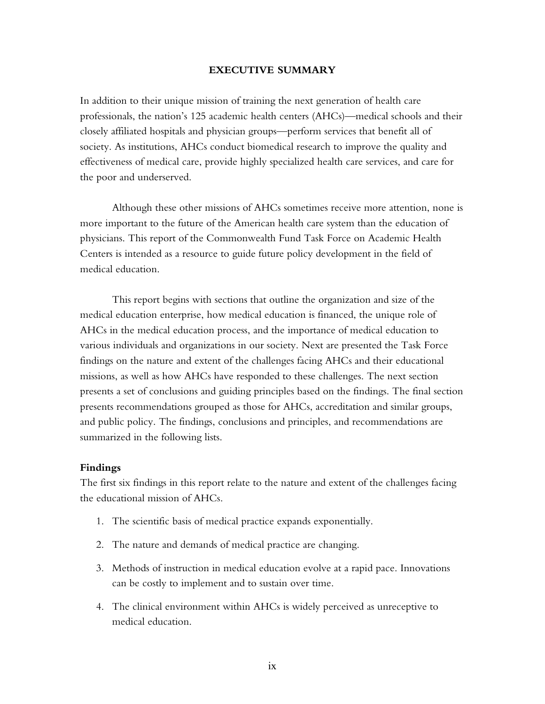#### **EXECUTIVE SUMMARY**

In addition to their unique mission of training the next generation of health care professionals, the nation's 125 academic health centers (AHCs)—medical schools and their closely affiliated hospitals and physician groups—perform services that benefit all of society. As institutions, AHCs conduct biomedical research to improve the quality and effectiveness of medical care, provide highly specialized health care services, and care for the poor and underserved.

Although these other missions of AHCs sometimes receive more attention, none is more important to the future of the American health care system than the education of physicians. This report of the Commonwealth Fund Task Force on Academic Health Centers is intended as a resource to guide future policy development in the field of medical education.

This report begins with sections that outline the organization and size of the medical education enterprise, how medical education is financed, the unique role of AHCs in the medical education process, and the importance of medical education to various individuals and organizations in our society. Next are presented the Task Force findings on the nature and extent of the challenges facing AHCs and their educational missions, as well as how AHCs have responded to these challenges. The next section presents a set of conclusions and guiding principles based on the findings. The final section presents recommendations grouped as those for AHCs, accreditation and similar groups, and public policy. The findings, conclusions and principles, and recommendations are summarized in the following lists.

#### **Findings**

The first six findings in this report relate to the nature and extent of the challenges facing the educational mission of AHCs.

- 1. The scientific basis of medical practice expands exponentially.
- 2. The nature and demands of medical practice are changing.
- 3. Methods of instruction in medical education evolve at a rapid pace. Innovations can be costly to implement and to sustain over time.
- 4. The clinical environment within AHCs is widely perceived as unreceptive to medical education.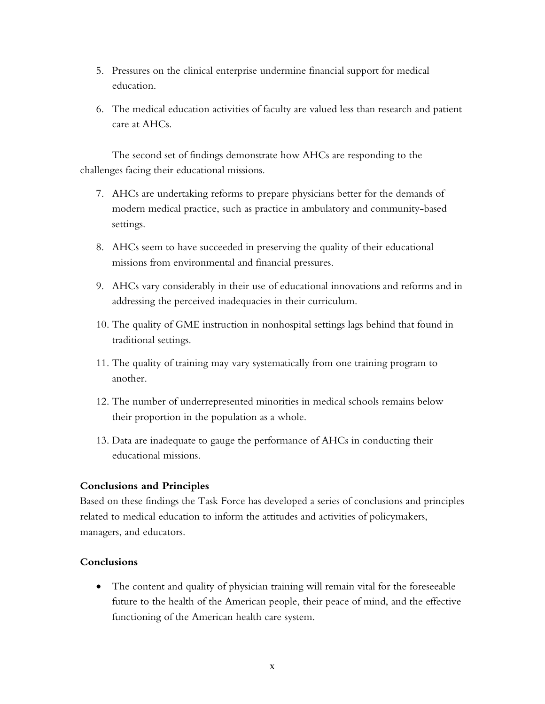- 5. Pressures on the clinical enterprise undermine financial support for medical education.
- 6. The medical education activities of faculty are valued less than research and patient care at AHCs.

The second set of findings demonstrate how AHCs are responding to the challenges facing their educational missions.

- 7. AHCs are undertaking reforms to prepare physicians better for the demands of modern medical practice, such as practice in ambulatory and community-based settings.
- 8. AHCs seem to have succeeded in preserving the quality of their educational missions from environmental and financial pressures.
- 9. AHCs vary considerably in their use of educational innovations and reforms and in addressing the perceived inadequacies in their curriculum.
- 10. The quality of GME instruction in nonhospital settings lags behind that found in traditional settings.
- 11. The quality of training may vary systematically from one training program to another.
- 12. The number of underrepresented minorities in medical schools remains below their proportion in the population as a whole.
- 13. Data are inadequate to gauge the performance of AHCs in conducting their educational missions.

# **Conclusions and Principles**

Based on these findings the Task Force has developed a series of conclusions and principles related to medical education to inform the attitudes and activities of policymakers, managers, and educators.

# **Conclusions**

• The content and quality of physician training will remain vital for the foreseeable future to the health of the American people, their peace of mind, and the effective functioning of the American health care system.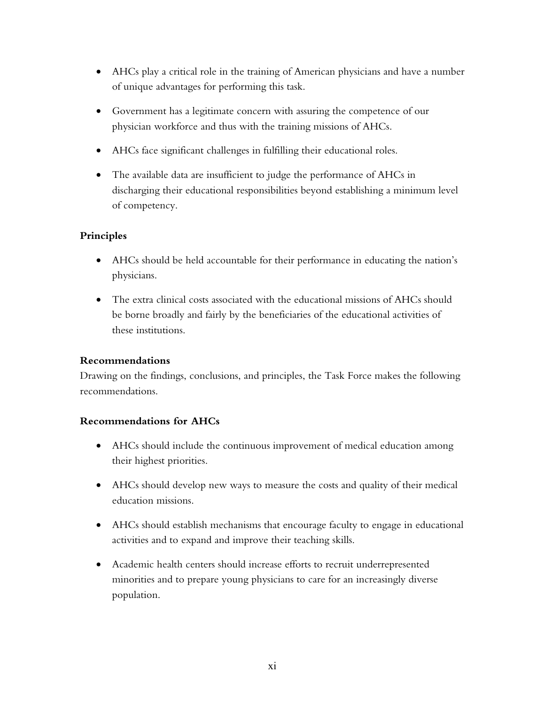- AHCs play a critical role in the training of American physicians and have a number of unique advantages for performing this task.
- Government has a legitimate concern with assuring the competence of our physician workforce and thus with the training missions of AHCs.
- AHCs face significant challenges in fulfilling their educational roles.
- The available data are insufficient to judge the performance of AHCs in discharging their educational responsibilities beyond establishing a minimum level of competency.

# **Principles**

- AHCs should be held accountable for their performance in educating the nation's physicians.
- The extra clinical costs associated with the educational missions of AHCs should be borne broadly and fairly by the beneficiaries of the educational activities of these institutions.

# **Recommendations**

Drawing on the findings, conclusions, and principles, the Task Force makes the following recommendations.

# **Recommendations for AHCs**

- AHCs should include the continuous improvement of medical education among their highest priorities.
- AHCs should develop new ways to measure the costs and quality of their medical education missions.
- AHCs should establish mechanisms that encourage faculty to engage in educational activities and to expand and improve their teaching skills.
- Academic health centers should increase efforts to recruit underrepresented minorities and to prepare young physicians to care for an increasingly diverse population.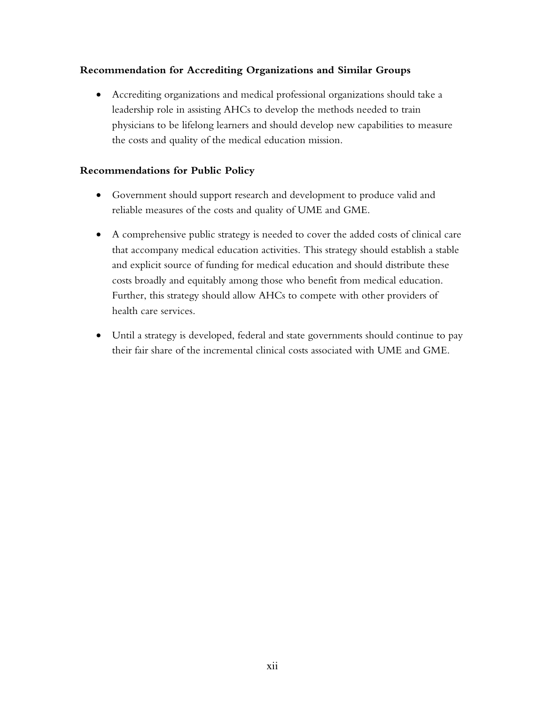# **Recommendation for Accrediting Organizations and Similar Groups**

• Accrediting organizations and medical professional organizations should take a leadership role in assisting AHCs to develop the methods needed to train physicians to be lifelong learners and should develop new capabilities to measure the costs and quality of the medical education mission.

# **Recommendations for Public Policy**

- Government should support research and development to produce valid and reliable measures of the costs and quality of UME and GME.
- A comprehensive public strategy is needed to cover the added costs of clinical care that accompany medical education activities. This strategy should establish a stable and explicit source of funding for medical education and should distribute these costs broadly and equitably among those who benefit from medical education. Further, this strategy should allow AHCs to compete with other providers of health care services.
- Until a strategy is developed, federal and state governments should continue to pay their fair share of the incremental clinical costs associated with UME and GME.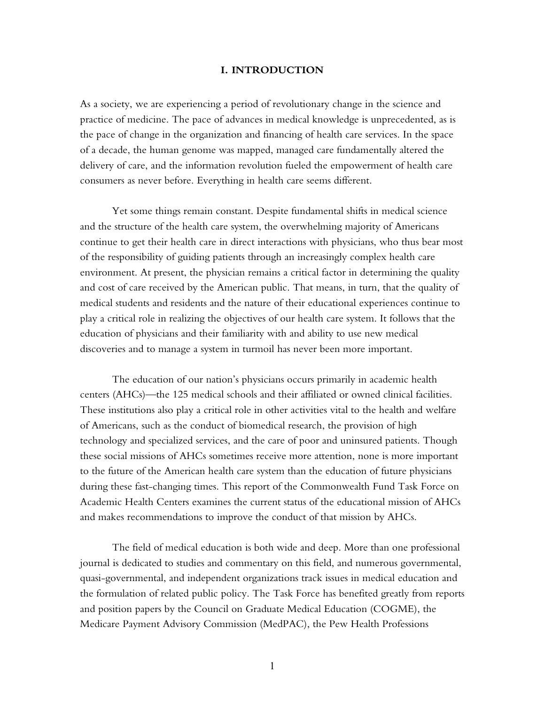#### **I. INTRODUCTION**

As a society, we are experiencing a period of revolutionary change in the science and practice of medicine. The pace of advances in medical knowledge is unprecedented, as is the pace of change in the organization and financing of health care services. In the space of a decade, the human genome was mapped, managed care fundamentally altered the delivery of care, and the information revolution fueled the empowerment of health care consumers as never before. Everything in health care seems different.

Yet some things remain constant. Despite fundamental shifts in medical science and the structure of the health care system, the overwhelming majority of Americans continue to get their health care in direct interactions with physicians, who thus bear most of the responsibility of guiding patients through an increasingly complex health care environment. At present, the physician remains a critical factor in determining the quality and cost of care received by the American public. That means, in turn, that the quality of medical students and residents and the nature of their educational experiences continue to play a critical role in realizing the objectives of our health care system. It follows that the education of physicians and their familiarity with and ability to use new medical discoveries and to manage a system in turmoil has never been more important.

The education of our nation's physicians occurs primarily in academic health centers (AHCs)—the 125 medical schools and their affiliated or owned clinical facilities. These institutions also play a critical role in other activities vital to the health and welfare of Americans, such as the conduct of biomedical research, the provision of high technology and specialized services, and the care of poor and uninsured patients. Though these social missions of AHCs sometimes receive more attention, none is more important to the future of the American health care system than the education of future physicians during these fast-changing times. This report of the Commonwealth Fund Task Force on Academic Health Centers examines the current status of the educational mission of AHCs and makes recommendations to improve the conduct of that mission by AHCs.

The field of medical education is both wide and deep. More than one professional journal is dedicated to studies and commentary on this field, and numerous governmental, quasi-governmental, and independent organizations track issues in medical education and the formulation of related public policy. The Task Force has benefited greatly from reports and position papers by the Council on Graduate Medical Education (COGME), the Medicare Payment Advisory Commission (MedPAC), the Pew Health Professions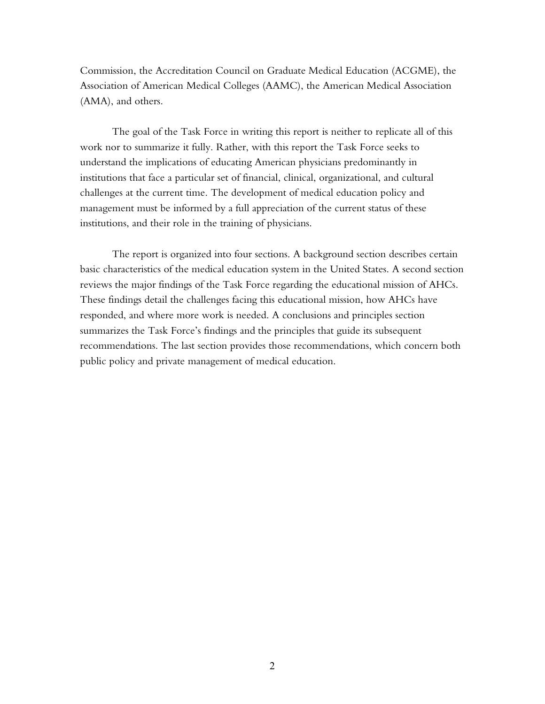Commission, the Accreditation Council on Graduate Medical Education (ACGME), the Association of American Medical Colleges (AAMC), the American Medical Association (AMA), and others.

The goal of the Task Force in writing this report is neither to replicate all of this work nor to summarize it fully. Rather, with this report the Task Force seeks to understand the implications of educating American physicians predominantly in institutions that face a particular set of financial, clinical, organizational, and cultural challenges at the current time. The development of medical education policy and management must be informed by a full appreciation of the current status of these institutions, and their role in the training of physicians.

The report is organized into four sections. A background section describes certain basic characteristics of the medical education system in the United States. A second section reviews the major findings of the Task Force regarding the educational mission of AHCs. These findings detail the challenges facing this educational mission, how AHCs have responded, and where more work is needed. A conclusions and principles section summarizes the Task Force's findings and the principles that guide its subsequent recommendations. The last section provides those recommendations, which concern both public policy and private management of medical education.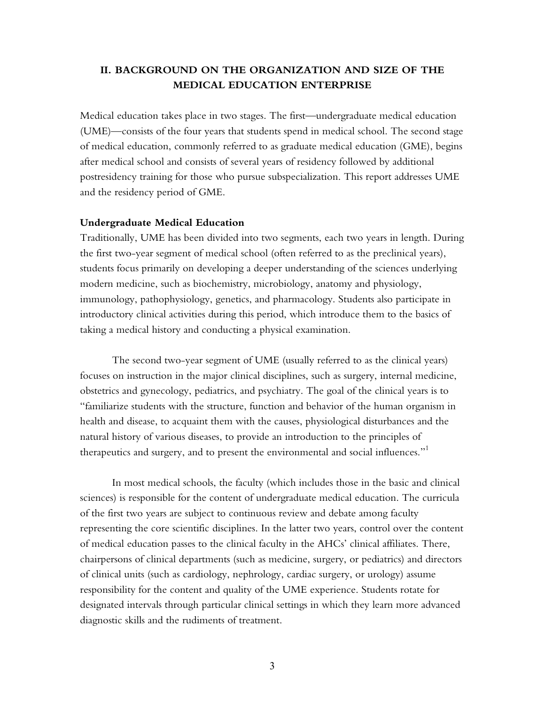# **II. BACKGROUND ON THE ORGANIZATION AND SIZE OF THE MEDICAL EDUCATION ENTERPRISE**

Medical education takes place in two stages. The first—undergraduate medical education (UME)—consists of the four years that students spend in medical school. The second stage of medical education, commonly referred to as graduate medical education (GME), begins after medical school and consists of several years of residency followed by additional postresidency training for those who pursue subspecialization. This report addresses UME and the residency period of GME.

#### **Undergraduate Medical Education**

Traditionally, UME has been divided into two segments, each two years in length. During the first two-year segment of medical school (often referred to as the preclinical years), students focus primarily on developing a deeper understanding of the sciences underlying modern medicine, such as biochemistry, microbiology, anatomy and physiology, immunology, pathophysiology, genetics, and pharmacology. Students also participate in introductory clinical activities during this period, which introduce them to the basics of taking a medical history and conducting a physical examination.

The second two-year segment of UME (usually referred to as the clinical years) focuses on instruction in the major clinical disciplines, such as surgery, internal medicine, obstetrics and gynecology, pediatrics, and psychiatry. The goal of the clinical years is to ìfamiliarize students with the structure, function and behavior of the human organism in health and disease, to acquaint them with the causes, physiological disturbances and the natural history of various diseases, to provide an introduction to the principles of therapeutics and surgery, and to present the environmental and social influences." $^1$ 

In most medical schools, the faculty (which includes those in the basic and clinical sciences) is responsible for the content of undergraduate medical education. The curricula of the first two years are subject to continuous review and debate among faculty representing the core scientific disciplines. In the latter two years, control over the content of medical education passes to the clinical faculty in the AHCs' clinical affiliates. There, chairpersons of clinical departments (such as medicine, surgery, or pediatrics) and directors of clinical units (such as cardiology, nephrology, cardiac surgery, or urology) assume responsibility for the content and quality of the UME experience. Students rotate for designated intervals through particular clinical settings in which they learn more advanced diagnostic skills and the rudiments of treatment.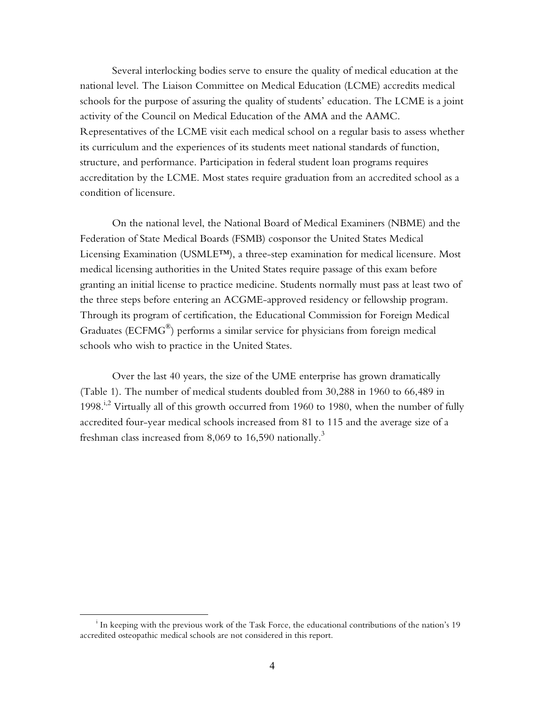Several interlocking bodies serve to ensure the quality of medical education at the national level. The Liaison Committee on Medical Education (LCME) accredits medical schools for the purpose of assuring the quality of students' education. The LCME is a joint activity of the Council on Medical Education of the AMA and the AAMC. Representatives of the LCME visit each medical school on a regular basis to assess whether its curriculum and the experiences of its students meet national standards of function, structure, and performance. Participation in federal student loan programs requires accreditation by the LCME. Most states require graduation from an accredited school as a condition of licensure.

On the national level, the National Board of Medical Examiners (NBME) and the Federation of State Medical Boards (FSMB) cosponsor the United States Medical Licensing Examination (USMLE $T_M$ ), a three-step examination for medical licensure. Most medical licensing authorities in the United States require passage of this exam before granting an initial license to practice medicine. Students normally must pass at least two of the three steps before entering an ACGME-approved residency or fellowship program. Through its program of certification, the Educational Commission for Foreign Medical Graduates ( $ECFMG^{\circledast}$ ) performs a similar service for physicians from foreign medical schools who wish to practice in the United States.

Over the last 40 years, the size of the UME enterprise has grown dramatically (Table 1). The number of medical students doubled from 30,288 in 1960 to 66,489 in 1998.<sup>i,2</sup> Virtually all of this growth occurred from 1960 to 1980, when the number of fully accredited four-year medical schools increased from 81 to 115 and the average size of a freshman class increased from 8,069 to 16,590 nationally.<sup>3</sup>

<sup>i</sup>  $\frac{1}{1}$  In keeping with the previous work of the Task Force, the educational contributions of the nation's 19 accredited osteopathic medical schools are not considered in this report.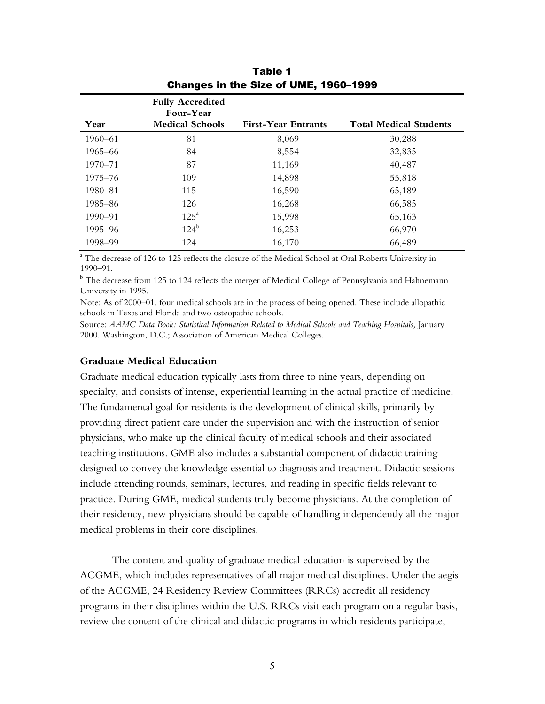| Year        | <b>Fully Accredited</b><br>Four-Year<br><b>Medical Schools</b> | <b>First-Year Entrants</b> | <b>Total Medical Students</b> |
|-------------|----------------------------------------------------------------|----------------------------|-------------------------------|
| $1960 - 61$ | 81                                                             |                            |                               |
|             |                                                                | 8,069                      | 30,288                        |
| 1965–66     | 84                                                             | 8,554                      | 32,835                        |
| $1970 - 71$ | 87                                                             | 11,169                     | 40,487                        |
| $1975 - 76$ | 109                                                            | 14,898                     | 55,818                        |
| 1980–81     | 115                                                            | 16,590                     | 65,189                        |
| 1985-86     | 126                                                            | 16,268                     | 66,585                        |
| $1990 - 91$ | $125^{\rm a}$                                                  | 15,998                     | 65,163                        |
| 1995–96     | $124^b$                                                        | 16,253                     | 66,970                        |
| 1998-99     | 124                                                            | 16,170                     | 66,489                        |

Table 1 Changes in the Size of UME, 1960-1999

<sup>a</sup> The decrease of 126 to 125 reflects the closure of the Medical School at Oral Roberts University in  $1990 - 91.$ 

 $^{\rm b}$  The decrease from 125 to 124 reflects the merger of Medical College of Pennsylvania and Hahnemann University in 1995.

Note: As of 2000–01, four medical schools are in the process of being opened. These include allopathic schools in Texas and Florida and two osteopathic schools.

Source: *AAMC Data Book: Statistical Information Related to Medical Schools and Teaching Hospitals,* January 2000. Washington, D.C.; Association of American Medical Colleges.

#### **Graduate Medical Education**

Graduate medical education typically lasts from three to nine years, depending on specialty, and consists of intense, experiential learning in the actual practice of medicine. The fundamental goal for residents is the development of clinical skills, primarily by providing direct patient care under the supervision and with the instruction of senior physicians, who make up the clinical faculty of medical schools and their associated teaching institutions. GME also includes a substantial component of didactic training designed to convey the knowledge essential to diagnosis and treatment. Didactic sessions include attending rounds, seminars, lectures, and reading in specific fields relevant to practice. During GME, medical students truly become physicians. At the completion of their residency, new physicians should be capable of handling independently all the major medical problems in their core disciplines.

The content and quality of graduate medical education is supervised by the ACGME, which includes representatives of all major medical disciplines. Under the aegis of the ACGME, 24 Residency Review Committees (RRCs) accredit all residency programs in their disciplines within the U.S. RRCs visit each program on a regular basis, review the content of the clinical and didactic programs in which residents participate,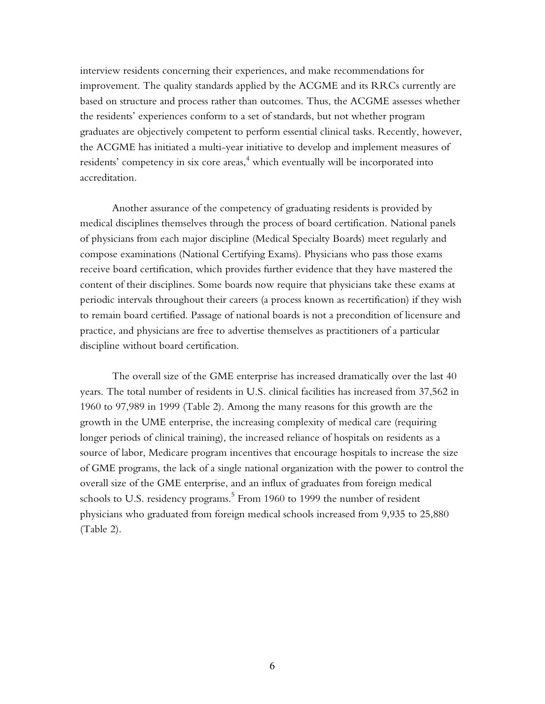interview residents concerning their experiences, and make recommendations for improvement. The quality standards applied by the ACGME and its RRCs currently are based on structure and process rather than outcomes. Thus, the ACGME assesses whether the residents' experiences conform to a set of standards, but not whether program graduates are objectively competent to perform essential clinical tasks. Recently, however, the ACGME has initiated a multi-year initiative to develop and implement measures of residents' competency in six core areas, $^{\rm 4}$  which eventually will be incorporated into accreditation.

Another assurance of the competency of graduating residents is provided by medical disciplines themselves through the process of board certification. National panels of physicians from each major discipline (Medical Specialty Boards) meet regularly and compose examinations (National Certifying Exams). Physicians who pass those exams receive board certification, which provides further evidence that they have mastered the content of their disciplines. Some boards now require that physicians take these exams at periodic intervals throughout their careers (a process known as recertification) if they wish to remain board certified. Passage of national boards is not a precondition of licensure and practice, and physicians are free to advertise themselves as practitioners of a particular discipline without board certification.

The overall size of the GME enterprise has increased dramatically over the last 40 years. The total number of residents in U.S. clinical facilities has increased from 37,562 in 1960 to 97,989 in 1999 (Table 2). Among the many reasons for this growth are the growth in the UME enterprise, the increasing complexity of medical care (requiring longer periods of clinical training), the increased reliance of hospitals on residents as a source of labor, Medicare program incentives that encourage hospitals to increase the size of GME programs, the lack of a single national organization with the power to control the overall size of the GME enterprise, and an influx of graduates from foreign medical schools to U.S. residency programs. $^5$  From 1960 to 1999 the number of resident physicians who graduated from foreign medical schools increased from 9,935 to 25,880 (Table 2).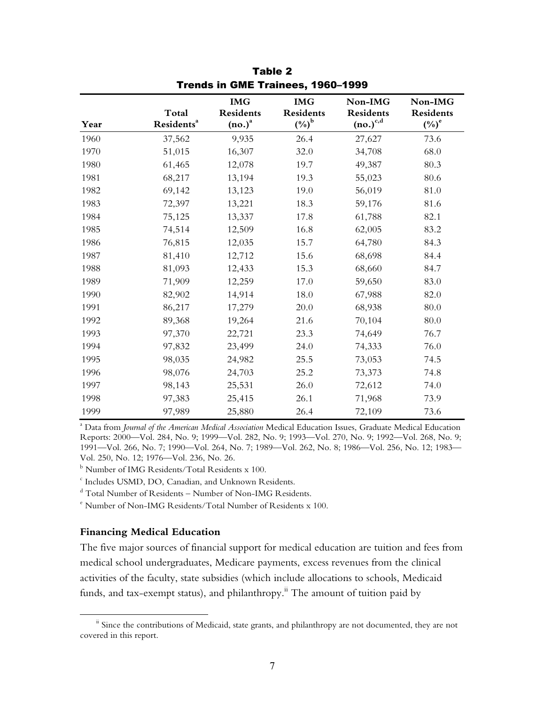|      |                        | <b>IMG</b>       | <b>IMG</b>          | Non-IMG          | Non-IMG             |
|------|------------------------|------------------|---------------------|------------------|---------------------|
|      | Total                  | <b>Residents</b> | <b>Residents</b>    | <b>Residents</b> | <b>Residents</b>    |
| Year | Residents <sup>a</sup> | $(no.)^a$        | $(\%)^{\mathrm{b}}$ | $(no.)^{c,d}$    | $(\%)^{\mathrm{e}}$ |
| 1960 | 37,562                 | 9,935            | 26.4                | 27,627           | 73.6                |
| 1970 | 51,015                 | 16,307           | 32.0                | 34,708           | 68.0                |
| 1980 | 61,465                 | 12,078           | 19.7                | 49,387           | 80.3                |
| 1981 | 68,217                 | 13,194           | 19.3                | 55,023           | 80.6                |
| 1982 | 69,142                 | 13,123           | 19.0                | 56,019           | 81.0                |
| 1983 | 72,397                 | 13,221           | 18.3                | 59,176           | 81.6                |
| 1984 | 75,125                 | 13,337           | 17.8                | 61,788           | 82.1                |
| 1985 | 74,514                 | 12,509           | 16.8                | 62,005           | 83.2                |
| 1986 | 76,815                 | 12,035           | 15.7                | 64,780           | 84.3                |
| 1987 | 81,410                 | 12,712           | 15.6                | 68,698           | 84.4                |
| 1988 | 81,093                 | 12,433           | 15.3                | 68,660           | 84.7                |
| 1989 | 71,909                 | 12,259           | 17.0                | 59,650           | 83.0                |
| 1990 | 82,902                 | 14,914           | 18.0                | 67,988           | 82.0                |
| 1991 | 86,217                 | 17,279           | 20.0                | 68,938           | 80.0                |
| 1992 | 89,368                 | 19,264           | 21.6                | 70,104           | 80.0                |
| 1993 | 97,370                 | 22,721           | 23.3                | 74,649           | 76.7                |
| 1994 | 97,832                 | 23,499           | 24.0                | 74,333           | 76.0                |
| 1995 | 98,035                 | 24,982           | 25.5                | 73,053           | 74.5                |
| 1996 | 98,076                 | 24,703           | 25.2                | 73,373           | 74.8                |
| 1997 | 98,143                 | 25,531           | 26.0                | 72,612           | 74.0                |
| 1998 | 97,383                 | 25,415           | 26.1                | 71,968           | 73.9                |
| 1999 | 97,989                 | 25,880           | 26.4                | 72,109           | 73.6                |

Table 2 Trends in GME Trainees, 1960-1999

a Data from *Journal of the American Medical Association* Medical Education Issues, Graduate Medical Education Reports: 2000—Vol. 284, No. 9; 1999—Vol. 282, No. 9; 1993—Vol. 270, No. 9; 1992—Vol. 268, No. 9; 1991—Vol. 266, No. 7; 1990—Vol. 264, No. 7; 1989—Vol. 262, No. 8; 1986—Vol. 256, No. 12; 1983— Vol. 250, No. 12; 1976-Vol. 236, No. 26.

 $^{\rm b}$  Number of IMG Residents/Total Residents x 100.

c Includes USMD, DO, Canadian, and Unknown Residents.

 $^{\text{d}}$  Total Number of Residents – Number of Non-IMG Residents.

e Number of Non-IMG Residents/Total Number of Residents x 100.

## **Financing Medical Education**

The five major sources of financial support for medical education are tuition and fees from medical school undergraduates, Medicare payments, excess revenues from the clinical activities of the faculty, state subsidies (which include allocations to schools, Medicaid funds, and tax-exempt status), and philanthropy.<sup>ii</sup> The amount of tuition paid by

<sup>&</sup>lt;sup>ii</sup> Since the contributions of Medicaid, state grants, and philanthropy are not documented, they are not covered in this report.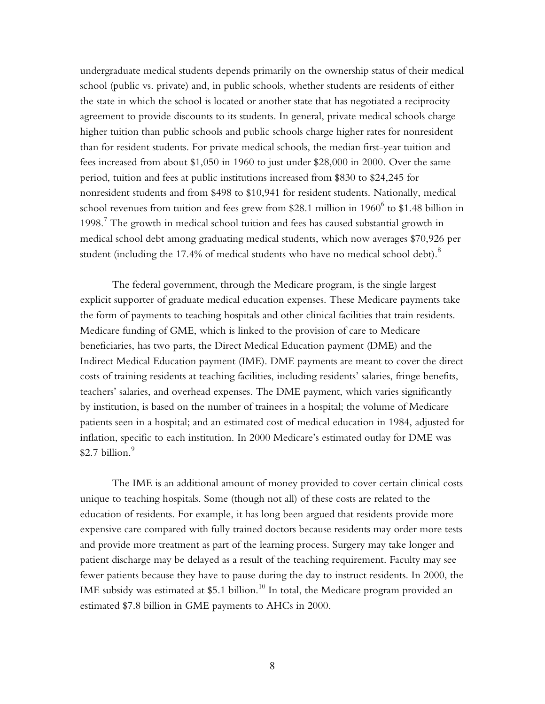undergraduate medical students depends primarily on the ownership status of their medical school (public vs. private) and, in public schools, whether students are residents of either the state in which the school is located or another state that has negotiated a reciprocity agreement to provide discounts to its students. In general, private medical schools charge higher tuition than public schools and public schools charge higher rates for nonresident than for resident students. For private medical schools, the median first-year tuition and fees increased from about \$1,050 in 1960 to just under \$28,000 in 2000. Over the same period, tuition and fees at public institutions increased from \$830 to \$24,245 for nonresident students and from \$498 to \$10,941 for resident students. Nationally, medical school revenues from tuition and fees grew from \$28.1 million in 1960 $^6$  to \$1.48 billion in  $1998<sup>7</sup>$  The growth in medical school tuition and fees has caused substantial growth in medical school debt among graduating medical students, which now averages \$70,926 per student (including the 17.4% of medical students who have no medical school debt). $^8$ 

The federal government, through the Medicare program, is the single largest explicit supporter of graduate medical education expenses. These Medicare payments take the form of payments to teaching hospitals and other clinical facilities that train residents. Medicare funding of GME, which is linked to the provision of care to Medicare beneficiaries, has two parts, the Direct Medical Education payment (DME) and the Indirect Medical Education payment (IME). DME payments are meant to cover the direct costs of training residents at teaching facilities, including residents' salaries, fringe benefits, teachersí salaries, and overhead expenses. The DME payment, which varies significantly by institution, is based on the number of trainees in a hospital; the volume of Medicare patients seen in a hospital; and an estimated cost of medical education in 1984, adjusted for inflation, specific to each institution. In 2000 Medicare's estimated outlay for DME was  $$2.7$  billion.<sup>9</sup>

The IME is an additional amount of money provided to cover certain clinical costs unique to teaching hospitals. Some (though not all) of these costs are related to the education of residents. For example, it has long been argued that residents provide more expensive care compared with fully trained doctors because residents may order more tests and provide more treatment as part of the learning process. Surgery may take longer and patient discharge may be delayed as a result of the teaching requirement. Faculty may see fewer patients because they have to pause during the day to instruct residents. In 2000, the IME subsidy was estimated at  $$5.1$  billion.<sup>10</sup> In total, the Medicare program provided an estimated \$7.8 billion in GME payments to AHCs in 2000.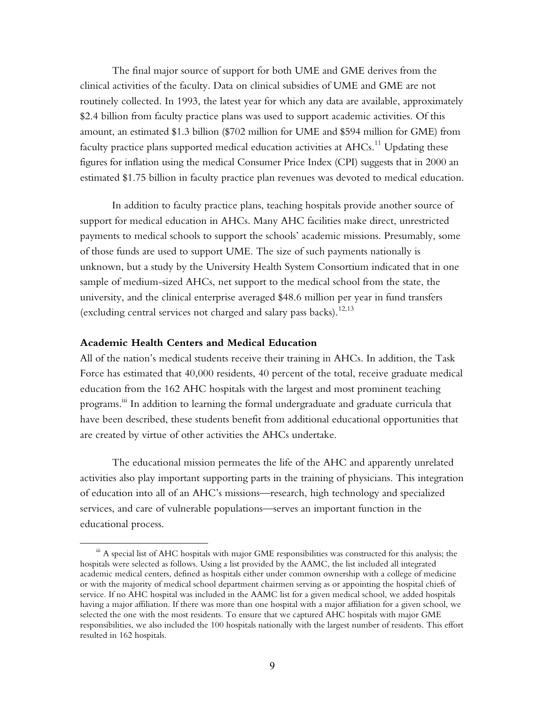The final major source of support for both UME and GME derives from the clinical activities of the faculty. Data on clinical subsidies of UME and GME are not routinely collected. In 1993, the latest year for which any data are available, approximately \$2.4 billion from faculty practice plans was used to support academic activities. Of this amount, an estimated \$1.3 billion (\$702 million for UME and \$594 million for GME) from faculty practice plans supported medical education activities at  $AHCs$ .<sup>11</sup> Updating these figures for inflation using the medical Consumer Price Index (CPI) suggests that in 2000 an estimated \$1.75 billion in faculty practice plan revenues was devoted to medical education.

In addition to faculty practice plans, teaching hospitals provide another source of support for medical education in AHCs. Many AHC facilities make direct, unrestricted payments to medical schools to support the schools' academic missions. Presumably, some of those funds are used to support UME. The size of such payments nationally is unknown, but a study by the University Health System Consortium indicated that in one sample of medium-sized AHCs, net support to the medical school from the state, the university, and the clinical enterprise averaged \$48.6 million per year in fund transfers (excluding central services not charged and salary pass backs).<sup>12,13</sup>

## **Academic Health Centers and Medical Education**

All of the nationís medical students receive their training in AHCs. In addition, the Task Force has estimated that 40,000 residents, 40 percent of the total, receive graduate medical education from the 162 AHC hospitals with the largest and most prominent teaching programs.<sup>iii</sup> In addition to learning the formal undergraduate and graduate curricula that have been described, these students benefit from additional educational opportunities that are created by virtue of other activities the AHCs undertake.

The educational mission permeates the life of the AHC and apparently unrelated activities also play important supporting parts in the training of physicians. This integration of education into all of an AHC's missions—research, high technology and specialized services, and care of vulnerable populations—serves an important function in the educational process.

iii A special list of AHC hospitals with major GME responsibilities was constructed for this analysis; the hospitals were selected as follows. Using a list provided by the AAMC, the list included all integrated academic medical centers, defined as hospitals either under common ownership with a college of medicine or with the majority of medical school department chairmen serving as or appointing the hospital chiefs of service. If no AHC hospital was included in the AAMC list for a given medical school, we added hospitals having a major affiliation. If there was more than one hospital with a major affiliation for a given school, we selected the one with the most residents. To ensure that we captured AHC hospitals with major GME responsibilities, we also included the 100 hospitals nationally with the largest number of residents. This effort resulted in 162 hospitals.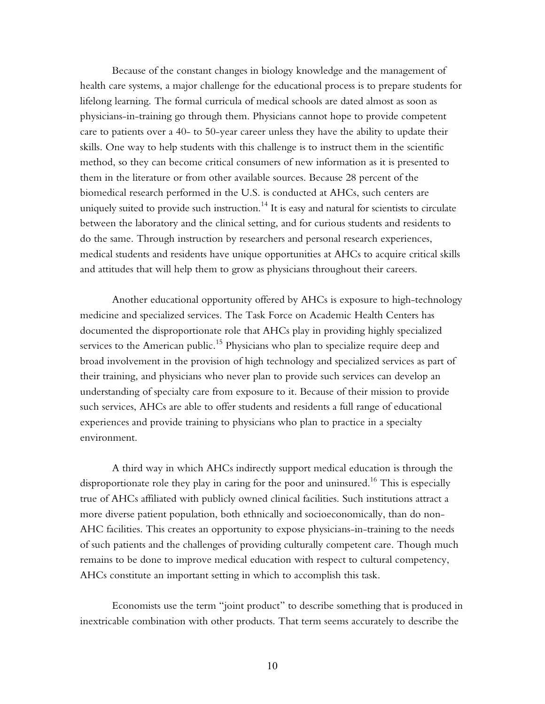Because of the constant changes in biology knowledge and the management of health care systems, a major challenge for the educational process is to prepare students for lifelong learning. The formal curricula of medical schools are dated almost as soon as physicians-in-training go through them. Physicians cannot hope to provide competent care to patients over a 40- to 50-year career unless they have the ability to update their skills. One way to help students with this challenge is to instruct them in the scientific method, so they can become critical consumers of new information as it is presented to them in the literature or from other available sources. Because 28 percent of the biomedical research performed in the U.S. is conducted at AHCs, such centers are uniquely suited to provide such instruction.<sup>14</sup> It is easy and natural for scientists to circulate between the laboratory and the clinical setting, and for curious students and residents to do the same. Through instruction by researchers and personal research experiences, medical students and residents have unique opportunities at AHCs to acquire critical skills and attitudes that will help them to grow as physicians throughout their careers.

Another educational opportunity offered by AHCs is exposure to high-technology medicine and specialized services. The Task Force on Academic Health Centers has documented the disproportionate role that AHCs play in providing highly specialized services to the American public.<sup>15</sup> Physicians who plan to specialize require deep and broad involvement in the provision of high technology and specialized services as part of their training, and physicians who never plan to provide such services can develop an understanding of specialty care from exposure to it. Because of their mission to provide such services, AHCs are able to offer students and residents a full range of educational experiences and provide training to physicians who plan to practice in a specialty environment.

A third way in which AHCs indirectly support medical education is through the disproportionate role they play in caring for the poor and uninsured.<sup>16</sup> This is especially true of AHCs affiliated with publicly owned clinical facilities. Such institutions attract a more diverse patient population, both ethnically and socioeconomically, than do non-AHC facilities. This creates an opportunity to expose physicians-in-training to the needs of such patients and the challenges of providing culturally competent care. Though much remains to be done to improve medical education with respect to cultural competency, AHCs constitute an important setting in which to accomplish this task.

Economists use the term "joint product" to describe something that is produced in inextricable combination with other products. That term seems accurately to describe the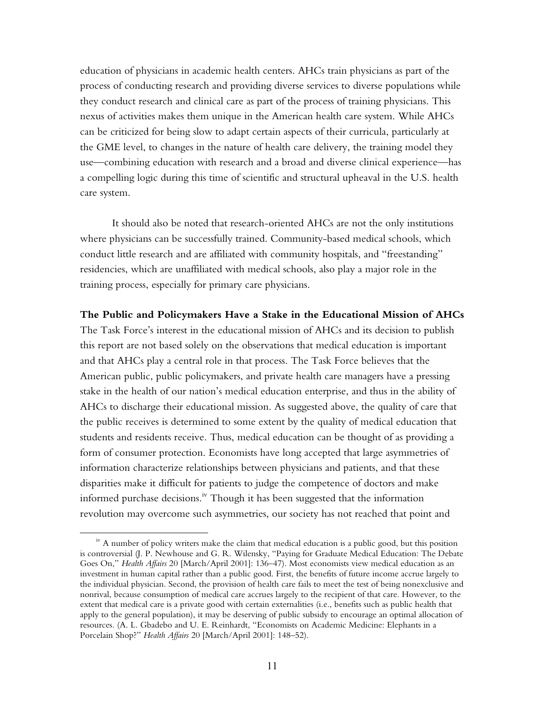education of physicians in academic health centers. AHCs train physicians as part of the process of conducting research and providing diverse services to diverse populations while they conduct research and clinical care as part of the process of training physicians. This nexus of activities makes them unique in the American health care system. While AHCs can be criticized for being slow to adapt certain aspects of their curricula, particularly at the GME level, to changes in the nature of health care delivery, the training model they use—combining education with research and a broad and diverse clinical experience—has a compelling logic during this time of scientific and structural upheaval in the U.S. health care system.

It should also be noted that research-oriented AHCs are not the only institutions where physicians can be successfully trained. Community-based medical schools, which conduct little research and are affiliated with community hospitals, and "freestanding" residencies, which are unaffiliated with medical schools, also play a major role in the training process, especially for primary care physicians.

**The Public and Policymakers Have a Stake in the Educational Mission of AHCs** 

The Task Force's interest in the educational mission of AHCs and its decision to publish this report are not based solely on the observations that medical education is important and that AHCs play a central role in that process. The Task Force believes that the American public, public policymakers, and private health care managers have a pressing stake in the health of our nationís medical education enterprise, and thus in the ability of AHCs to discharge their educational mission. As suggested above, the quality of care that the public receives is determined to some extent by the quality of medical education that students and residents receive. Thus, medical education can be thought of as providing a form of consumer protection. Economists have long accepted that large asymmetries of information characterize relationships between physicians and patients, and that these disparities make it difficult for patients to judge the competence of doctors and make informed purchase decisions.<sup>iv</sup> Though it has been suggested that the information revolution may overcome such asymmetries, our society has not reached that point and

<sup>&</sup>lt;sup>iv</sup> A number of policy writers make the claim that medical education is a public good, but this position is controversial (J. P. Newhouse and G. R. Wilensky, "Paying for Graduate Medical Education: The Debate Goes On," *Health Affairs* 20 [March/April 2001]: 136-47). Most economists view medical education as an investment in human capital rather than a public good. First, the benefits of future income accrue largely to the individual physician. Second, the provision of health care fails to meet the test of being nonexclusive and nonrival, because consumption of medical care accrues largely to the recipient of that care. However, to the extent that medical care is a private good with certain externalities (i.e., benefits such as public health that apply to the general population), it may be deserving of public subsidy to encourage an optimal allocation of resources. (A. L. Gbadebo and U. E. Reinhardt, "Economists on Academic Medicine: Elephants in a Porcelain Shop?" *Health Affairs* 20 [March/April 2001]: 148-52).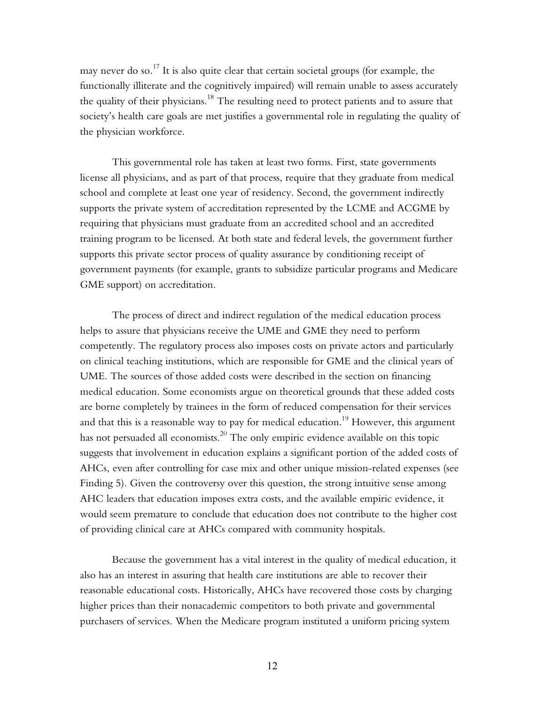may never do so.<sup>17</sup> It is also quite clear that certain societal groups (for example, the functionally illiterate and the cognitively impaired) will remain unable to assess accurately the quality of their physicians.<sup>18</sup> The resulting need to protect patients and to assure that societyís health care goals are met justifies a governmental role in regulating the quality of the physician workforce.

This governmental role has taken at least two forms. First, state governments license all physicians, and as part of that process, require that they graduate from medical school and complete at least one year of residency. Second, the government indirectly supports the private system of accreditation represented by the LCME and ACGME by requiring that physicians must graduate from an accredited school and an accredited training program to be licensed. At both state and federal levels, the government further supports this private sector process of quality assurance by conditioning receipt of government payments (for example, grants to subsidize particular programs and Medicare GME support) on accreditation.

The process of direct and indirect regulation of the medical education process helps to assure that physicians receive the UME and GME they need to perform competently. The regulatory process also imposes costs on private actors and particularly on clinical teaching institutions, which are responsible for GME and the clinical years of UME. The sources of those added costs were described in the section on financing medical education. Some economists argue on theoretical grounds that these added costs are borne completely by trainees in the form of reduced compensation for their services and that this is a reasonable way to pay for medical education.<sup>19</sup> However, this argument has not persuaded all economists.<sup>20</sup> The only empiric evidence available on this topic suggests that involvement in education explains a significant portion of the added costs of AHCs, even after controlling for case mix and other unique mission-related expenses (see Finding 5). Given the controversy over this question, the strong intuitive sense among AHC leaders that education imposes extra costs, and the available empiric evidence, it would seem premature to conclude that education does not contribute to the higher cost of providing clinical care at AHCs compared with community hospitals.

Because the government has a vital interest in the quality of medical education, it also has an interest in assuring that health care institutions are able to recover their reasonable educational costs. Historically, AHCs have recovered those costs by charging higher prices than their nonacademic competitors to both private and governmental purchasers of services. When the Medicare program instituted a uniform pricing system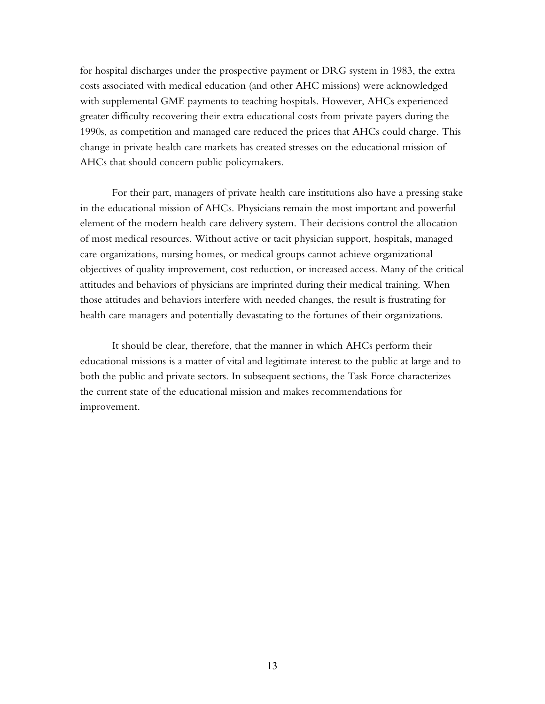for hospital discharges under the prospective payment or DRG system in 1983, the extra costs associated with medical education (and other AHC missions) were acknowledged with supplemental GME payments to teaching hospitals. However, AHCs experienced greater difficulty recovering their extra educational costs from private payers during the 1990s, as competition and managed care reduced the prices that AHCs could charge. This change in private health care markets has created stresses on the educational mission of AHCs that should concern public policymakers.

For their part, managers of private health care institutions also have a pressing stake in the educational mission of AHCs. Physicians remain the most important and powerful element of the modern health care delivery system. Their decisions control the allocation of most medical resources. Without active or tacit physician support, hospitals, managed care organizations, nursing homes, or medical groups cannot achieve organizational objectives of quality improvement, cost reduction, or increased access. Many of the critical attitudes and behaviors of physicians are imprinted during their medical training. When those attitudes and behaviors interfere with needed changes, the result is frustrating for health care managers and potentially devastating to the fortunes of their organizations.

It should be clear, therefore, that the manner in which AHCs perform their educational missions is a matter of vital and legitimate interest to the public at large and to both the public and private sectors. In subsequent sections, the Task Force characterizes the current state of the educational mission and makes recommendations for improvement.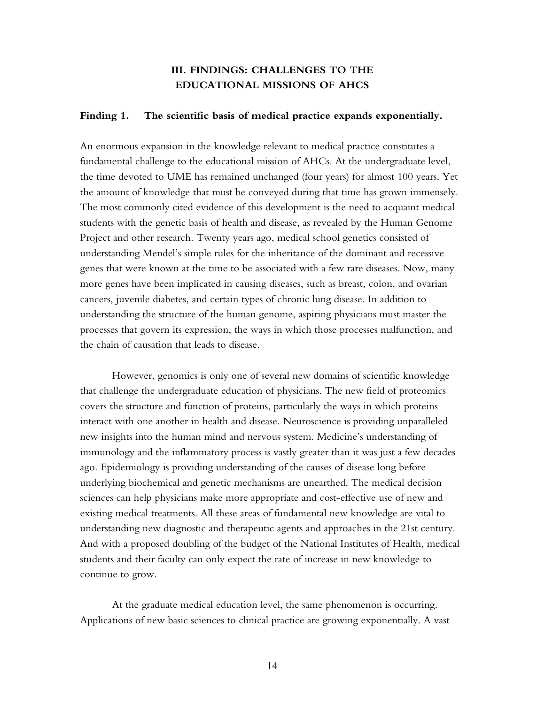# **III. FINDINGS: CHALLENGES TO THE EDUCATIONAL MISSIONS OF AHCS**

#### **Finding 1. The scientific basis of medical practice expands exponentially.**

An enormous expansion in the knowledge relevant to medical practice constitutes a fundamental challenge to the educational mission of AHCs. At the undergraduate level, the time devoted to UME has remained unchanged (four years) for almost 100 years. Yet the amount of knowledge that must be conveyed during that time has grown immensely. The most commonly cited evidence of this development is the need to acquaint medical students with the genetic basis of health and disease, as revealed by the Human Genome Project and other research. Twenty years ago, medical school genetics consisted of understanding Mendelís simple rules for the inheritance of the dominant and recessive genes that were known at the time to be associated with a few rare diseases. Now, many more genes have been implicated in causing diseases, such as breast, colon, and ovarian cancers, juvenile diabetes, and certain types of chronic lung disease. In addition to understanding the structure of the human genome, aspiring physicians must master the processes that govern its expression, the ways in which those processes malfunction, and the chain of causation that leads to disease.

However, genomics is only one of several new domains of scientific knowledge that challenge the undergraduate education of physicians. The new field of proteomics covers the structure and function of proteins, particularly the ways in which proteins interact with one another in health and disease. Neuroscience is providing unparalleled new insights into the human mind and nervous system. Medicine's understanding of immunology and the inflammatory process is vastly greater than it was just a few decades ago. Epidemiology is providing understanding of the causes of disease long before underlying biochemical and genetic mechanisms are unearthed. The medical decision sciences can help physicians make more appropriate and cost-effective use of new and existing medical treatments. All these areas of fundamental new knowledge are vital to understanding new diagnostic and therapeutic agents and approaches in the 21st century. And with a proposed doubling of the budget of the National Institutes of Health, medical students and their faculty can only expect the rate of increase in new knowledge to continue to grow.

At the graduate medical education level, the same phenomenon is occurring. Applications of new basic sciences to clinical practice are growing exponentially. A vast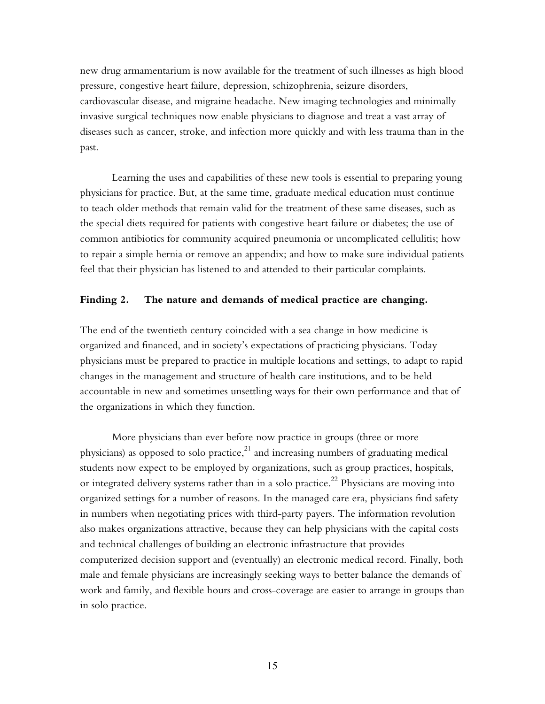new drug armamentarium is now available for the treatment of such illnesses as high blood pressure, congestive heart failure, depression, schizophrenia, seizure disorders, cardiovascular disease, and migraine headache. New imaging technologies and minimally invasive surgical techniques now enable physicians to diagnose and treat a vast array of diseases such as cancer, stroke, and infection more quickly and with less trauma than in the past.

Learning the uses and capabilities of these new tools is essential to preparing young physicians for practice. But, at the same time, graduate medical education must continue to teach older methods that remain valid for the treatment of these same diseases, such as the special diets required for patients with congestive heart failure or diabetes; the use of common antibiotics for community acquired pneumonia or uncomplicated cellulitis; how to repair a simple hernia or remove an appendix; and how to make sure individual patients feel that their physician has listened to and attended to their particular complaints.

## **Finding 2. The nature and demands of medical practice are changing.**

The end of the twentieth century coincided with a sea change in how medicine is organized and financed, and in societyís expectations of practicing physicians. Today physicians must be prepared to practice in multiple locations and settings, to adapt to rapid changes in the management and structure of health care institutions, and to be held accountable in new and sometimes unsettling ways for their own performance and that of the organizations in which they function.

More physicians than ever before now practice in groups (three or more physicians) as opposed to solo practice, $21$  and increasing numbers of graduating medical students now expect to be employed by organizations, such as group practices, hospitals, or integrated delivery systems rather than in a solo practice.<sup>22</sup> Physicians are moving into organized settings for a number of reasons. In the managed care era, physicians find safety in numbers when negotiating prices with third-party payers. The information revolution also makes organizations attractive, because they can help physicians with the capital costs and technical challenges of building an electronic infrastructure that provides computerized decision support and (eventually) an electronic medical record. Finally, both male and female physicians are increasingly seeking ways to better balance the demands of work and family, and flexible hours and cross-coverage are easier to arrange in groups than in solo practice.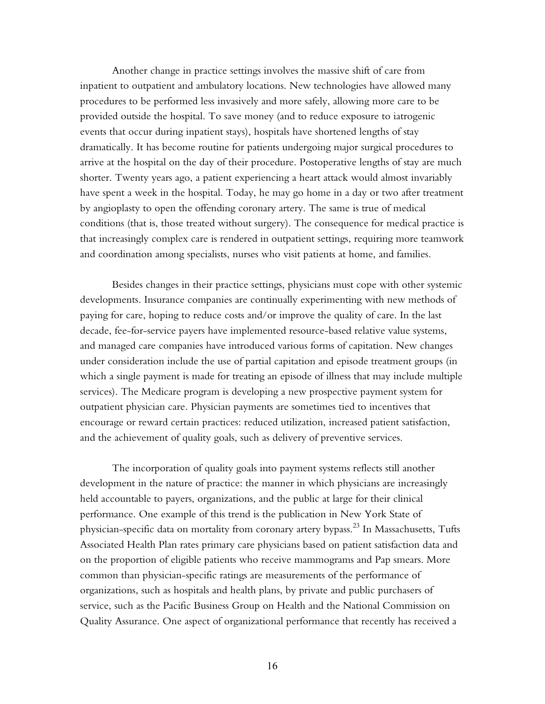Another change in practice settings involves the massive shift of care from inpatient to outpatient and ambulatory locations. New technologies have allowed many procedures to be performed less invasively and more safely, allowing more care to be provided outside the hospital. To save money (and to reduce exposure to iatrogenic events that occur during inpatient stays), hospitals have shortened lengths of stay dramatically. It has become routine for patients undergoing major surgical procedures to arrive at the hospital on the day of their procedure. Postoperative lengths of stay are much shorter. Twenty years ago, a patient experiencing a heart attack would almost invariably have spent a week in the hospital. Today, he may go home in a day or two after treatment by angioplasty to open the offending coronary artery. The same is true of medical conditions (that is, those treated without surgery). The consequence for medical practice is that increasingly complex care is rendered in outpatient settings, requiring more teamwork and coordination among specialists, nurses who visit patients at home, and families.

Besides changes in their practice settings, physicians must cope with other systemic developments. Insurance companies are continually experimenting with new methods of paying for care, hoping to reduce costs and/or improve the quality of care. In the last decade, fee-for-service payers have implemented resource-based relative value systems, and managed care companies have introduced various forms of capitation. New changes under consideration include the use of partial capitation and episode treatment groups (in which a single payment is made for treating an episode of illness that may include multiple services). The Medicare program is developing a new prospective payment system for outpatient physician care. Physician payments are sometimes tied to incentives that encourage or reward certain practices: reduced utilization, increased patient satisfaction, and the achievement of quality goals, such as delivery of preventive services.

The incorporation of quality goals into payment systems reflects still another development in the nature of practice: the manner in which physicians are increasingly held accountable to payers, organizations, and the public at large for their clinical performance. One example of this trend is the publication in New York State of physician-specific data on mortality from coronary artery bypass.<sup>23</sup> In Massachusetts, Tufts Associated Health Plan rates primary care physicians based on patient satisfaction data and on the proportion of eligible patients who receive mammograms and Pap smears. More common than physician-specific ratings are measurements of the performance of organizations, such as hospitals and health plans, by private and public purchasers of service, such as the Pacific Business Group on Health and the National Commission on Quality Assurance. One aspect of organizational performance that recently has received a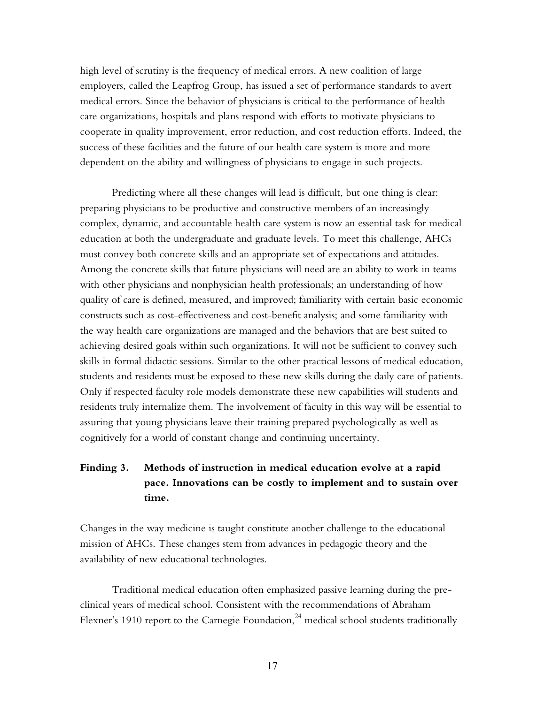high level of scrutiny is the frequency of medical errors. A new coalition of large employers, called the Leapfrog Group, has issued a set of performance standards to avert medical errors. Since the behavior of physicians is critical to the performance of health care organizations, hospitals and plans respond with efforts to motivate physicians to cooperate in quality improvement, error reduction, and cost reduction efforts. Indeed, the success of these facilities and the future of our health care system is more and more dependent on the ability and willingness of physicians to engage in such projects.

Predicting where all these changes will lead is difficult, but one thing is clear: preparing physicians to be productive and constructive members of an increasingly complex, dynamic, and accountable health care system is now an essential task for medical education at both the undergraduate and graduate levels. To meet this challenge, AHCs must convey both concrete skills and an appropriate set of expectations and attitudes. Among the concrete skills that future physicians will need are an ability to work in teams with other physicians and nonphysician health professionals; an understanding of how quality of care is defined, measured, and improved; familiarity with certain basic economic constructs such as cost-effectiveness and cost-benefit analysis; and some familiarity with the way health care organizations are managed and the behaviors that are best suited to achieving desired goals within such organizations. It will not be sufficient to convey such skills in formal didactic sessions. Similar to the other practical lessons of medical education, students and residents must be exposed to these new skills during the daily care of patients. Only if respected faculty role models demonstrate these new capabilities will students and residents truly internalize them. The involvement of faculty in this way will be essential to assuring that young physicians leave their training prepared psychologically as well as cognitively for a world of constant change and continuing uncertainty.

# **Finding 3. Methods of instruction in medical education evolve at a rapid pace. Innovations can be costly to implement and to sustain over time.**

Changes in the way medicine is taught constitute another challenge to the educational mission of AHCs. These changes stem from advances in pedagogic theory and the availability of new educational technologies.

Traditional medical education often emphasized passive learning during the preclinical years of medical school. Consistent with the recommendations of Abraham Flexner's 1910 report to the Carnegie Foundation, $^{24}$  medical school students traditionally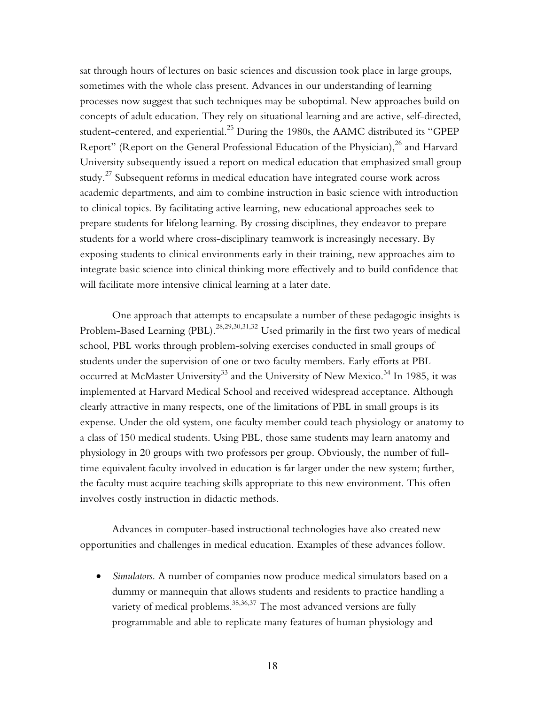sat through hours of lectures on basic sciences and discussion took place in large groups, sometimes with the whole class present. Advances in our understanding of learning processes now suggest that such techniques may be suboptimal. New approaches build on concepts of adult education. They rely on situational learning and are active, self-directed, student-centered, and experiential.<sup>25</sup> During the 1980s, the AAMC distributed its "GPEP Report" (Report on the General Professional Education of the Physician),  $^{26}$  and Harvard University subsequently issued a report on medical education that emphasized small group study. $^{27}$  Subsequent reforms in medical education have integrated course work across academic departments, and aim to combine instruction in basic science with introduction to clinical topics. By facilitating active learning, new educational approaches seek to prepare students for lifelong learning. By crossing disciplines, they endeavor to prepare students for a world where cross-disciplinary teamwork is increasingly necessary. By exposing students to clinical environments early in their training, new approaches aim to integrate basic science into clinical thinking more effectively and to build confidence that will facilitate more intensive clinical learning at a later date.

One approach that attempts to encapsulate a number of these pedagogic insights is Problem-Based Learning (PBL).<sup>28,29,30,31,32</sup> Used primarily in the first two years of medical school, PBL works through problem-solving exercises conducted in small groups of students under the supervision of one or two faculty members. Early efforts at PBL occurred at McMaster University<sup>33</sup> and the University of New Mexico.<sup>34</sup> In 1985, it was implemented at Harvard Medical School and received widespread acceptance. Although clearly attractive in many respects, one of the limitations of PBL in small groups is its expense. Under the old system, one faculty member could teach physiology or anatomy to a class of 150 medical students. Using PBL, those same students may learn anatomy and physiology in 20 groups with two professors per group. Obviously, the number of fulltime equivalent faculty involved in education is far larger under the new system; further, the faculty must acquire teaching skills appropriate to this new environment. This often involves costly instruction in didactic methods.

Advances in computer-based instructional technologies have also created new opportunities and challenges in medical education. Examples of these advances follow.

• *Simulators*. A number of companies now produce medical simulators based on a dummy or mannequin that allows students and residents to practice handling a variety of medical problems.<sup>35,36,37</sup> The most advanced versions are fully programmable and able to replicate many features of human physiology and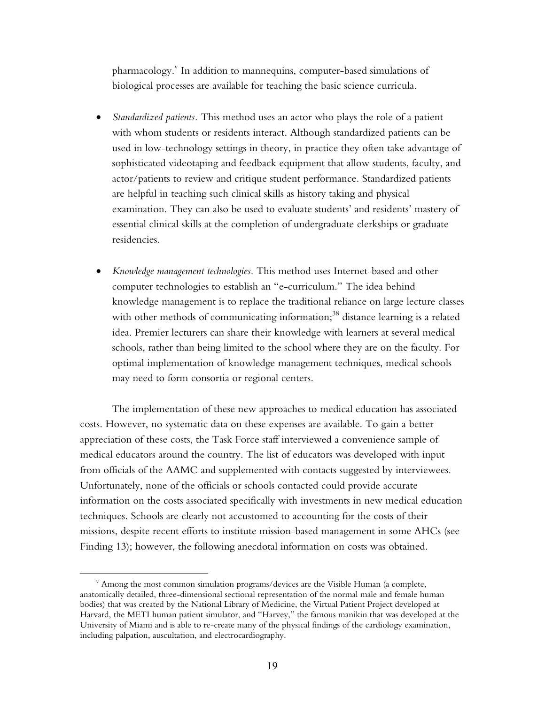pharmacology. $^{\rm v}$  In addition to mannequins, computer-based simulations of biological processes are available for teaching the basic science curricula.

- *Standardized patients.* This method uses an actor who plays the role of a patient with whom students or residents interact. Although standardized patients can be used in low-technology settings in theory, in practice they often take advantage of sophisticated videotaping and feedback equipment that allow students, faculty, and actor/patients to review and critique student performance. Standardized patients are helpful in teaching such clinical skills as history taking and physical examination. They can also be used to evaluate students' and residents' mastery of essential clinical skills at the completion of undergraduate clerkships or graduate residencies.
- *Knowledge management technologies*. This method uses Internet-based and other computer technologies to establish an "e-curriculum." The idea behind knowledge management is to replace the traditional reliance on large lecture classes with other methods of communicating information;<sup>38</sup> distance learning is a related idea. Premier lecturers can share their knowledge with learners at several medical schools, rather than being limited to the school where they are on the faculty. For optimal implementation of knowledge management techniques, medical schools may need to form consortia or regional centers.

The implementation of these new approaches to medical education has associated costs. However, no systematic data on these expenses are available. To gain a better appreciation of these costs, the Task Force staff interviewed a convenience sample of medical educators around the country. The list of educators was developed with input from officials of the AAMC and supplemented with contacts suggested by interviewees. Unfortunately, none of the officials or schools contacted could provide accurate information on the costs associated specifically with investments in new medical education techniques. Schools are clearly not accustomed to accounting for the costs of their missions, despite recent efforts to institute mission-based management in some AHCs (see Finding 13); however, the following anecdotal information on costs was obtained.

<sup>v</sup> Among the most common simulation programs/devices are the Visible Human (a complete, anatomically detailed, three-dimensional sectional representation of the normal male and female human bodies) that was created by the National Library of Medicine, the Virtual Patient Project developed at Harvard, the METI human patient simulator, and "Harvey," the famous manikin that was developed at the University of Miami and is able to re-create many of the physical findings of the cardiology examination, including palpation, auscultation, and electrocardiography.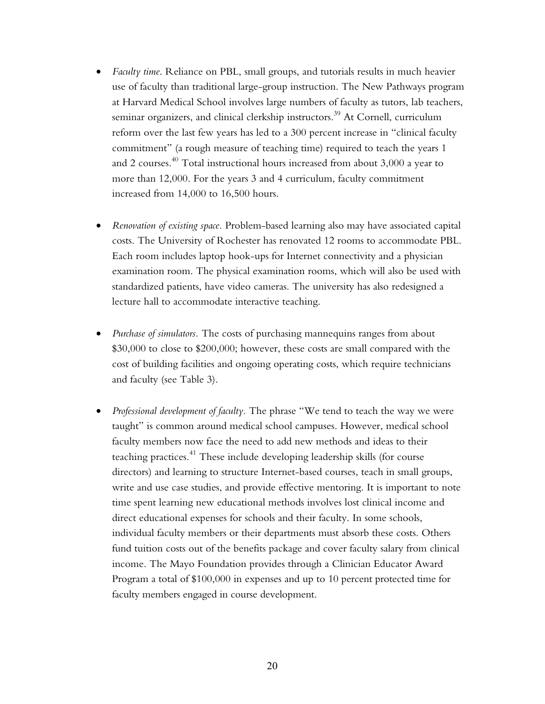- *Faculty time*. Reliance on PBL, small groups, and tutorials results in much heavier use of faculty than traditional large-group instruction. The New Pathways program at Harvard Medical School involves large numbers of faculty as tutors, lab teachers, seminar organizers, and clinical clerkship instructors.<sup>39</sup> At Cornell, curriculum reform over the last few years has led to a 300 percent increase in "clinical faculty commitment" (a rough measure of teaching time) required to teach the years 1 and 2 courses.40 Total instructional hours increased from about 3,000 a year to more than 12,000. For the years 3 and 4 curriculum, faculty commitment increased from 14,000 to 16,500 hours.
- *Renovation of existing space.* Problem-based learning also may have associated capital costs. The University of Rochester has renovated 12 rooms to accommodate PBL. Each room includes laptop hook-ups for Internet connectivity and a physician examination room. The physical examination rooms, which will also be used with standardized patients, have video cameras. The university has also redesigned a lecture hall to accommodate interactive teaching.
- *Purchase of simulators.* The costs of purchasing mannequins ranges from about \$30,000 to close to \$200,000; however, these costs are small compared with the cost of building facilities and ongoing operating costs, which require technicians and faculty (see Table 3).
- *Professional development of faculty*. The phrase "We tend to teach the way we were taught" is common around medical school campuses. However, medical school faculty members now face the need to add new methods and ideas to their teaching practices.<sup>41</sup> These include developing leadership skills (for course directors) and learning to structure Internet-based courses, teach in small groups, write and use case studies, and provide effective mentoring. It is important to note time spent learning new educational methods involves lost clinical income and direct educational expenses for schools and their faculty. In some schools, individual faculty members or their departments must absorb these costs. Others fund tuition costs out of the benefits package and cover faculty salary from clinical income. The Mayo Foundation provides through a Clinician Educator Award Program a total of \$100,000 in expenses and up to 10 percent protected time for faculty members engaged in course development.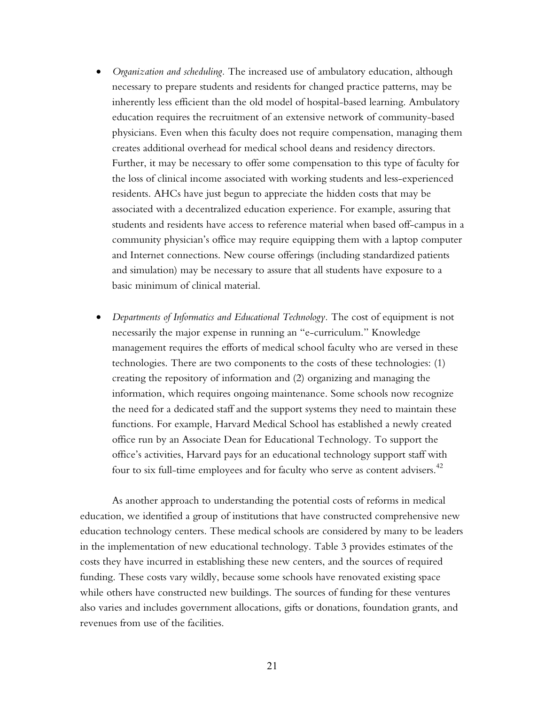- *Organization and scheduling.* The increased use of ambulatory education, although necessary to prepare students and residents for changed practice patterns, may be inherently less efficient than the old model of hospital-based learning. Ambulatory education requires the recruitment of an extensive network of community-based physicians. Even when this faculty does not require compensation, managing them creates additional overhead for medical school deans and residency directors. Further, it may be necessary to offer some compensation to this type of faculty for the loss of clinical income associated with working students and less-experienced residents. AHCs have just begun to appreciate the hidden costs that may be associated with a decentralized education experience. For example, assuring that students and residents have access to reference material when based off-campus in a community physicianís office may require equipping them with a laptop computer and Internet connections. New course offerings (including standardized patients and simulation) may be necessary to assure that all students have exposure to a basic minimum of clinical material.
- *Departments of Informatics and Educational Technology.* The cost of equipment is not necessarily the major expense in running an "e-curriculum." Knowledge management requires the efforts of medical school faculty who are versed in these technologies. There are two components to the costs of these technologies: (1) creating the repository of information and (2) organizing and managing the information, which requires ongoing maintenance. Some schools now recognize the need for a dedicated staff and the support systems they need to maintain these functions. For example, Harvard Medical School has established a newly created office run by an Associate Dean for Educational Technology. To support the office's activities, Harvard pays for an educational technology support staff with four to six full-time employees and for faculty who serve as content advisers.<sup>42</sup>

As another approach to understanding the potential costs of reforms in medical education, we identified a group of institutions that have constructed comprehensive new education technology centers. These medical schools are considered by many to be leaders in the implementation of new educational technology. Table 3 provides estimates of the costs they have incurred in establishing these new centers, and the sources of required funding. These costs vary wildly, because some schools have renovated existing space while others have constructed new buildings. The sources of funding for these ventures also varies and includes government allocations, gifts or donations, foundation grants, and revenues from use of the facilities.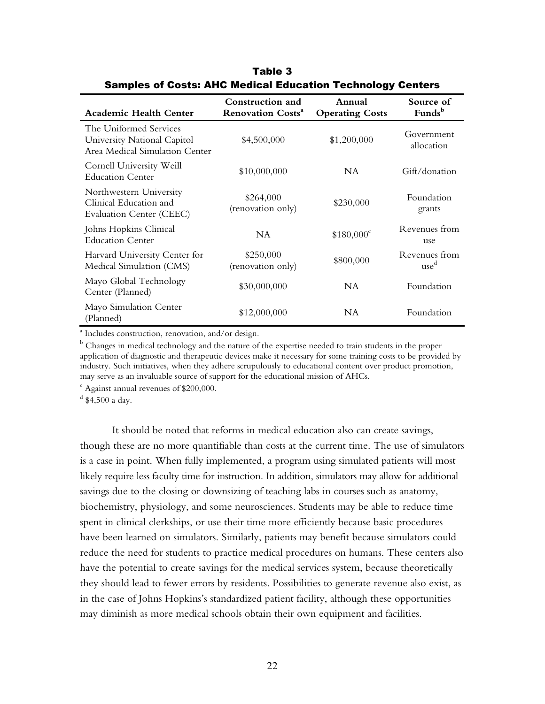| <b>Academic Health Center</b>                                                           | Construction and<br><b>Renovation Costs<sup>a</sup></b> | Annual<br><b>Operating Costs</b> | Source of<br>Funds <sup>b</sup>   |
|-----------------------------------------------------------------------------------------|---------------------------------------------------------|----------------------------------|-----------------------------------|
| The Uniformed Services<br>University National Capitol<br>Area Medical Simulation Center | \$4,500,000                                             | \$1,200,000                      | Government<br>allocation          |
| Cornell University Weill<br><b>Education Center</b>                                     | \$10,000,000                                            | NA.                              | Gift/donation                     |
| Northwestern University<br>Clinical Education and<br>Evaluation Center (CEEC)           | \$264,000<br>(renovation only)                          | \$230,000                        | Foundation<br>grants              |
| Johns Hopkins Clinical<br><b>Education Center</b>                                       | <b>NA</b>                                               | $$180,000^{\circ}$               | Revenues from<br>use              |
| Harvard University Center for<br>Medical Simulation (CMS)                               | \$250,000<br>(renovation only)                          | \$800,000                        | Revenues from<br>use <sup>d</sup> |
| Mayo Global Technology<br>Center (Planned)                                              | \$30,000,000                                            | <b>NA</b>                        | Foundation                        |
| Mayo Simulation Center<br>(Planned)                                                     | \$12,000,000                                            | NA                               | Foundation                        |

Table 3 Samples of Costs: AHC Medical Education Technology Centers

a Includes construction, renovation, and/or design.

 $^{\rm b}$  Changes in medical technology and the nature of the expertise needed to train students in the proper application of diagnostic and therapeutic devices make it necessary for some training costs to be provided by industry. Such initiatives, when they adhere scrupulously to educational content over product promotion, may serve as an invaluable source of support for the educational mission of AHCs.

 $\epsilon$  Against annual revenues of \$200,000.

 $^d$  \$4,500 a day.

It should be noted that reforms in medical education also can create savings, though these are no more quantifiable than costs at the current time. The use of simulators is a case in point. When fully implemented, a program using simulated patients will most likely require less faculty time for instruction. In addition, simulators may allow for additional savings due to the closing or downsizing of teaching labs in courses such as anatomy, biochemistry, physiology, and some neurosciences. Students may be able to reduce time spent in clinical clerkships, or use their time more efficiently because basic procedures have been learned on simulators. Similarly, patients may benefit because simulators could reduce the need for students to practice medical procedures on humans. These centers also have the potential to create savings for the medical services system, because theoretically they should lead to fewer errors by residents. Possibilities to generate revenue also exist, as in the case of Johns Hopkins's standardized patient facility, although these opportunities may diminish as more medical schools obtain their own equipment and facilities.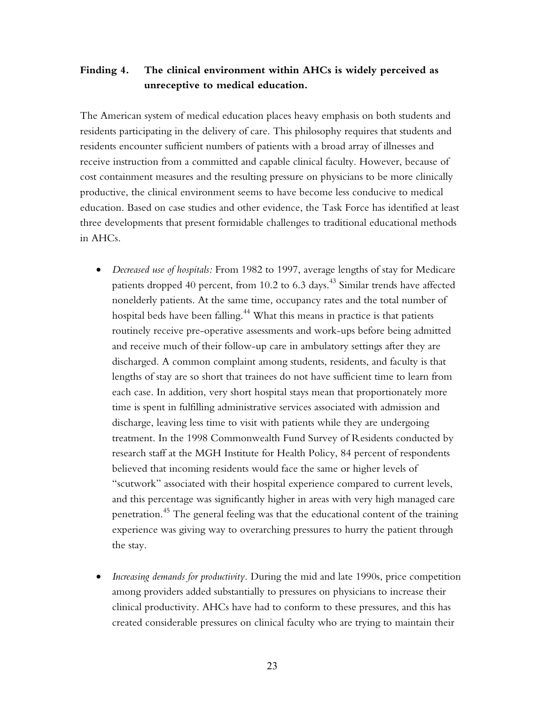# **Finding 4. The clinical environment within AHCs is widely perceived as unreceptive to medical education.**

The American system of medical education places heavy emphasis on both students and residents participating in the delivery of care. This philosophy requires that students and residents encounter sufficient numbers of patients with a broad array of illnesses and receive instruction from a committed and capable clinical faculty. However, because of cost containment measures and the resulting pressure on physicians to be more clinically productive, the clinical environment seems to have become less conducive to medical education. Based on case studies and other evidence, the Task Force has identified at least three developments that present formidable challenges to traditional educational methods in AHCs.

- *Decreased use of hospitals:* From 1982 to 1997, average lengths of stay for Medicare patients dropped 40 percent, from 10.2 to 6.3 days.<sup>43</sup> Similar trends have affected nonelderly patients. At the same time, occupancy rates and the total number of hospital beds have been falling.<sup>44</sup> What this means in practice is that patients routinely receive pre-operative assessments and work-ups before being admitted and receive much of their follow-up care in ambulatory settings after they are discharged. A common complaint among students, residents, and faculty is that lengths of stay are so short that trainees do not have sufficient time to learn from each case. In addition, very short hospital stays mean that proportionately more time is spent in fulfilling administrative services associated with admission and discharge, leaving less time to visit with patients while they are undergoing treatment. In the 1998 Commonwealth Fund Survey of Residents conducted by research staff at the MGH Institute for Health Policy, 84 percent of respondents believed that incoming residents would face the same or higher levels of "scutwork" associated with their hospital experience compared to current levels, and this percentage was significantly higher in areas with very high managed care penetration.45 The general feeling was that the educational content of the training experience was giving way to overarching pressures to hurry the patient through the stay.
- *Increasing demands for productivity.* During the mid and late 1990s, price competition among providers added substantially to pressures on physicians to increase their clinical productivity. AHCs have had to conform to these pressures, and this has created considerable pressures on clinical faculty who are trying to maintain their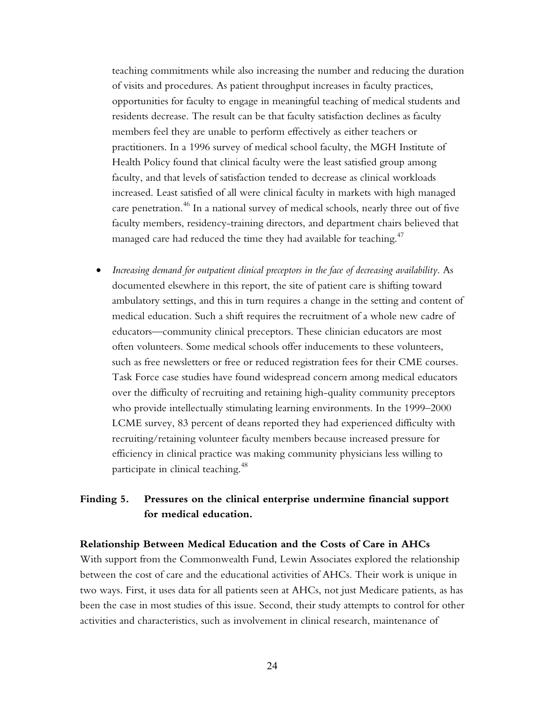teaching commitments while also increasing the number and reducing the duration of visits and procedures. As patient throughput increases in faculty practices, opportunities for faculty to engage in meaningful teaching of medical students and residents decrease. The result can be that faculty satisfaction declines as faculty members feel they are unable to perform effectively as either teachers or practitioners. In a 1996 survey of medical school faculty, the MGH Institute of Health Policy found that clinical faculty were the least satisfied group among faculty, and that levels of satisfaction tended to decrease as clinical workloads increased. Least satisfied of all were clinical faculty in markets with high managed care penetration.<sup>46</sup> In a national survey of medical schools, nearly three out of five faculty members, residency-training directors, and department chairs believed that managed care had reduced the time they had available for teaching. $47$ 

• *Increasing demand for outpatient clinical preceptors in the face of decreasing availability*. As documented elsewhere in this report, the site of patient care is shifting toward ambulatory settings, and this in turn requires a change in the setting and content of medical education. Such a shift requires the recruitment of a whole new cadre of educators—community clinical preceptors. These clinician educators are most often volunteers. Some medical schools offer inducements to these volunteers, such as free newsletters or free or reduced registration fees for their CME courses. Task Force case studies have found widespread concern among medical educators over the difficulty of recruiting and retaining high-quality community preceptors who provide intellectually stimulating learning environments. In the 1999–2000 LCME survey, 83 percent of deans reported they had experienced difficulty with recruiting/retaining volunteer faculty members because increased pressure for efficiency in clinical practice was making community physicians less willing to participate in clinical teaching.<sup>48</sup>

# **Finding 5. Pressures on the clinical enterprise undermine financial support for medical education.**

#### **Relationship Between Medical Education and the Costs of Care in AHCs**

With support from the Commonwealth Fund, Lewin Associates explored the relationship between the cost of care and the educational activities of AHCs. Their work is unique in two ways. First, it uses data for all patients seen at AHCs, not just Medicare patients, as has been the case in most studies of this issue. Second, their study attempts to control for other activities and characteristics, such as involvement in clinical research, maintenance of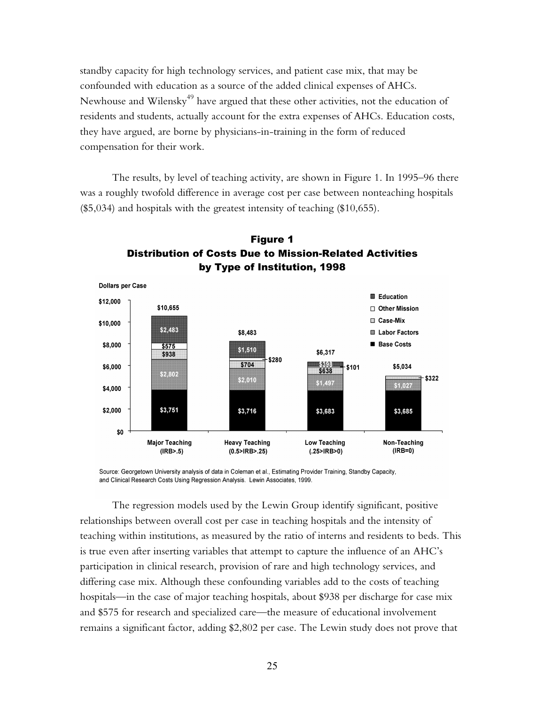standby capacity for high technology services, and patient case mix, that may be confounded with education as a source of the added clinical expenses of AHCs. Newhouse and Wilensky<sup>49</sup> have argued that these other activities, not the education of residents and students, actually account for the extra expenses of AHCs. Education costs, they have argued, are borne by physicians-in-training in the form of reduced compensation for their work.

The results, by level of teaching activity, are shown in Figure 1. In 1995–96 there was a roughly twofold difference in average cost per case between nonteaching hospitals (\$5,034) and hospitals with the greatest intensity of teaching (\$10,655).





Source: Georgetown University analysis of data in Coleman et al., Estimating Provider Training, Standby Capacity, and Clinical Research Costs Using Regression Analysis. Lewin Associates, 1999.

The regression models used by the Lewin Group identify significant, positive relationships between overall cost per case in teaching hospitals and the intensity of teaching within institutions, as measured by the ratio of interns and residents to beds. This is true even after inserting variables that attempt to capture the influence of an AHC's participation in clinical research, provision of rare and high technology services, and differing case mix. Although these confounding variables add to the costs of teaching hospitals—in the case of major teaching hospitals, about \$938 per discharge for case mix and \$575 for research and specialized care—the measure of educational involvement remains a significant factor, adding \$2,802 per case. The Lewin study does not prove that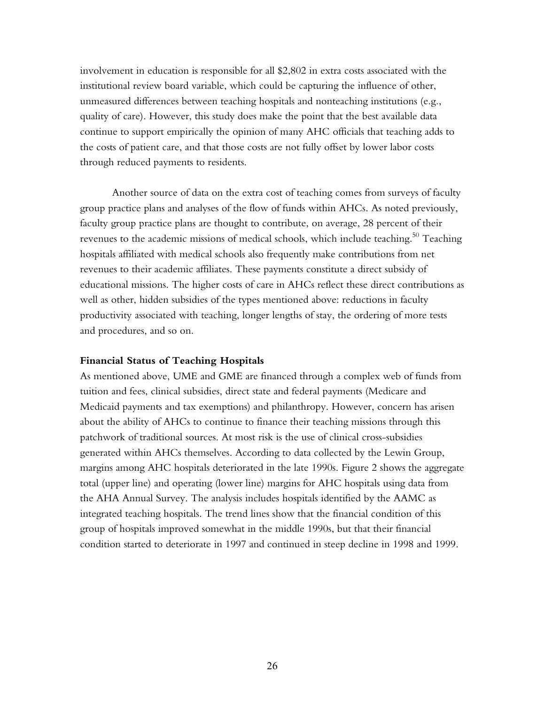involvement in education is responsible for all \$2,802 in extra costs associated with the institutional review board variable, which could be capturing the influence of other, unmeasured differences between teaching hospitals and nonteaching institutions (e.g., quality of care). However, this study does make the point that the best available data continue to support empirically the opinion of many AHC officials that teaching adds to the costs of patient care, and that those costs are not fully offset by lower labor costs through reduced payments to residents.

Another source of data on the extra cost of teaching comes from surveys of faculty group practice plans and analyses of the flow of funds within AHCs. As noted previously, faculty group practice plans are thought to contribute, on average, 28 percent of their revenues to the academic missions of medical schools, which include teaching.<sup>50</sup> Teaching hospitals affiliated with medical schools also frequently make contributions from net revenues to their academic affiliates. These payments constitute a direct subsidy of educational missions. The higher costs of care in AHCs reflect these direct contributions as well as other, hidden subsidies of the types mentioned above: reductions in faculty productivity associated with teaching, longer lengths of stay, the ordering of more tests and procedures, and so on.

#### **Financial Status of Teaching Hospitals**

As mentioned above, UME and GME are financed through a complex web of funds from tuition and fees, clinical subsidies, direct state and federal payments (Medicare and Medicaid payments and tax exemptions) and philanthropy. However, concern has arisen about the ability of AHCs to continue to finance their teaching missions through this patchwork of traditional sources. At most risk is the use of clinical cross-subsidies generated within AHCs themselves. According to data collected by the Lewin Group, margins among AHC hospitals deteriorated in the late 1990s. Figure 2 shows the aggregate total (upper line) and operating (lower line) margins for AHC hospitals using data from the AHA Annual Survey. The analysis includes hospitals identified by the AAMC as integrated teaching hospitals. The trend lines show that the financial condition of this group of hospitals improved somewhat in the middle 1990s, but that their financial condition started to deteriorate in 1997 and continued in steep decline in 1998 and 1999.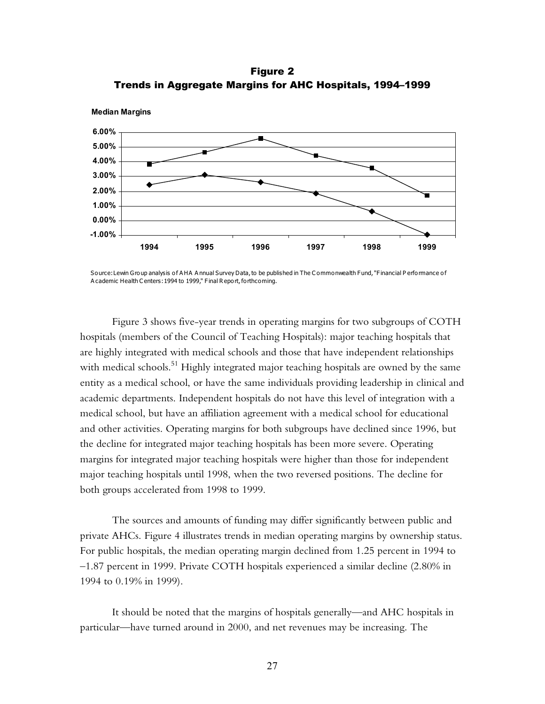Figure 2 Trends in Aggregate Margins for AHC Hospitals, 1994-1999



Source: Lewin Group analysis of A HA A nnual Survey Data, to be published in The C ommonwealth Fund, "F inancial P erformance of A cademic Health C enters: 1994 to 1999," Final R eport, forthcoming.

Figure 3 shows five-year trends in operating margins for two subgroups of COTH hospitals (members of the Council of Teaching Hospitals): major teaching hospitals that are highly integrated with medical schools and those that have independent relationships with medical schools.<sup>51</sup> Highly integrated major teaching hospitals are owned by the same entity as a medical school, or have the same individuals providing leadership in clinical and academic departments. Independent hospitals do not have this level of integration with a medical school, but have an affiliation agreement with a medical school for educational and other activities. Operating margins for both subgroups have declined since 1996, but the decline for integrated major teaching hospitals has been more severe. Operating margins for integrated major teaching hospitals were higher than those for independent major teaching hospitals until 1998, when the two reversed positions. The decline for both groups accelerated from 1998 to 1999.

The sources and amounts of funding may differ significantly between public and private AHCs. Figure 4 illustrates trends in median operating margins by ownership status. For public hospitals, the median operating margin declined from 1.25 percent in 1994 to  $-1.87$  percent in 1999. Private COTH hospitals experienced a similar decline (2.80% in 1994 to 0.19% in 1999).

It should be noted that the margins of hospitals generally—and AHC hospitals in particular—have turned around in 2000, and net revenues may be increasing. The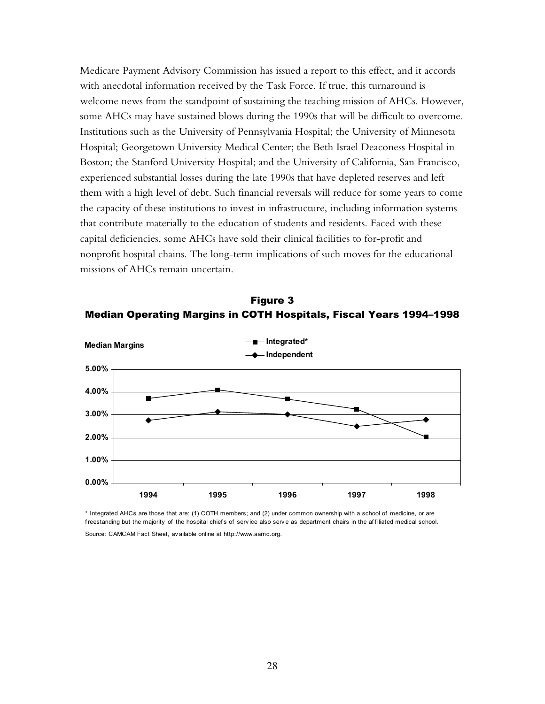Medicare Payment Advisory Commission has issued a report to this effect, and it accords with anecdotal information received by the Task Force. If true, this turnaround is welcome news from the standpoint of sustaining the teaching mission of AHCs. However, some AHCs may have sustained blows during the 1990s that will be difficult to overcome. Institutions such as the University of Pennsylvania Hospital; the University of Minnesota Hospital; Georgetown University Medical Center; the Beth Israel Deaconess Hospital in Boston; the Stanford University Hospital; and the University of California, San Francisco, experienced substantial losses during the late 1990s that have depleted reserves and left them with a high level of debt. Such financial reversals will reduce for some years to come the capacity of these institutions to invest in infrastructure, including information systems that contribute materially to the education of students and residents. Faced with these capital deficiencies, some AHCs have sold their clinical facilities to for-profit and nonprofit hospital chains. The long-term implications of such moves for the educational missions of AHCs remain uncertain.





\* Integrated AHCs are those that are: (1) COTH members; and (2) under common ownership with a school of medicine, or are freestanding but the majority of the hospital chiefs of service also serve as department chairs in the affiliated medical school. Source: CAMCAM Fact Sheet, av ailable online at http://www.aamc.org.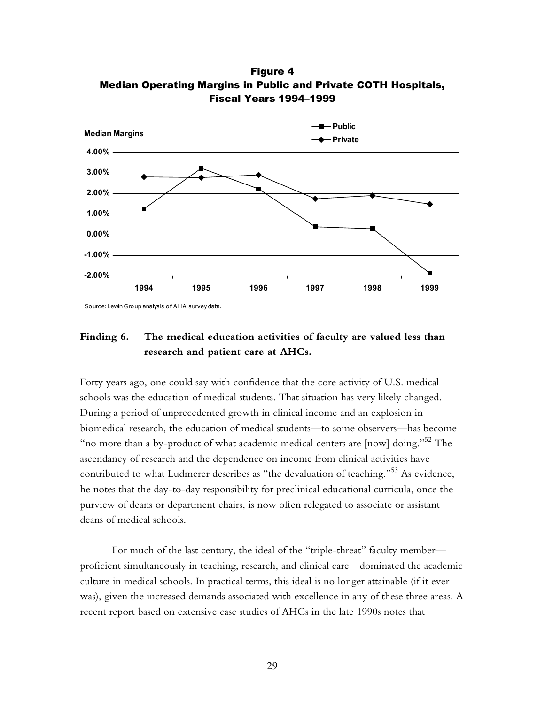

Figure 4 Median Operating Margins in Public and Private COTH Hospitals, Fiscal Years 1994-1999

Source: Lewin Group analysis of A HA survey data.

### **Finding 6. The medical education activities of faculty are valued less than research and patient care at AHCs.**

Forty years ago, one could say with confidence that the core activity of U.S. medical schools was the education of medical students. That situation has very likely changed. During a period of unprecedented growth in clinical income and an explosion in biomedical research, the education of medical students—to some observers—has become "no more than a by-product of what academic medical centers are [now] doing." $52$  The ascendancy of research and the dependence on income from clinical activities have contributed to what Ludmerer describes as "the devaluation of teaching."<sup>53</sup> As evidence, he notes that the day-to-day responsibility for preclinical educational curricula, once the purview of deans or department chairs, is now often relegated to associate or assistant deans of medical schools.

For much of the last century, the ideal of the "triple-threat" faculty member proficient simultaneously in teaching, research, and clinical care—dominated the academic culture in medical schools. In practical terms, this ideal is no longer attainable (if it ever was), given the increased demands associated with excellence in any of these three areas. A recent report based on extensive case studies of AHCs in the late 1990s notes that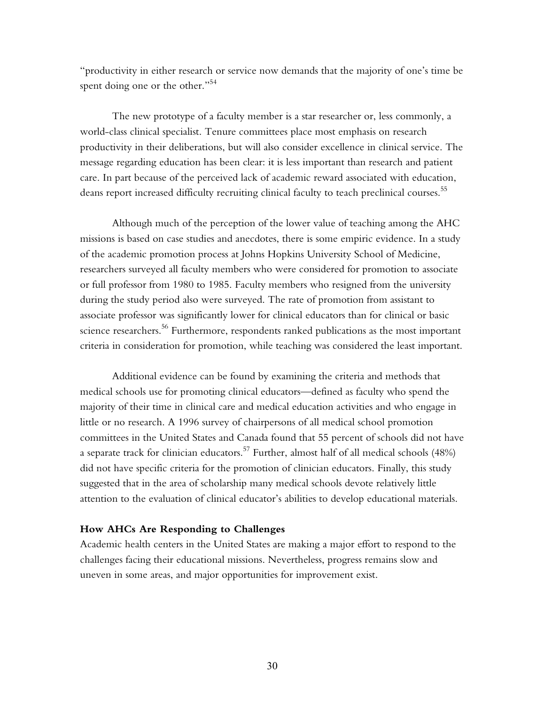"productivity in either research or service now demands that the majority of one's time be spent doing one or the other."<sup>54</sup>

The new prototype of a faculty member is a star researcher or, less commonly, a world-class clinical specialist. Tenure committees place most emphasis on research productivity in their deliberations, but will also consider excellence in clinical service. The message regarding education has been clear: it is less important than research and patient care. In part because of the perceived lack of academic reward associated with education, deans report increased difficulty recruiting clinical faculty to teach preclinical courses.<sup>55</sup>

Although much of the perception of the lower value of teaching among the AHC missions is based on case studies and anecdotes, there is some empiric evidence. In a study of the academic promotion process at Johns Hopkins University School of Medicine, researchers surveyed all faculty members who were considered for promotion to associate or full professor from 1980 to 1985. Faculty members who resigned from the university during the study period also were surveyed. The rate of promotion from assistant to associate professor was significantly lower for clinical educators than for clinical or basic science researchers.<sup>56</sup> Furthermore, respondents ranked publications as the most important criteria in consideration for promotion, while teaching was considered the least important.

Additional evidence can be found by examining the criteria and methods that medical schools use for promoting clinical educators—defined as faculty who spend the majority of their time in clinical care and medical education activities and who engage in little or no research. A 1996 survey of chairpersons of all medical school promotion committees in the United States and Canada found that 55 percent of schools did not have a separate track for clinician educators.<sup>57</sup> Further, almost half of all medical schools (48%) did not have specific criteria for the promotion of clinician educators. Finally, this study suggested that in the area of scholarship many medical schools devote relatively little attention to the evaluation of clinical educator's abilities to develop educational materials.

#### **How AHCs Are Responding to Challenges**

Academic health centers in the United States are making a major effort to respond to the challenges facing their educational missions. Nevertheless, progress remains slow and uneven in some areas, and major opportunities for improvement exist.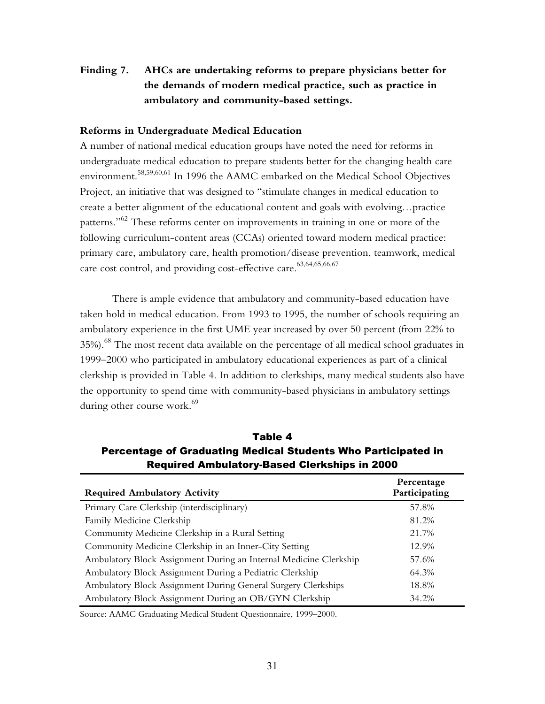# **Finding 7. AHCs are undertaking reforms to prepare physicians better for the demands of modern medical practice, such as practice in ambulatory and community-based settings.**

#### **Reforms in Undergraduate Medical Education**

A number of national medical education groups have noted the need for reforms in undergraduate medical education to prepare students better for the changing health care environment.<sup>58,59,60,61</sup> In 1996 the AAMC embarked on the Medical School Objectives Project, an initiative that was designed to "stimulate changes in medical education to create a better alignment of the educational content and goals with evolving...practice patterns.<sup>362</sup> These reforms center on improvements in training in one or more of the following curriculum-content areas (CCAs) oriented toward modern medical practice: primary care, ambulatory care, health promotion/disease prevention, teamwork, medical care cost control, and providing cost-effective care.<sup>63,64,65,66,67</sup>

There is ample evidence that ambulatory and community-based education have taken hold in medical education. From 1993 to 1995, the number of schools requiring an ambulatory experience in the first UME year increased by over 50 percent (from 22% to 35%).<sup>68</sup> The most recent data available on the percentage of all medical school graduates in 1999–2000 who participated in ambulatory educational experiences as part of a clinical clerkship is provided in Table 4. In addition to clerkships, many medical students also have the opportunity to spend time with community-based physicians in ambulatory settings during other course work.<sup>69</sup>

| <b>Required Ambulatory Activity</b>                               | Percentage<br>Participating |
|-------------------------------------------------------------------|-----------------------------|
| Primary Care Clerkship (interdisciplinary)                        | 57.8%                       |
| Family Medicine Clerkship                                         | 81.2%                       |
| Community Medicine Clerkship in a Rural Setting                   | 21.7%                       |
| Community Medicine Clerkship in an Inner-City Setting             | 12.9%                       |
| Ambulatory Block Assignment During an Internal Medicine Clerkship | 57.6%                       |
| Ambulatory Block Assignment During a Pediatric Clerkship          | 64.3%                       |
| Ambulatory Block Assignment During General Surgery Clerkships     | 18.8%                       |
| Ambulatory Block Assignment During an OB/GYN Clerkship            | 34.2%                       |

Table 4 Percentage of Graduating Medical Students Who Participated in Required Ambulatory-Based Clerkships in 2000

Source: AAMC Graduating Medical Student Questionnaire, 1999-2000.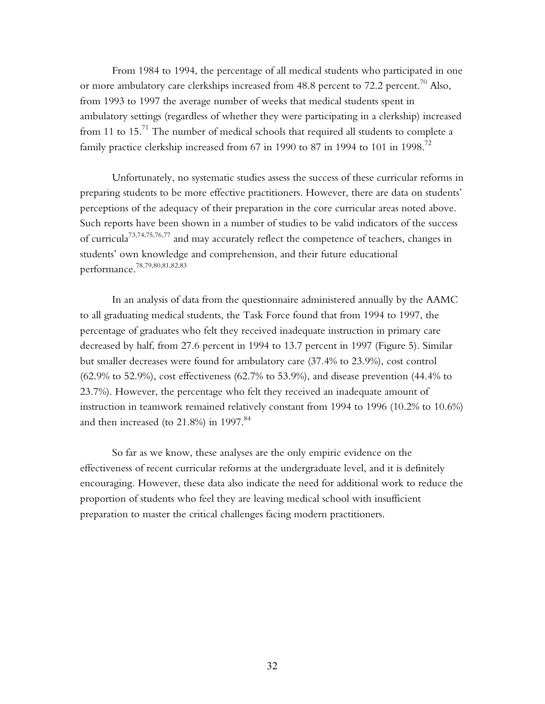From 1984 to 1994, the percentage of all medical students who participated in one or more ambulatory care clerkships increased from 48.8 percent to 72.2 percent.<sup>70</sup> Also, from 1993 to 1997 the average number of weeks that medical students spent in ambulatory settings (regardless of whether they were participating in a clerkship) increased from 11 to 15.<sup>71</sup> The number of medical schools that required all students to complete a family practice clerkship increased from 67 in 1990 to 87 in 1994 to 101 in 1998.<sup>72</sup>

Unfortunately, no systematic studies assess the success of these curricular reforms in preparing students to be more effective practitioners. However, there are data on students' perceptions of the adequacy of their preparation in the core curricular areas noted above. Such reports have been shown in a number of studies to be valid indicators of the success of curricula73,74,75,76,77 and may accurately reflect the competence of teachers, changes in students' own knowledge and comprehension, and their future educational performance.78,79,80,81,82,83

In an analysis of data from the questionnaire administered annually by the AAMC to all graduating medical students, the Task Force found that from 1994 to 1997, the percentage of graduates who felt they received inadequate instruction in primary care decreased by half, from 27.6 percent in 1994 to 13.7 percent in 1997 (Figure 5). Similar but smaller decreases were found for ambulatory care (37.4% to 23.9%), cost control (62.9% to 52.9%), cost effectiveness (62.7% to 53.9%), and disease prevention (44.4% to 23.7%). However, the percentage who felt they received an inadequate amount of instruction in teamwork remained relatively constant from 1994 to 1996 (10.2% to 10.6%) and then increased (to  $21.8\%$ ) in 1997. $84$ 

So far as we know, these analyses are the only empiric evidence on the effectiveness of recent curricular reforms at the undergraduate level, and it is definitely encouraging. However, these data also indicate the need for additional work to reduce the proportion of students who feel they are leaving medical school with insufficient preparation to master the critical challenges facing modern practitioners.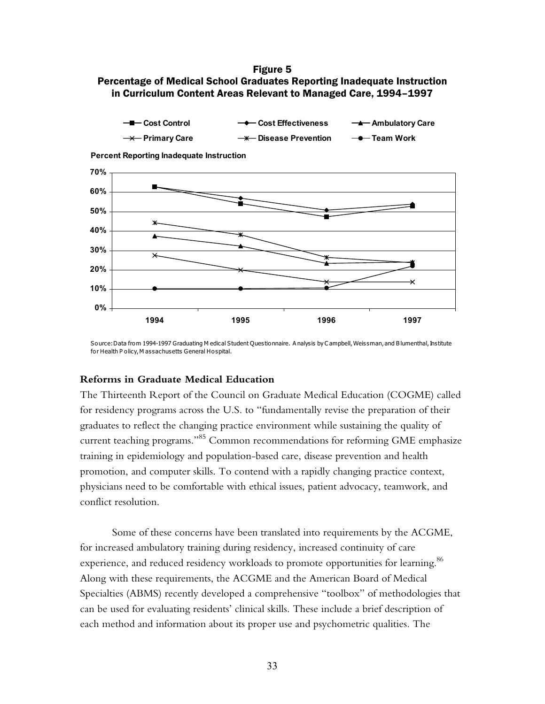#### Figure 5 Percentage of Medical School Graduates Reporting Inadequate Instruction in Curriculum Content Areas Relevant to Managed Care, 1994-1997



**Percent Reporting Inadequate Instruction**



Source: Data from 1994-1997 Graduating M edical Student Questionnaire. A nalysis by C ampbell, Weissman, and B lumenthal, Institute for Health P olicy, M assachusetts General Hospital.

#### **Reforms in Graduate Medical Education**

The Thirteenth Report of the Council on Graduate Medical Education (COGME) called for residency programs across the U.S. to "fundamentally revise the preparation of their graduates to reflect the changing practice environment while sustaining the quality of current teaching programs.<sup>85</sup> Common recommendations for reforming GME emphasize training in epidemiology and population-based care, disease prevention and health promotion, and computer skills. To contend with a rapidly changing practice context, physicians need to be comfortable with ethical issues, patient advocacy, teamwork, and conflict resolution.

Some of these concerns have been translated into requirements by the ACGME, for increased ambulatory training during residency, increased continuity of care experience, and reduced residency workloads to promote opportunities for learning.<sup>86</sup> Along with these requirements, the ACGME and the American Board of Medical Specialties (ABMS) recently developed a comprehensive "toolbox" of methodologies that can be used for evaluating residentsí clinical skills. These include a brief description of each method and information about its proper use and psychometric qualities. The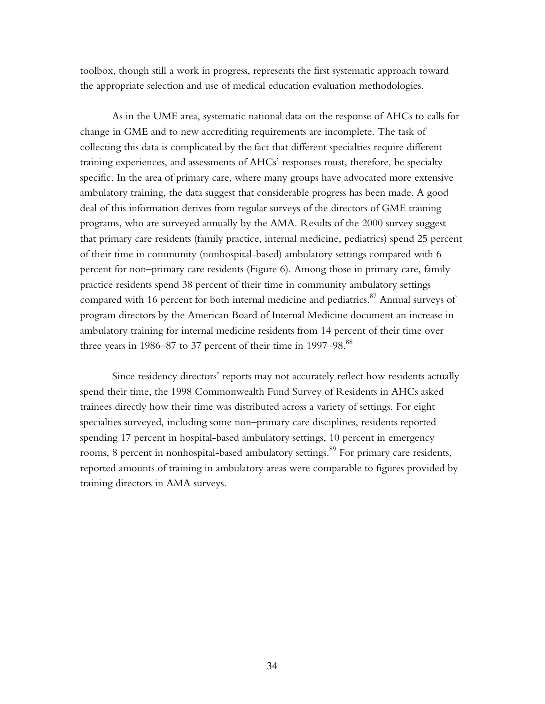toolbox, though still a work in progress, represents the first systematic approach toward the appropriate selection and use of medical education evaluation methodologies.

As in the UME area, systematic national data on the response of AHCs to calls for change in GME and to new accrediting requirements are incomplete. The task of collecting this data is complicated by the fact that different specialties require different training experiences, and assessments of AHCs' responses must, therefore, be specialty specific. In the area of primary care, where many groups have advocated more extensive ambulatory training, the data suggest that considerable progress has been made. A good deal of this information derives from regular surveys of the directors of GME training programs, who are surveyed annually by the AMA. Results of the 2000 survey suggest that primary care residents (family practice, internal medicine, pediatrics) spend 25 percent of their time in community (nonhospital-based) ambulatory settings compared with 6 percent for non-primary care residents (Figure 6). Among those in primary care, family practice residents spend 38 percent of their time in community ambulatory settings compared with 16 percent for both internal medicine and pediatrics.<sup>87</sup> Annual surveys of program directors by the American Board of Internal Medicine document an increase in ambulatory training for internal medicine residents from 14 percent of their time over three years in 1986–87 to 37 percent of their time in 1997–98. $^{88}$ 

Since residency directors' reports may not accurately reflect how residents actually spend their time, the 1998 Commonwealth Fund Survey of Residents in AHCs asked trainees directly how their time was distributed across a variety of settings. For eight specialties surveyed, including some non-primary care disciplines, residents reported spending 17 percent in hospital-based ambulatory settings, 10 percent in emergency rooms, 8 percent in nonhospital-based ambulatory settings.<sup>89</sup> For primary care residents, reported amounts of training in ambulatory areas were comparable to figures provided by training directors in AMA surveys.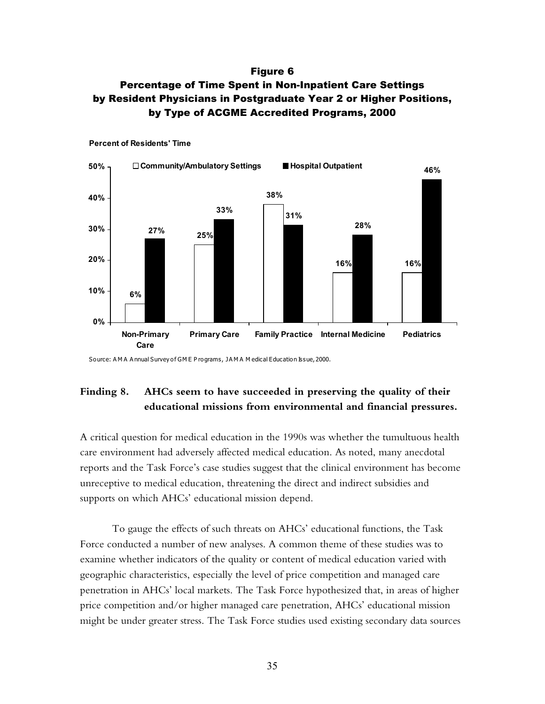#### Figure 6

## Percentage of Time Spent in Non-Inpatient Care Settings by Resident Physicians in Postgraduate Year 2 or Higher Positions, by Type of ACGME Accredited Programs, 2000



**Percent of Residents' Time**

Source: AMA Annual Survey of GME Programs, JAMA Medical Education Issue, 2000.

## **Finding 8. AHCs seem to have succeeded in preserving the quality of their educational missions from environmental and financial pressures.**

A critical question for medical education in the 1990s was whether the tumultuous health care environment had adversely affected medical education. As noted, many anecdotal reports and the Task Force's case studies suggest that the clinical environment has become unreceptive to medical education, threatening the direct and indirect subsidies and supports on which AHCs' educational mission depend.

To gauge the effects of such threats on AHCs' educational functions, the Task Force conducted a number of new analyses. A common theme of these studies was to examine whether indicators of the quality or content of medical education varied with geographic characteristics, especially the level of price competition and managed care penetration in AHCsí local markets. The Task Force hypothesized that, in areas of higher price competition and/or higher managed care penetration, AHCs' educational mission might be under greater stress. The Task Force studies used existing secondary data sources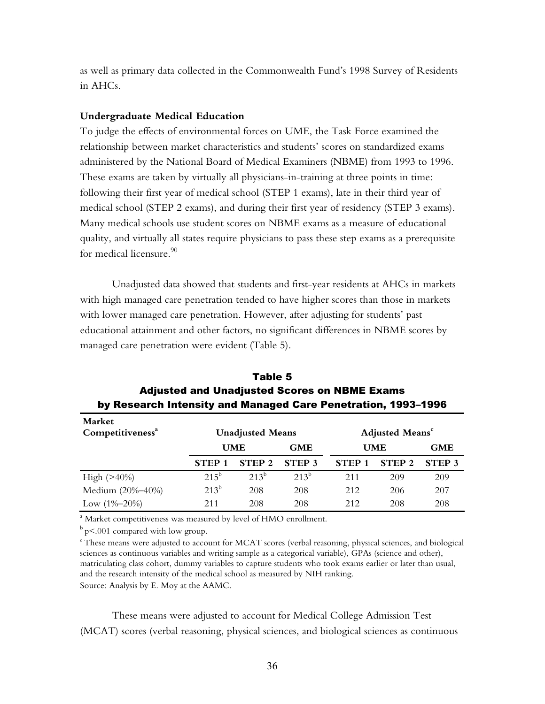as well as primary data collected in the Commonwealth Fundís 1998 Survey of Residents in AHCs.

#### **Undergraduate Medical Education**

To judge the effects of environmental forces on UME, the Task Force examined the relationship between market characteristics and students' scores on standardized exams administered by the National Board of Medical Examiners (NBME) from 1993 to 1996. These exams are taken by virtually all physicians-in-training at three points in time: following their first year of medical school (STEP 1 exams), late in their third year of medical school (STEP 2 exams), and during their first year of residency (STEP 3 exams). Many medical schools use student scores on NBME exams as a measure of educational quality, and virtually all states require physicians to pass these step exams as a prerequisite for medical licensure. $90$ 

Unadjusted data showed that students and first-year residents at AHCs in markets with high managed care penetration tended to have higher scores than those in markets with lower managed care penetration. However, after adjusting for students' past educational attainment and other factors, no significant differences in NBME scores by managed care penetration were evident (Table 5).

| Market<br>Competitiveness <sup>a</sup> | <b>Unadjusted Means</b> |                   |                   | <b>Adjusted Means<sup>c</sup></b> |                   |                   |
|----------------------------------------|-------------------------|-------------------|-------------------|-----------------------------------|-------------------|-------------------|
|                                        |                         | <b>UME</b>        | <b>GME</b>        | <b>UME</b>                        |                   | <b>GME</b>        |
|                                        | <b>STEP</b>             | STEP <sub>2</sub> | STEP <sub>3</sub> | STEP <sub>1</sub>                 | STEP <sub>2</sub> | STEP <sub>3</sub> |
| High $(>40%)$                          | $215^{\circ}$           | $213^{b}$         | $213^{b}$         | 211                               | 209               | 209               |
| Medium (20%-40%)                       | $213^b$                 | 208               | 208               | 2.12                              | 206               | 207               |
| Low $(1\% - 20\%)$                     | 211                     | 208               | 208               | 2.12                              | 208               | 208               |

Table 5 Adjusted and Unadjusted Scores on NBME Exams by Research Intensity and Managed Care Penetration, 1993-1996

<sup>a</sup> Market competitiveness was measured by level of HMO enrollment.

 $\rm{^{b}}$  p $\leq$ .001 compared with low group.

 $\epsilon$ These means were adjusted to account for MCAT scores (verbal reasoning, physical sciences, and biological sciences as continuous variables and writing sample as a categorical variable), GPAs (science and other), matriculating class cohort, dummy variables to capture students who took exams earlier or later than usual, and the research intensity of the medical school as measured by NIH ranking. Source: Analysis by E. Moy at the AAMC.

These means were adjusted to account for Medical College Admission Test (MCAT) scores (verbal reasoning, physical sciences, and biological sciences as continuous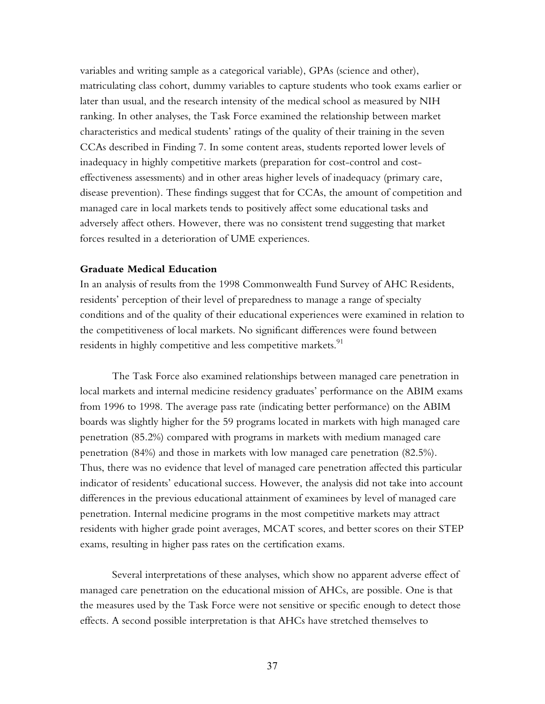variables and writing sample as a categorical variable), GPAs (science and other), matriculating class cohort, dummy variables to capture students who took exams earlier or later than usual, and the research intensity of the medical school as measured by NIH ranking. In other analyses, the Task Force examined the relationship between market characteristics and medical students' ratings of the quality of their training in the seven CCAs described in Finding 7. In some content areas, students reported lower levels of inadequacy in highly competitive markets (preparation for cost-control and costeffectiveness assessments) and in other areas higher levels of inadequacy (primary care, disease prevention). These findings suggest that for CCAs, the amount of competition and managed care in local markets tends to positively affect some educational tasks and adversely affect others. However, there was no consistent trend suggesting that market forces resulted in a deterioration of UME experiences.

#### **Graduate Medical Education**

In an analysis of results from the 1998 Commonwealth Fund Survey of AHC Residents, residents' perception of their level of preparedness to manage a range of specialty conditions and of the quality of their educational experiences were examined in relation to the competitiveness of local markets. No significant differences were found between residents in highly competitive and less competitive markets.<sup>91</sup>

The Task Force also examined relationships between managed care penetration in local markets and internal medicine residency graduates' performance on the ABIM exams from 1996 to 1998. The average pass rate (indicating better performance) on the ABIM boards was slightly higher for the 59 programs located in markets with high managed care penetration (85.2%) compared with programs in markets with medium managed care penetration (84%) and those in markets with low managed care penetration (82.5%). Thus, there was no evidence that level of managed care penetration affected this particular indicator of residents' educational success. However, the analysis did not take into account differences in the previous educational attainment of examinees by level of managed care penetration. Internal medicine programs in the most competitive markets may attract residents with higher grade point averages, MCAT scores, and better scores on their STEP exams, resulting in higher pass rates on the certification exams.

Several interpretations of these analyses, which show no apparent adverse effect of managed care penetration on the educational mission of AHCs, are possible. One is that the measures used by the Task Force were not sensitive or specific enough to detect those effects. A second possible interpretation is that AHCs have stretched themselves to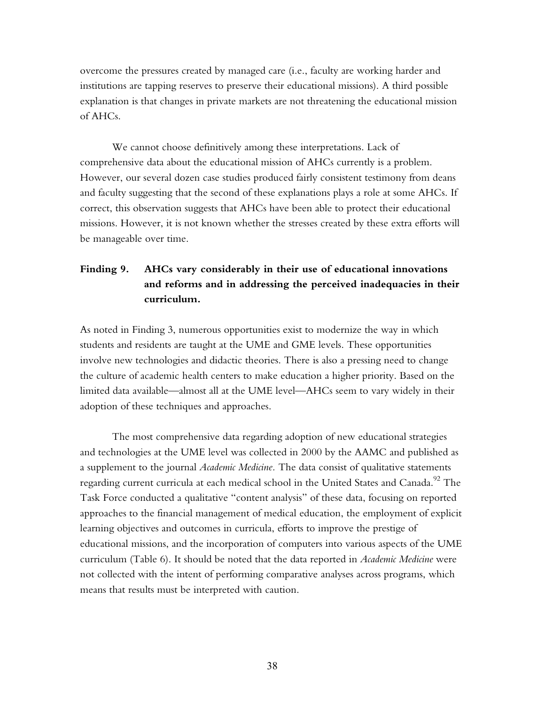overcome the pressures created by managed care (i.e., faculty are working harder and institutions are tapping reserves to preserve their educational missions). A third possible explanation is that changes in private markets are not threatening the educational mission of AHCs.

We cannot choose definitively among these interpretations. Lack of comprehensive data about the educational mission of AHCs currently is a problem. However, our several dozen case studies produced fairly consistent testimony from deans and faculty suggesting that the second of these explanations plays a role at some AHCs. If correct, this observation suggests that AHCs have been able to protect their educational missions. However, it is not known whether the stresses created by these extra efforts will be manageable over time.

# **Finding 9. AHCs vary considerably in their use of educational innovations and reforms and in addressing the perceived inadequacies in their curriculum.**

As noted in Finding 3, numerous opportunities exist to modernize the way in which students and residents are taught at the UME and GME levels. These opportunities involve new technologies and didactic theories. There is also a pressing need to change the culture of academic health centers to make education a higher priority. Based on the limited data available—almost all at the UME level—AHCs seem to vary widely in their adoption of these techniques and approaches.

The most comprehensive data regarding adoption of new educational strategies and technologies at the UME level was collected in 2000 by the AAMC and published as a supplement to the journal *Academic Medicine.* The data consist of qualitative statements regarding current curricula at each medical school in the United States and Canada.<sup>92</sup> The Task Force conducted a qualitative "content analysis" of these data, focusing on reported approaches to the financial management of medical education, the employment of explicit learning objectives and outcomes in curricula, efforts to improve the prestige of educational missions, and the incorporation of computers into various aspects of the UME curriculum (Table 6). It should be noted that the data reported in *Academic Medicine* were not collected with the intent of performing comparative analyses across programs, which means that results must be interpreted with caution.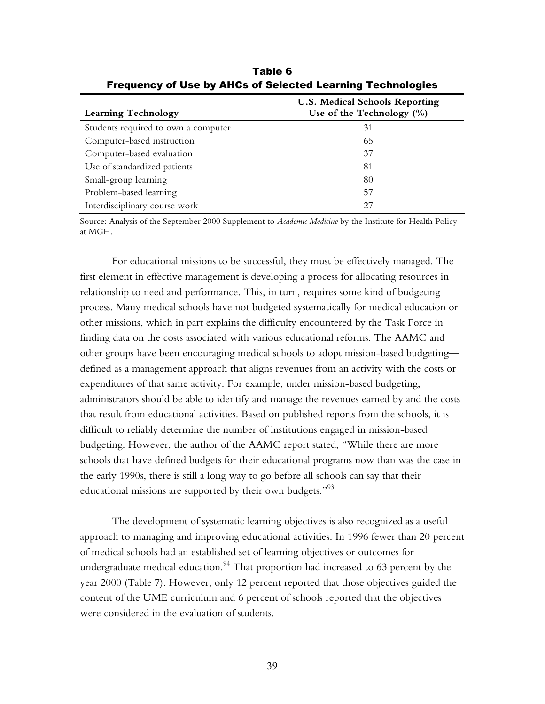| <b>Learning Technology</b>          | <b>U.S. Medical Schools Reporting</b><br>Use of the Technology $(\% )$ |  |
|-------------------------------------|------------------------------------------------------------------------|--|
| Students required to own a computer | 31                                                                     |  |
| Computer-based instruction          | 65                                                                     |  |
| Computer-based evaluation           | 37                                                                     |  |
| Use of standardized patients        | 81                                                                     |  |
| Small-group learning                | 80                                                                     |  |
| Problem-based learning              | 57                                                                     |  |
| Interdisciplinary course work       | 27                                                                     |  |

Table 6 Frequency of Use by AHCs of Selected Learning Technologies

Source: Analysis of the September 2000 Supplement to *Academic Medicine* by the Institute for Health Policy at MGH.

For educational missions to be successful, they must be effectively managed. The first element in effective management is developing a process for allocating resources in relationship to need and performance. This, in turn, requires some kind of budgeting process. Many medical schools have not budgeted systematically for medical education or other missions, which in part explains the difficulty encountered by the Task Force in finding data on the costs associated with various educational reforms. The AAMC and other groups have been encouraging medical schools to adopt mission-based budgeting defined as a management approach that aligns revenues from an activity with the costs or expenditures of that same activity. For example, under mission-based budgeting, administrators should be able to identify and manage the revenues earned by and the costs that result from educational activities. Based on published reports from the schools, it is difficult to reliably determine the number of institutions engaged in mission-based budgeting. However, the author of the AAMC report stated, "While there are more schools that have defined budgets for their educational programs now than was the case in the early 1990s, there is still a long way to go before all schools can say that their educational missions are supported by their own budgets.<sup> $93$ </sup>

The development of systematic learning objectives is also recognized as a useful approach to managing and improving educational activities. In 1996 fewer than 20 percent of medical schools had an established set of learning objectives or outcomes for undergraduate medical education.<sup>94</sup> That proportion had increased to 63 percent by the year 2000 (Table 7). However, only 12 percent reported that those objectives guided the content of the UME curriculum and 6 percent of schools reported that the objectives were considered in the evaluation of students.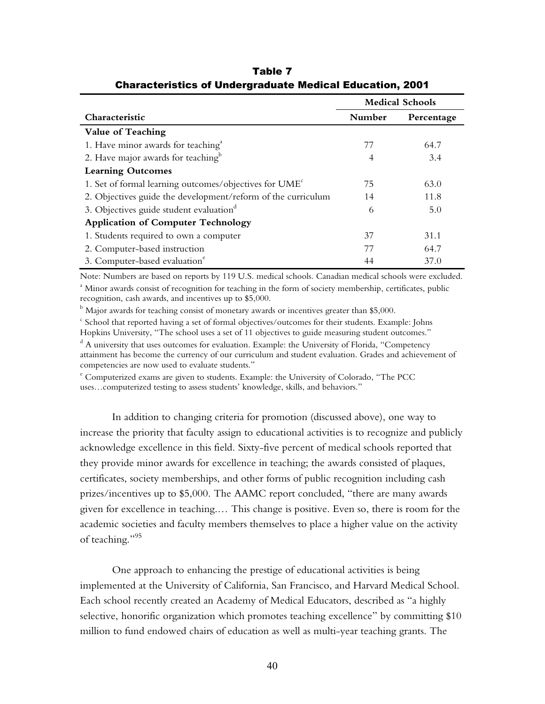|                                                                    | <b>Medical Schools</b> |            |  |
|--------------------------------------------------------------------|------------------------|------------|--|
| Characteristic                                                     | Number                 | Percentage |  |
| <b>Value of Teaching</b>                                           |                        |            |  |
| 1. Have minor awards for teaching <sup>a</sup>                     | 77                     | 64.7       |  |
| 2. Have major awards for teaching <sup>b</sup>                     | 4                      | 3.4        |  |
| <b>Learning Outcomes</b>                                           |                        |            |  |
| 1. Set of formal learning outcomes/objectives for UME <sup>c</sup> | 75                     | 63.0       |  |
| 2. Objectives guide the development/reform of the curriculum       | 14                     | 11.8       |  |
| 3. Objectives guide student evaluation <sup>d</sup>                | 6                      | 5.0        |  |
| <b>Application of Computer Technology</b>                          |                        |            |  |
| 1. Students required to own a computer                             | 37                     | 31.1       |  |
| 2. Computer-based instruction                                      | 77                     | 64.7       |  |
| 3. Computer-based evaluation <sup>e</sup>                          | 44                     | 37.0       |  |

Table 7 Characteristics of Undergraduate Medical Education, 2001

Note: Numbers are based on reports by 119 U.S. medical schools. Canadian medical schools were excluded. <sup>a</sup> Minor awards consist of recognition for teaching in the form of society membership, certificates, public recognition, cash awards, and incentives up to \$5,000.

 $^{\rm b}$  Major awards for teaching consist of monetary awards or incentives greater than \$5,000.<br>Coheal that reported having a set of formal objectives (outcomes for their students. Exam

 $\epsilon$  School that reported having a set of formal objectives/outcomes for their students. Example: Johns Hopkins University, "The school uses a set of 11 objectives to guide measuring student outcomes."

 $^{\text{d}}$  A university that uses outcomes for evaluation. Example: the University of Florida, "Competency attainment has become the currency of our curriculum and student evaluation. Grades and achievement of competencies are now used to evaluate students."

 $\textdegree$  Computerized exams are given to students. Example: the University of Colorado, "The PCC uses...computerized testing to assess students' knowledge, skills, and behaviors."

In addition to changing criteria for promotion (discussed above), one way to increase the priority that faculty assign to educational activities is to recognize and publicly acknowledge excellence in this field. Sixty-five percent of medical schools reported that they provide minor awards for excellence in teaching; the awards consisted of plaques, certificates, society memberships, and other forms of public recognition including cash prizes/incentives up to \$5,000. The AAMC report concluded, "there are many awards given for excellence in teaching.... This change is positive. Even so, there is room for the academic societies and faculty members themselves to place a higher value on the activity of teaching."<sup>95</sup>

One approach to enhancing the prestige of educational activities is being implemented at the University of California, San Francisco, and Harvard Medical School. Each school recently created an Academy of Medical Educators, described as "a highly selective, honorific organization which promotes teaching excellence" by committing \$10 million to fund endowed chairs of education as well as multi-year teaching grants. The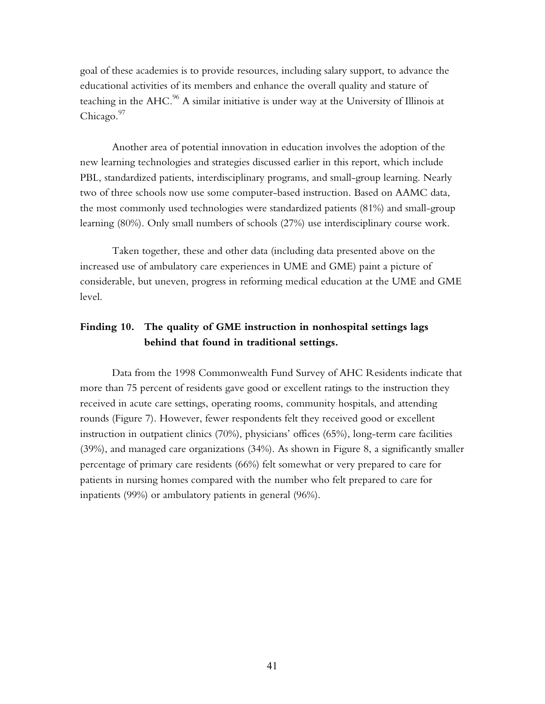goal of these academies is to provide resources, including salary support, to advance the educational activities of its members and enhance the overall quality and stature of teaching in the  $AHC$ .<sup>96</sup> A similar initiative is under way at the University of Illinois at Chicago.<sup>97</sup>

Another area of potential innovation in education involves the adoption of the new learning technologies and strategies discussed earlier in this report, which include PBL, standardized patients, interdisciplinary programs, and small-group learning. Nearly two of three schools now use some computer-based instruction. Based on AAMC data, the most commonly used technologies were standardized patients (81%) and small-group learning (80%). Only small numbers of schools (27%) use interdisciplinary course work.

Taken together, these and other data (including data presented above on the increased use of ambulatory care experiences in UME and GME) paint a picture of considerable, but uneven, progress in reforming medical education at the UME and GME level.

### **Finding 10. The quality of GME instruction in nonhospital settings lags behind that found in traditional settings.**

Data from the 1998 Commonwealth Fund Survey of AHC Residents indicate that more than 75 percent of residents gave good or excellent ratings to the instruction they received in acute care settings, operating rooms, community hospitals, and attending rounds (Figure 7). However, fewer respondents felt they received good or excellent instruction in outpatient clinics (70%), physicians' offices (65%), long-term care facilities (39%), and managed care organizations (34%). As shown in Figure 8, a significantly smaller percentage of primary care residents (66%) felt somewhat or very prepared to care for patients in nursing homes compared with the number who felt prepared to care for inpatients (99%) or ambulatory patients in general (96%).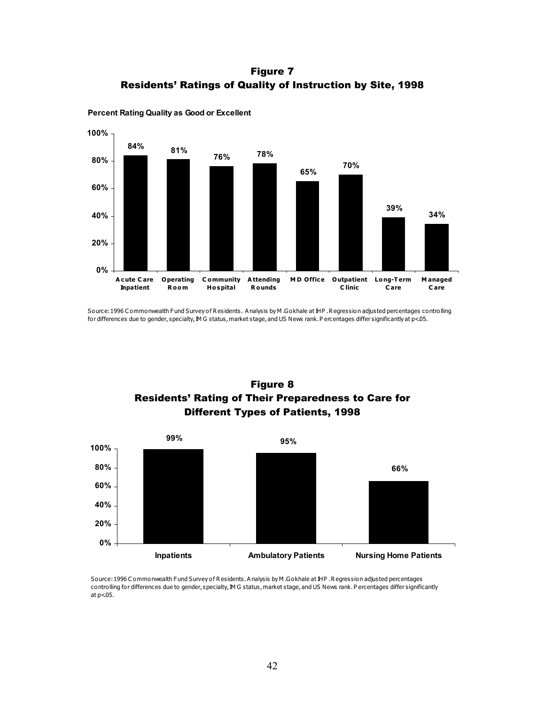Figure 7 Residents' Ratings of Quality of Instruction by Site, 1998



**Percent Rating Quality as Good or Excellent**

Source: 1996 C ommonwealth Fund Survey of Residents. A nalysis by M .Gokhale at IHP . Regression adjusted percentages controlling for differences due to gender, specialty, IM G status, market stage, and US News rank. P ercentages differ significantly at p<05.





Source: 1996 C ommonwealth Fund Survey of Residents. A nalysis by M .Gokhale at IHP . R egression adjusted percentages controlling for differences due to gender, specialty, IM G status, market stage, and US News rank. P ercentages differ significantly at  $p<$ 05.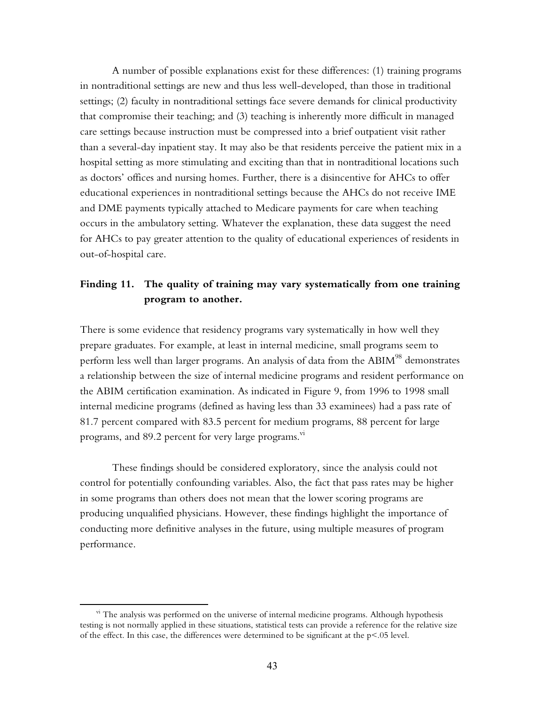A number of possible explanations exist for these differences: (1) training programs in nontraditional settings are new and thus less well-developed, than those in traditional settings; (2) faculty in nontraditional settings face severe demands for clinical productivity that compromise their teaching; and (3) teaching is inherently more difficult in managed care settings because instruction must be compressed into a brief outpatient visit rather than a several-day inpatient stay. It may also be that residents perceive the patient mix in a hospital setting as more stimulating and exciting than that in nontraditional locations such as doctorsí offices and nursing homes. Further, there is a disincentive for AHCs to offer educational experiences in nontraditional settings because the AHCs do not receive IME and DME payments typically attached to Medicare payments for care when teaching occurs in the ambulatory setting. Whatever the explanation, these data suggest the need for AHCs to pay greater attention to the quality of educational experiences of residents in out-of-hospital care.

#### **Finding 11. The quality of training may vary systematically from one training program to another.**

There is some evidence that residency programs vary systematically in how well they prepare graduates. For example, at least in internal medicine, small programs seem to perform less well than larger programs. An analysis of data from the ABIM<sup>98</sup> demonstrates a relationship between the size of internal medicine programs and resident performance on the ABIM certification examination. As indicated in Figure 9, from 1996 to 1998 small internal medicine programs (defined as having less than 33 examinees) had a pass rate of 81.7 percent compared with 83.5 percent for medium programs, 88 percent for large programs, and 89.2 percent for very large programs.<sup>vi</sup>

These findings should be considered exploratory, since the analysis could not control for potentially confounding variables. Also, the fact that pass rates may be higher in some programs than others does not mean that the lower scoring programs are producing unqualified physicians. However, these findings highlight the importance of conducting more definitive analyses in the future, using multiple measures of program performance.

vi The analysis was performed on the universe of internal medicine programs. Although hypothesis testing is not normally applied in these situations, statistical tests can provide a reference for the relative size of the effect. In this case, the differences were determined to be significant at the  $p<0.05$  level.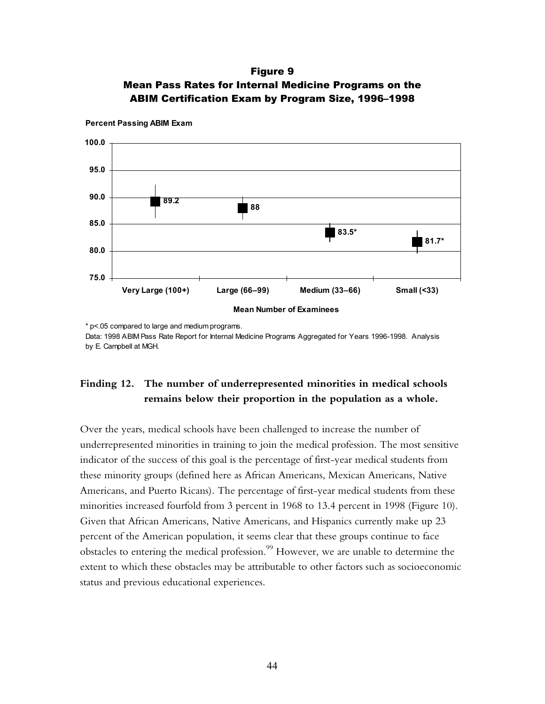### Figure 9 Mean Pass Rates for Internal Medicine Programs on the ABIM Certification Exam by Program Size, 1996-1998



**Percent Passing ABIM Exam**

\* p<.05 compared to large and medium programs. Data: 1998 ABIM Pass Rate Report for Internal Medicine Programs Aggregated for Years 1996-1998. Analysis by E. Campbell at MGH.

# **Finding 12. The number of underrepresented minorities in medical schools remains below their proportion in the population as a whole.**

Over the years, medical schools have been challenged to increase the number of underrepresented minorities in training to join the medical profession. The most sensitive indicator of the success of this goal is the percentage of first-year medical students from these minority groups (defined here as African Americans, Mexican Americans, Native Americans, and Puerto Ricans). The percentage of first-year medical students from these minorities increased fourfold from 3 percent in 1968 to 13.4 percent in 1998 (Figure 10). Given that African Americans, Native Americans, and Hispanics currently make up 23 percent of the American population, it seems clear that these groups continue to face obstacles to entering the medical profession.<sup>99</sup> However, we are unable to determine the extent to which these obstacles may be attributable to other factors such as socioeconomic status and previous educational experiences.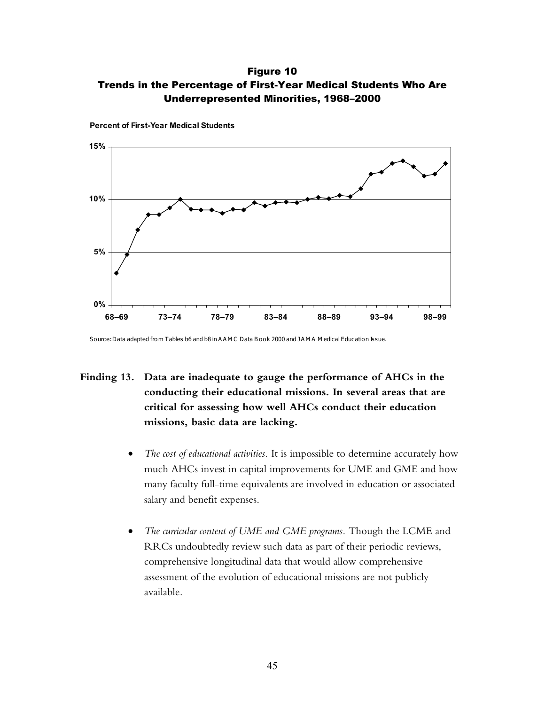Figure 10 Trends in the Percentage of First-Year Medical Students Who Are Underrepresented Minorities, 1968-2000



**Percent of First-Year Medical Students**

Source: Data adapted from Tables b6 and b8 in AAM C Data B ook 2000 and JAMA M edical Education Issue.

# **Finding 13. Data are inadequate to gauge the performance of AHCs in the conducting their educational missions. In several areas that are critical for assessing how well AHCs conduct their education missions, basic data are lacking.**

- *The cost of educational activities.* It is impossible to determine accurately how much AHCs invest in capital improvements for UME and GME and how many faculty full-time equivalents are involved in education or associated salary and benefit expenses.
- *The curricular content of UME and GME programs.* Though the LCME and RRCs undoubtedly review such data as part of their periodic reviews, comprehensive longitudinal data that would allow comprehensive assessment of the evolution of educational missions are not publicly available.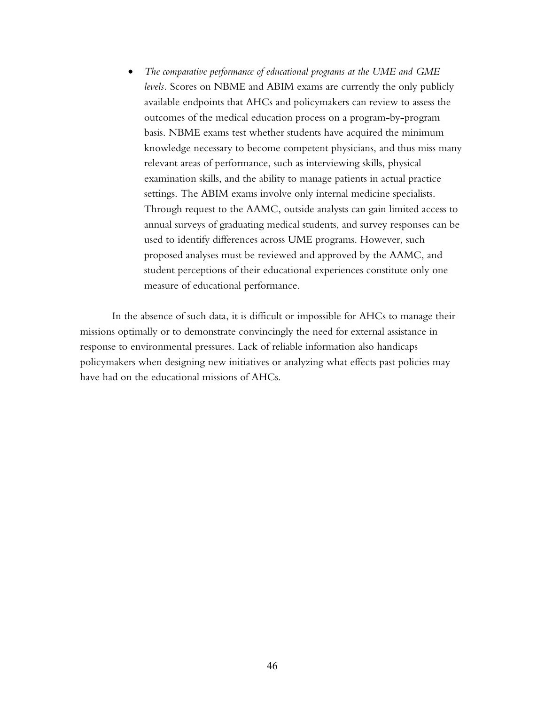• *The comparative performance of educational programs at the UME and GME levels.* Scores on NBME and ABIM exams are currently the only publicly available endpoints that AHCs and policymakers can review to assess the outcomes of the medical education process on a program-by-program basis. NBME exams test whether students have acquired the minimum knowledge necessary to become competent physicians, and thus miss many relevant areas of performance, such as interviewing skills, physical examination skills, and the ability to manage patients in actual practice settings. The ABIM exams involve only internal medicine specialists. Through request to the AAMC, outside analysts can gain limited access to annual surveys of graduating medical students, and survey responses can be used to identify differences across UME programs. However, such proposed analyses must be reviewed and approved by the AAMC, and student perceptions of their educational experiences constitute only one measure of educational performance.

In the absence of such data, it is difficult or impossible for AHCs to manage their missions optimally or to demonstrate convincingly the need for external assistance in response to environmental pressures. Lack of reliable information also handicaps policymakers when designing new initiatives or analyzing what effects past policies may have had on the educational missions of AHCs.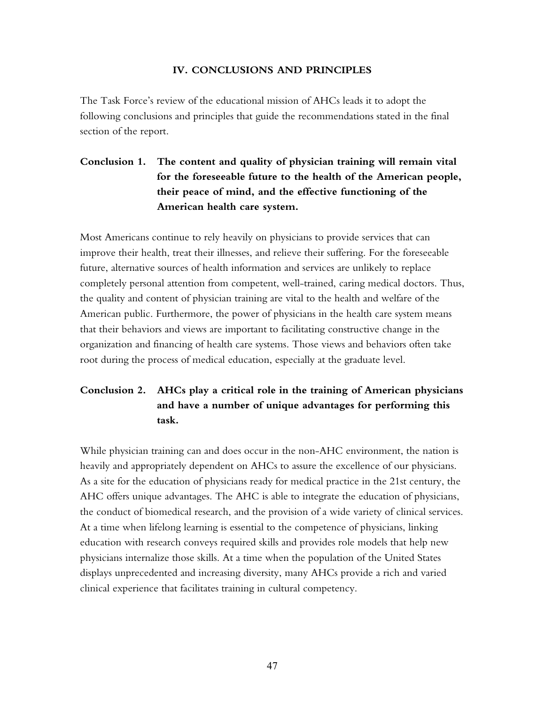#### **IV. CONCLUSIONS AND PRINCIPLES**

The Task Force's review of the educational mission of AHCs leads it to adopt the following conclusions and principles that guide the recommendations stated in the final section of the report.

# **Conclusion 1. The content and quality of physician training will remain vital for the foreseeable future to the health of the American people, their peace of mind, and the effective functioning of the American health care system.**

Most Americans continue to rely heavily on physicians to provide services that can improve their health, treat their illnesses, and relieve their suffering. For the foreseeable future, alternative sources of health information and services are unlikely to replace completely personal attention from competent, well-trained, caring medical doctors. Thus, the quality and content of physician training are vital to the health and welfare of the American public. Furthermore, the power of physicians in the health care system means that their behaviors and views are important to facilitating constructive change in the organization and financing of health care systems. Those views and behaviors often take root during the process of medical education, especially at the graduate level.

# **Conclusion 2. AHCs play a critical role in the training of American physicians and have a number of unique advantages for performing this task.**

While physician training can and does occur in the non-AHC environment, the nation is heavily and appropriately dependent on AHCs to assure the excellence of our physicians. As a site for the education of physicians ready for medical practice in the 21st century, the AHC offers unique advantages. The AHC is able to integrate the education of physicians, the conduct of biomedical research, and the provision of a wide variety of clinical services. At a time when lifelong learning is essential to the competence of physicians, linking education with research conveys required skills and provides role models that help new physicians internalize those skills. At a time when the population of the United States displays unprecedented and increasing diversity, many AHCs provide a rich and varied clinical experience that facilitates training in cultural competency.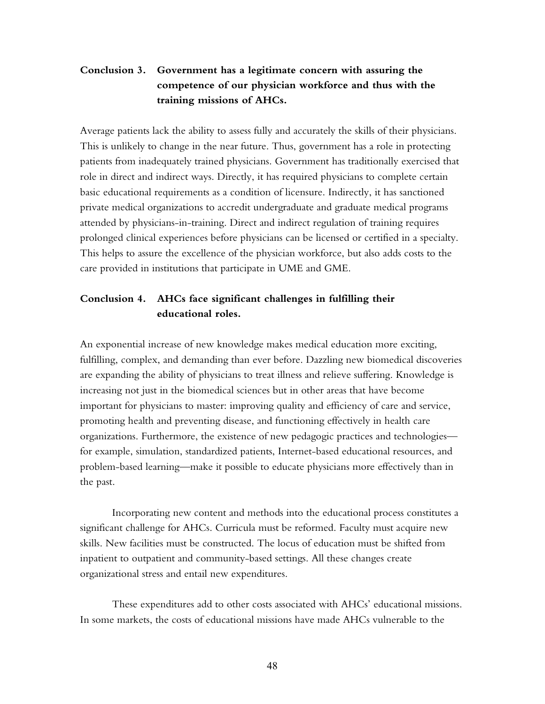## **Conclusion 3. Government has a legitimate concern with assuring the competence of our physician workforce and thus with the training missions of AHCs.**

Average patients lack the ability to assess fully and accurately the skills of their physicians. This is unlikely to change in the near future. Thus, government has a role in protecting patients from inadequately trained physicians. Government has traditionally exercised that role in direct and indirect ways. Directly, it has required physicians to complete certain basic educational requirements as a condition of licensure. Indirectly, it has sanctioned private medical organizations to accredit undergraduate and graduate medical programs attended by physicians-in-training. Direct and indirect regulation of training requires prolonged clinical experiences before physicians can be licensed or certified in a specialty. This helps to assure the excellence of the physician workforce, but also adds costs to the care provided in institutions that participate in UME and GME.

### **Conclusion 4. AHCs face significant challenges in fulfilling their educational roles.**

An exponential increase of new knowledge makes medical education more exciting, fulfilling, complex, and demanding than ever before. Dazzling new biomedical discoveries are expanding the ability of physicians to treat illness and relieve suffering. Knowledge is increasing not just in the biomedical sciences but in other areas that have become important for physicians to master: improving quality and efficiency of care and service, promoting health and preventing disease, and functioning effectively in health care organizations. Furthermore, the existence of new pedagogic practices and technologies for example, simulation, standardized patients, Internet-based educational resources, and problem-based learning—make it possible to educate physicians more effectively than in the past.

Incorporating new content and methods into the educational process constitutes a significant challenge for AHCs. Curricula must be reformed. Faculty must acquire new skills. New facilities must be constructed. The locus of education must be shifted from inpatient to outpatient and community-based settings. All these changes create organizational stress and entail new expenditures.

These expenditures add to other costs associated with AHCs' educational missions. In some markets, the costs of educational missions have made AHCs vulnerable to the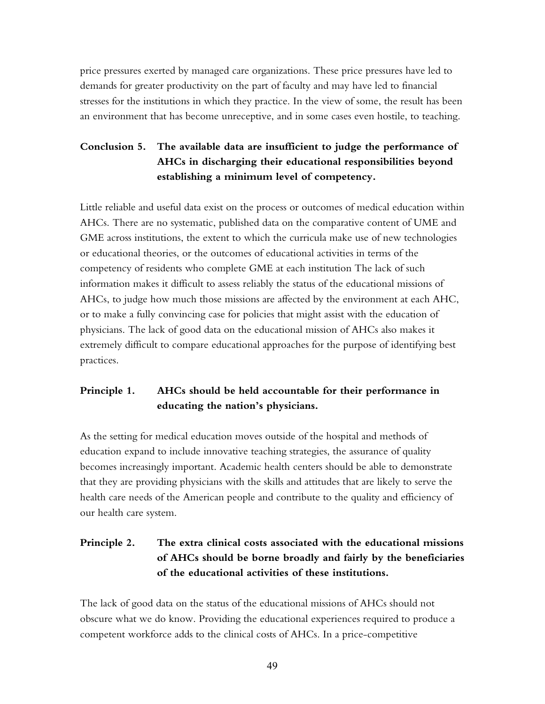price pressures exerted by managed care organizations. These price pressures have led to demands for greater productivity on the part of faculty and may have led to financial stresses for the institutions in which they practice. In the view of some, the result has been an environment that has become unreceptive, and in some cases even hostile, to teaching.

# **Conclusion 5. The available data are insufficient to judge the performance of AHCs in discharging their educational responsibilities beyond establishing a minimum level of competency.**

Little reliable and useful data exist on the process or outcomes of medical education within AHCs. There are no systematic, published data on the comparative content of UME and GME across institutions, the extent to which the curricula make use of new technologies or educational theories, or the outcomes of educational activities in terms of the competency of residents who complete GME at each institution The lack of such information makes it difficult to assess reliably the status of the educational missions of AHCs, to judge how much those missions are affected by the environment at each AHC, or to make a fully convincing case for policies that might assist with the education of physicians. The lack of good data on the educational mission of AHCs also makes it extremely difficult to compare educational approaches for the purpose of identifying best practices.

### **Principle 1. AHCs should be held accountable for their performance in**  educating the nation's physicians.

As the setting for medical education moves outside of the hospital and methods of education expand to include innovative teaching strategies, the assurance of quality becomes increasingly important. Academic health centers should be able to demonstrate that they are providing physicians with the skills and attitudes that are likely to serve the health care needs of the American people and contribute to the quality and efficiency of our health care system.

# **Principle 2. The extra clinical costs associated with the educational missions of AHCs should be borne broadly and fairly by the beneficiaries of the educational activities of these institutions.**

The lack of good data on the status of the educational missions of AHCs should not obscure what we do know. Providing the educational experiences required to produce a competent workforce adds to the clinical costs of AHCs. In a price-competitive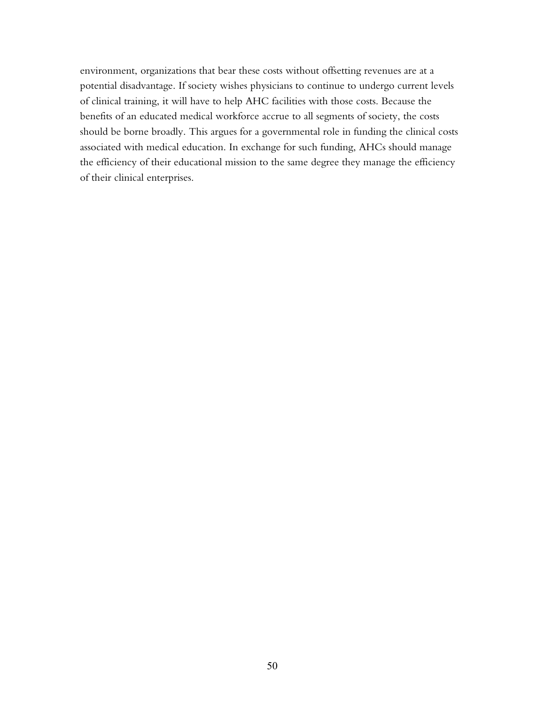environment, organizations that bear these costs without offsetting revenues are at a potential disadvantage. If society wishes physicians to continue to undergo current levels of clinical training, it will have to help AHC facilities with those costs. Because the benefits of an educated medical workforce accrue to all segments of society, the costs should be borne broadly. This argues for a governmental role in funding the clinical costs associated with medical education. In exchange for such funding, AHCs should manage the efficiency of their educational mission to the same degree they manage the efficiency of their clinical enterprises.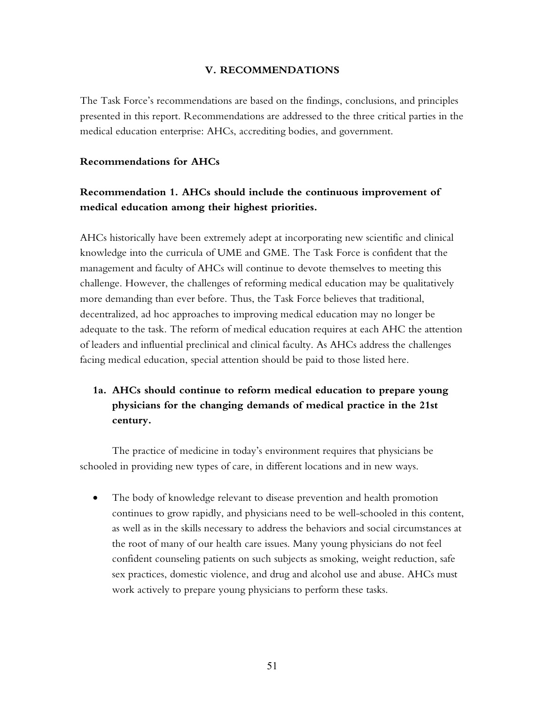#### **V. RECOMMENDATIONS**

The Task Force's recommendations are based on the findings, conclusions, and principles presented in this report. Recommendations are addressed to the three critical parties in the medical education enterprise: AHCs, accrediting bodies, and government.

#### **Recommendations for AHCs**

## **Recommendation 1. AHCs should include the continuous improvement of medical education among their highest priorities.**

AHCs historically have been extremely adept at incorporating new scientific and clinical knowledge into the curricula of UME and GME. The Task Force is confident that the management and faculty of AHCs will continue to devote themselves to meeting this challenge. However, the challenges of reforming medical education may be qualitatively more demanding than ever before. Thus, the Task Force believes that traditional, decentralized, ad hoc approaches to improving medical education may no longer be adequate to the task. The reform of medical education requires at each AHC the attention of leaders and influential preclinical and clinical faculty. As AHCs address the challenges facing medical education, special attention should be paid to those listed here.

# **1a. AHCs should continue to reform medical education to prepare young physicians for the changing demands of medical practice in the 21st century.**

The practice of medicine in today's environment requires that physicians be schooled in providing new types of care, in different locations and in new ways.

• The body of knowledge relevant to disease prevention and health promotion continues to grow rapidly, and physicians need to be well-schooled in this content, as well as in the skills necessary to address the behaviors and social circumstances at the root of many of our health care issues. Many young physicians do not feel confident counseling patients on such subjects as smoking, weight reduction, safe sex practices, domestic violence, and drug and alcohol use and abuse. AHCs must work actively to prepare young physicians to perform these tasks.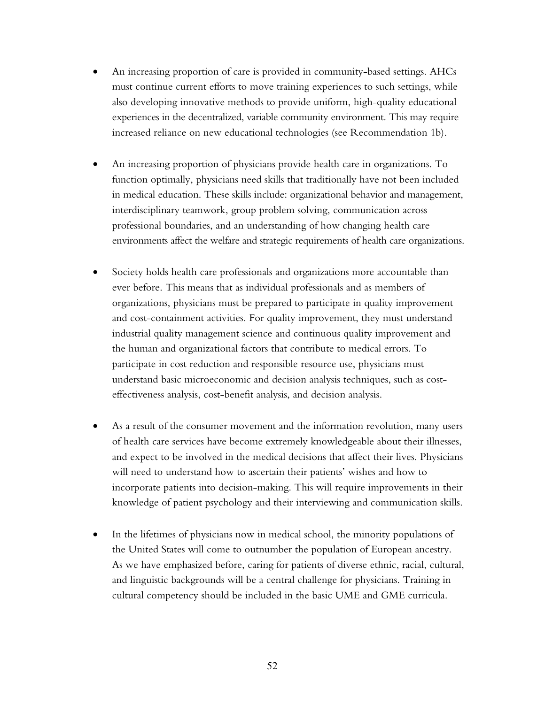- An increasing proportion of care is provided in community-based settings. AHCs must continue current efforts to move training experiences to such settings, while also developing innovative methods to provide uniform, high-quality educational experiences in the decentralized, variable community environment. This may require increased reliance on new educational technologies (see Recommendation 1b).
- An increasing proportion of physicians provide health care in organizations. To function optimally, physicians need skills that traditionally have not been included in medical education. These skills include: organizational behavior and management, interdisciplinary teamwork, group problem solving, communication across professional boundaries, and an understanding of how changing health care environments affect the welfare and strategic requirements of health care organizations.
- Society holds health care professionals and organizations more accountable than ever before. This means that as individual professionals and as members of organizations, physicians must be prepared to participate in quality improvement and cost-containment activities. For quality improvement, they must understand industrial quality management science and continuous quality improvement and the human and organizational factors that contribute to medical errors. To participate in cost reduction and responsible resource use, physicians must understand basic microeconomic and decision analysis techniques, such as costeffectiveness analysis, cost-benefit analysis, and decision analysis.
- As a result of the consumer movement and the information revolution, many users of health care services have become extremely knowledgeable about their illnesses, and expect to be involved in the medical decisions that affect their lives. Physicians will need to understand how to ascertain their patients' wishes and how to incorporate patients into decision-making. This will require improvements in their knowledge of patient psychology and their interviewing and communication skills.
- In the lifetimes of physicians now in medical school, the minority populations of the United States will come to outnumber the population of European ancestry. As we have emphasized before, caring for patients of diverse ethnic, racial, cultural, and linguistic backgrounds will be a central challenge for physicians. Training in cultural competency should be included in the basic UME and GME curricula.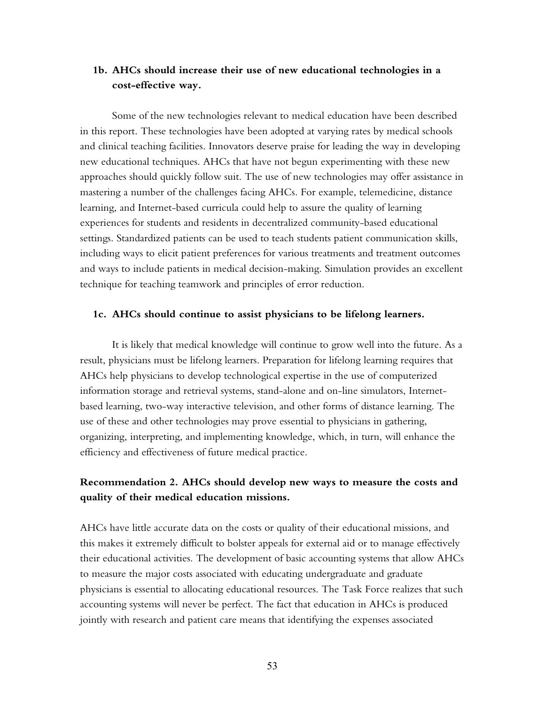### **1b. AHCs should increase their use of new educational technologies in a cost-effective way.**

Some of the new technologies relevant to medical education have been described in this report. These technologies have been adopted at varying rates by medical schools and clinical teaching facilities. Innovators deserve praise for leading the way in developing new educational techniques. AHCs that have not begun experimenting with these new approaches should quickly follow suit. The use of new technologies may offer assistance in mastering a number of the challenges facing AHCs. For example, telemedicine, distance learning, and Internet-based curricula could help to assure the quality of learning experiences for students and residents in decentralized community-based educational settings. Standardized patients can be used to teach students patient communication skills, including ways to elicit patient preferences for various treatments and treatment outcomes and ways to include patients in medical decision-making. Simulation provides an excellent technique for teaching teamwork and principles of error reduction.

#### **1c. AHCs should continue to assist physicians to be lifelong learners.**

It is likely that medical knowledge will continue to grow well into the future. As a result, physicians must be lifelong learners. Preparation for lifelong learning requires that AHCs help physicians to develop technological expertise in the use of computerized information storage and retrieval systems, stand-alone and on-line simulators, Internetbased learning, two-way interactive television, and other forms of distance learning. The use of these and other technologies may prove essential to physicians in gathering, organizing, interpreting, and implementing knowledge, which, in turn, will enhance the efficiency and effectiveness of future medical practice.

#### **Recommendation 2. AHCs should develop new ways to measure the costs and quality of their medical education missions.**

AHCs have little accurate data on the costs or quality of their educational missions, and this makes it extremely difficult to bolster appeals for external aid or to manage effectively their educational activities. The development of basic accounting systems that allow AHCs to measure the major costs associated with educating undergraduate and graduate physicians is essential to allocating educational resources. The Task Force realizes that such accounting systems will never be perfect. The fact that education in AHCs is produced jointly with research and patient care means that identifying the expenses associated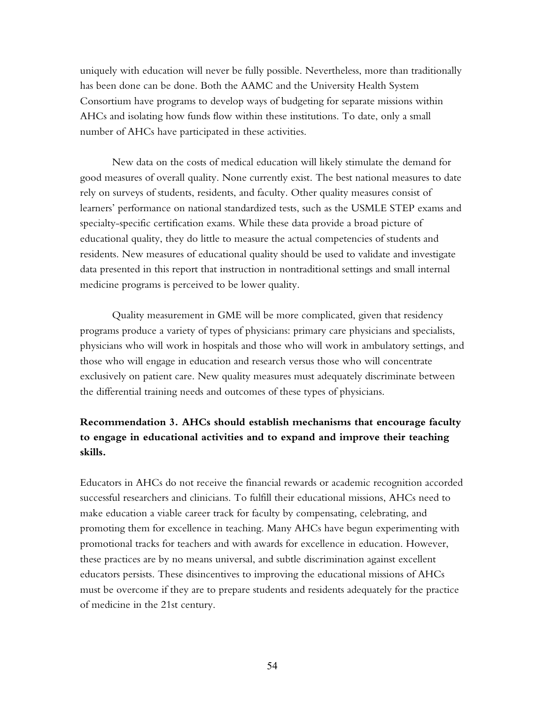uniquely with education will never be fully possible. Nevertheless, more than traditionally has been done can be done. Both the AAMC and the University Health System Consortium have programs to develop ways of budgeting for separate missions within AHCs and isolating how funds flow within these institutions. To date, only a small number of AHCs have participated in these activities.

New data on the costs of medical education will likely stimulate the demand for good measures of overall quality. None currently exist. The best national measures to date rely on surveys of students, residents, and faculty. Other quality measures consist of learnersí performance on national standardized tests, such as the USMLE STEP exams and specialty-specific certification exams. While these data provide a broad picture of educational quality, they do little to measure the actual competencies of students and residents. New measures of educational quality should be used to validate and investigate data presented in this report that instruction in nontraditional settings and small internal medicine programs is perceived to be lower quality.

Quality measurement in GME will be more complicated, given that residency programs produce a variety of types of physicians: primary care physicians and specialists, physicians who will work in hospitals and those who will work in ambulatory settings, and those who will engage in education and research versus those who will concentrate exclusively on patient care. New quality measures must adequately discriminate between the differential training needs and outcomes of these types of physicians.

## **Recommendation 3. AHCs should establish mechanisms that encourage faculty to engage in educational activities and to expand and improve their teaching skills.**

Educators in AHCs do not receive the financial rewards or academic recognition accorded successful researchers and clinicians. To fulfill their educational missions, AHCs need to make education a viable career track for faculty by compensating, celebrating, and promoting them for excellence in teaching. Many AHCs have begun experimenting with promotional tracks for teachers and with awards for excellence in education. However, these practices are by no means universal, and subtle discrimination against excellent educators persists. These disincentives to improving the educational missions of AHCs must be overcome if they are to prepare students and residents adequately for the practice of medicine in the 21st century.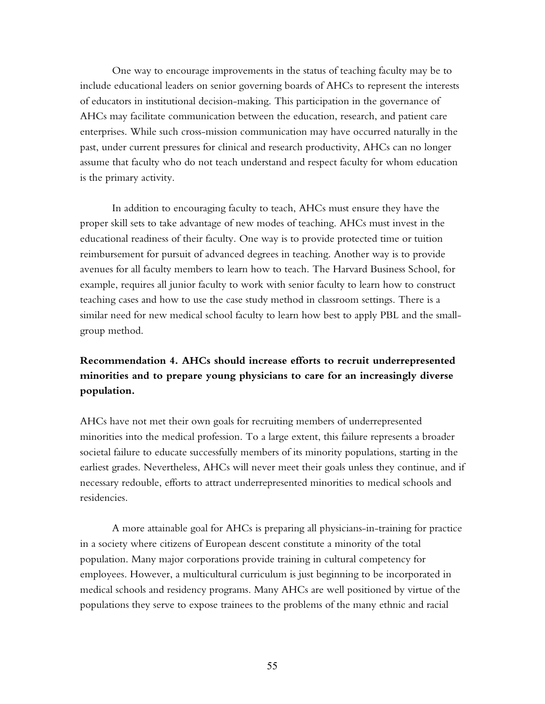One way to encourage improvements in the status of teaching faculty may be to include educational leaders on senior governing boards of AHCs to represent the interests of educators in institutional decision-making. This participation in the governance of AHCs may facilitate communication between the education, research, and patient care enterprises. While such cross-mission communication may have occurred naturally in the past, under current pressures for clinical and research productivity, AHCs can no longer assume that faculty who do not teach understand and respect faculty for whom education is the primary activity.

In addition to encouraging faculty to teach, AHCs must ensure they have the proper skill sets to take advantage of new modes of teaching. AHCs must invest in the educational readiness of their faculty. One way is to provide protected time or tuition reimbursement for pursuit of advanced degrees in teaching. Another way is to provide avenues for all faculty members to learn how to teach. The Harvard Business School, for example, requires all junior faculty to work with senior faculty to learn how to construct teaching cases and how to use the case study method in classroom settings. There is a similar need for new medical school faculty to learn how best to apply PBL and the smallgroup method.

# **Recommendation 4. AHCs should increase efforts to recruit underrepresented minorities and to prepare young physicians to care for an increasingly diverse population.**

AHCs have not met their own goals for recruiting members of underrepresented minorities into the medical profession. To a large extent, this failure represents a broader societal failure to educate successfully members of its minority populations, starting in the earliest grades. Nevertheless, AHCs will never meet their goals unless they continue, and if necessary redouble, efforts to attract underrepresented minorities to medical schools and residencies.

A more attainable goal for AHCs is preparing all physicians-in-training for practice in a society where citizens of European descent constitute a minority of the total population. Many major corporations provide training in cultural competency for employees. However, a multicultural curriculum is just beginning to be incorporated in medical schools and residency programs. Many AHCs are well positioned by virtue of the populations they serve to expose trainees to the problems of the many ethnic and racial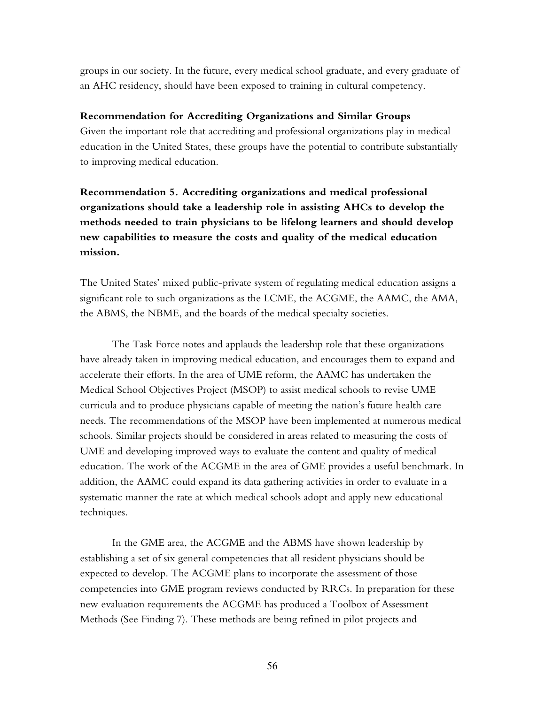groups in our society. In the future, every medical school graduate, and every graduate of an AHC residency, should have been exposed to training in cultural competency.

#### **Recommendation for Accrediting Organizations and Similar Groups**

Given the important role that accrediting and professional organizations play in medical education in the United States, these groups have the potential to contribute substantially to improving medical education.

# **Recommendation 5. Accrediting organizations and medical professional organizations should take a leadership role in assisting AHCs to develop the methods needed to train physicians to be lifelong learners and should develop new capabilities to measure the costs and quality of the medical education mission.**

The United States' mixed public-private system of regulating medical education assigns a significant role to such organizations as the LCME, the ACGME, the AAMC, the AMA, the ABMS, the NBME, and the boards of the medical specialty societies.

The Task Force notes and applauds the leadership role that these organizations have already taken in improving medical education, and encourages them to expand and accelerate their efforts. In the area of UME reform, the AAMC has undertaken the Medical School Objectives Project (MSOP) to assist medical schools to revise UME curricula and to produce physicians capable of meeting the nation's future health care needs. The recommendations of the MSOP have been implemented at numerous medical schools. Similar projects should be considered in areas related to measuring the costs of UME and developing improved ways to evaluate the content and quality of medical education. The work of the ACGME in the area of GME provides a useful benchmark. In addition, the AAMC could expand its data gathering activities in order to evaluate in a systematic manner the rate at which medical schools adopt and apply new educational techniques.

In the GME area, the ACGME and the ABMS have shown leadership by establishing a set of six general competencies that all resident physicians should be expected to develop. The ACGME plans to incorporate the assessment of those competencies into GME program reviews conducted by RRCs. In preparation for these new evaluation requirements the ACGME has produced a Toolbox of Assessment Methods (See Finding 7). These methods are being refined in pilot projects and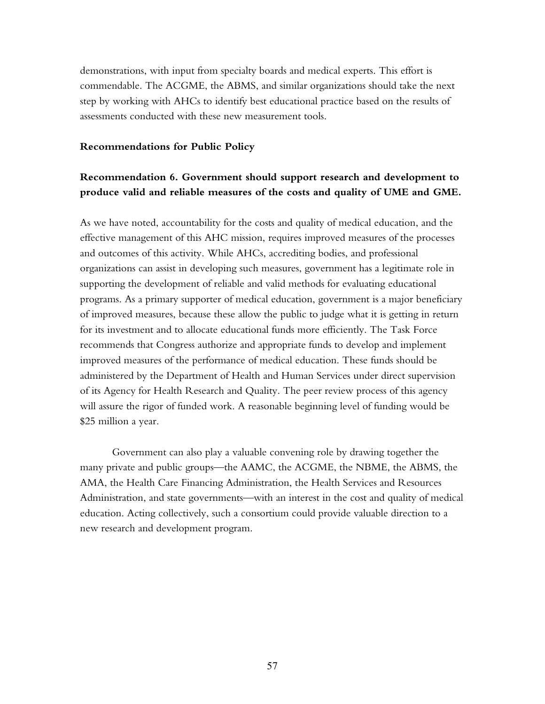demonstrations, with input from specialty boards and medical experts. This effort is commendable. The ACGME, the ABMS, and similar organizations should take the next step by working with AHCs to identify best educational practice based on the results of assessments conducted with these new measurement tools.

#### **Recommendations for Public Policy**

### **Recommendation 6. Government should support research and development to produce valid and reliable measures of the costs and quality of UME and GME.**

As we have noted, accountability for the costs and quality of medical education, and the effective management of this AHC mission, requires improved measures of the processes and outcomes of this activity. While AHCs, accrediting bodies, and professional organizations can assist in developing such measures, government has a legitimate role in supporting the development of reliable and valid methods for evaluating educational programs. As a primary supporter of medical education, government is a major beneficiary of improved measures, because these allow the public to judge what it is getting in return for its investment and to allocate educational funds more efficiently. The Task Force recommends that Congress authorize and appropriate funds to develop and implement improved measures of the performance of medical education. These funds should be administered by the Department of Health and Human Services under direct supervision of its Agency for Health Research and Quality. The peer review process of this agency will assure the rigor of funded work. A reasonable beginning level of funding would be \$25 million a year.

Government can also play a valuable convening role by drawing together the many private and public groups—the AAMC, the ACGME, the NBME, the ABMS, the AMA, the Health Care Financing Administration, the Health Services and Resources Administration, and state governments—with an interest in the cost and quality of medical education. Acting collectively, such a consortium could provide valuable direction to a new research and development program.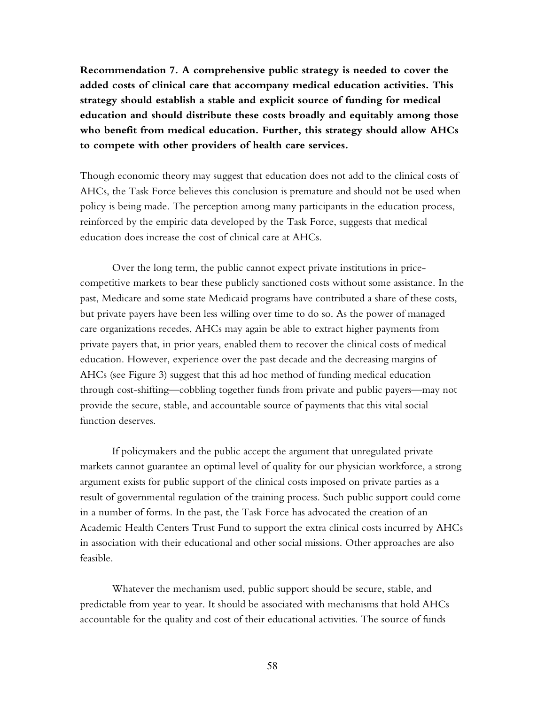**Recommendation 7. A comprehensive public strategy is needed to cover the added costs of clinical care that accompany medical education activities. This strategy should establish a stable and explicit source of funding for medical education and should distribute these costs broadly and equitably among those who benefit from medical education. Further, this strategy should allow AHCs to compete with other providers of health care services.** 

Though economic theory may suggest that education does not add to the clinical costs of AHCs, the Task Force believes this conclusion is premature and should not be used when policy is being made. The perception among many participants in the education process, reinforced by the empiric data developed by the Task Force, suggests that medical education does increase the cost of clinical care at AHCs.

Over the long term, the public cannot expect private institutions in pricecompetitive markets to bear these publicly sanctioned costs without some assistance. In the past, Medicare and some state Medicaid programs have contributed a share of these costs, but private payers have been less willing over time to do so. As the power of managed care organizations recedes, AHCs may again be able to extract higher payments from private payers that, in prior years, enabled them to recover the clinical costs of medical education. However, experience over the past decade and the decreasing margins of AHCs (see Figure 3) suggest that this ad hoc method of funding medical education through cost-shifting—cobbling together funds from private and public payers—may not provide the secure, stable, and accountable source of payments that this vital social function deserves.

If policymakers and the public accept the argument that unregulated private markets cannot guarantee an optimal level of quality for our physician workforce, a strong argument exists for public support of the clinical costs imposed on private parties as a result of governmental regulation of the training process. Such public support could come in a number of forms. In the past, the Task Force has advocated the creation of an Academic Health Centers Trust Fund to support the extra clinical costs incurred by AHCs in association with their educational and other social missions. Other approaches are also feasible.

Whatever the mechanism used, public support should be secure, stable, and predictable from year to year. It should be associated with mechanisms that hold AHCs accountable for the quality and cost of their educational activities. The source of funds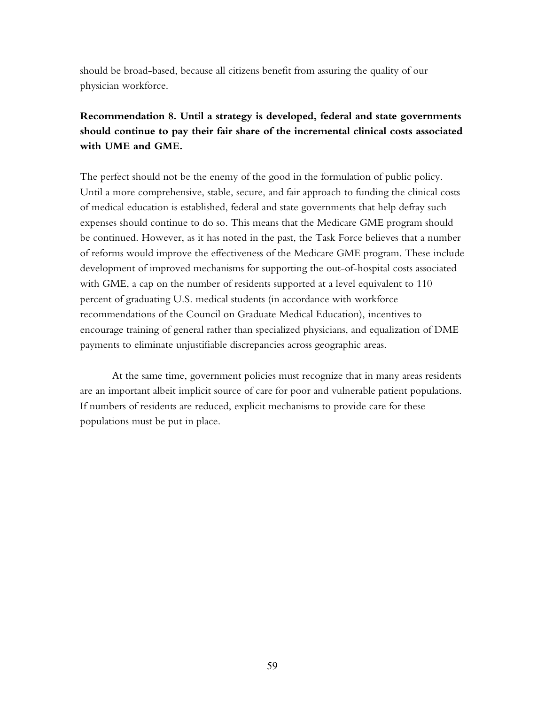should be broad-based, because all citizens benefit from assuring the quality of our physician workforce.

# **Recommendation 8. Until a strategy is developed, federal and state governments should continue to pay their fair share of the incremental clinical costs associated with UME and GME.**

The perfect should not be the enemy of the good in the formulation of public policy. Until a more comprehensive, stable, secure, and fair approach to funding the clinical costs of medical education is established, federal and state governments that help defray such expenses should continue to do so. This means that the Medicare GME program should be continued. However, as it has noted in the past, the Task Force believes that a number of reforms would improve the effectiveness of the Medicare GME program. These include development of improved mechanisms for supporting the out-of-hospital costs associated with GME, a cap on the number of residents supported at a level equivalent to 110 percent of graduating U.S. medical students (in accordance with workforce recommendations of the Council on Graduate Medical Education), incentives to encourage training of general rather than specialized physicians, and equalization of DME payments to eliminate unjustifiable discrepancies across geographic areas.

At the same time, government policies must recognize that in many areas residents are an important albeit implicit source of care for poor and vulnerable patient populations. If numbers of residents are reduced, explicit mechanisms to provide care for these populations must be put in place.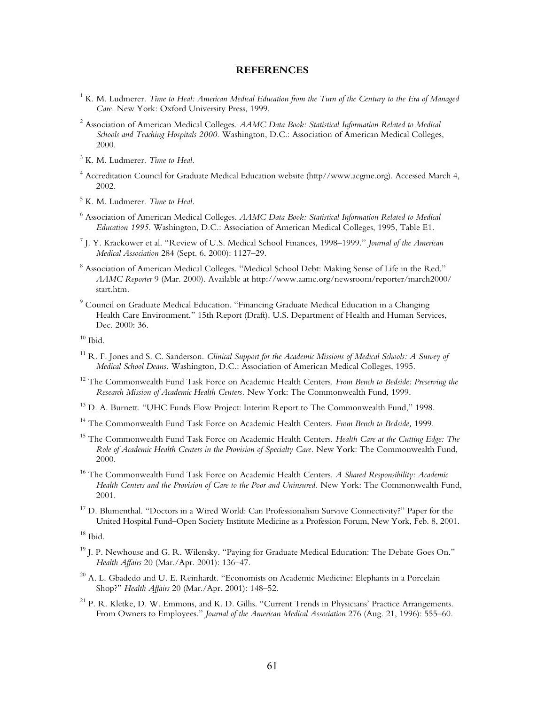#### **REFERENCES**

- <sup>1</sup> K. M. Ludmerer. *Time to Heal: American Medical Education from the Turn of the Century to the Era of Managed Care.* New York: Oxford University Press, 1999.
- <sup>2</sup> Association of American Medical Colleges. *AAMC Data Book: Statistical Information Related to Medical Schools and Teaching Hospitals 2000.* Washington, D.C.: Association of American Medical Colleges, 2000.
- 3 K. M. Ludmerer. *Time to Heal.*
- 4 Accreditation Council for Graduate Medical Education website (http//www.acgme.org). Accessed March 4, 2002.

5 K. M. Ludmerer. *Time to Heal.*

- $^6$  Association of American Medical Colleges. *AAMC Data Book: Statistical Information Related to Medical Education 1995.* Washington, D.C.: Association of American Medical Colleges, 1995, Table E1.
- <sup>7</sup> J. Y. Krackower et al. "Review of U.S. Medical School Finances, 1998–1999." *Journal of the American Medical Association* 284 (Sept. 6, 2000): 1127-29.
- $^8$  Association of American Medical Colleges. "Medical School Debt: Making Sense of Life in the Red." *AAMC Reporter* 9 (Mar. 2000). Available at http://www.aamc.org/newsroom/reporter/march2000/ start.htm.
- $^9$  Council on Graduate Medical Education. "Financing Graduate Medical Education in a Changing Health Care Environment." 15th Report (Draft). U.S. Department of Health and Human Services, Dec. 2000: 36.

 $10$  Ibid.

- <sup>11</sup> R. F. Jones and S. C. Sanderson. *Clinical Support for the Academic Missions of Medical Schools: A Survey of Medical School Deans.* Washington, D.C.: Association of American Medical Colleges, 1995.
- 12 The Commonwealth Fund Task Force on Academic Health Centers. *From Bench to Bedside: Preserving the Research Mission of Academic Health Centers.* New York: The Commonwealth Fund, 1999.
- $13$  D. A. Burnett. "UHC Funds Flow Project: Interim Report to The Commonwealth Fund," 1998.
- 14 The Commonwealth Fund Task Force on Academic Health Centers. *From Bench to Bedside,* 1999.
- 15 The Commonwealth Fund Task Force on Academic Health Centers. *Health Care at the Cutting Edge: The Role of Academic Health Centers in the Provision of Specialty Care.* New York: The Commonwealth Fund, 2000.
- 16 The Commonwealth Fund Task Force on Academic Health Centers. *A Shared Responsibility: Academic Health Centers and the Provision of Care to the Poor and Uninsured.* New York: The Commonwealth Fund, 2001.
- <sup>17</sup> D. Blumenthal. "Doctors in a Wired World: Can Professionalism Survive Connectivity?" Paper for the United Hospital Fund-Open Society Institute Medicine as a Profession Forum, New York, Feb. 8, 2001.

 $18$  Ibid.

- $19$  J. P. Newhouse and G. R. Wilensky. "Paying for Graduate Medical Education: The Debate Goes On." *Health Affairs* 20 (Mar./Apr. 2001): 136-47.
- $^{20}$  A. L. Gbadedo and U. E. Reinhardt. "Economists on Academic Medicine: Elephants in a Porcelain Shop?" *Health Affairs* 20 (Mar./Apr. 2001): 148-52.
- $^{21}$  P. R. Kletke, D. W. Emmons, and K. D. Gillis. "Current Trends in Physicians' Practice Arrangements. From Owners to Employees." *Journal of the American Medical Association* 276 (Aug. 21, 1996): 555–60.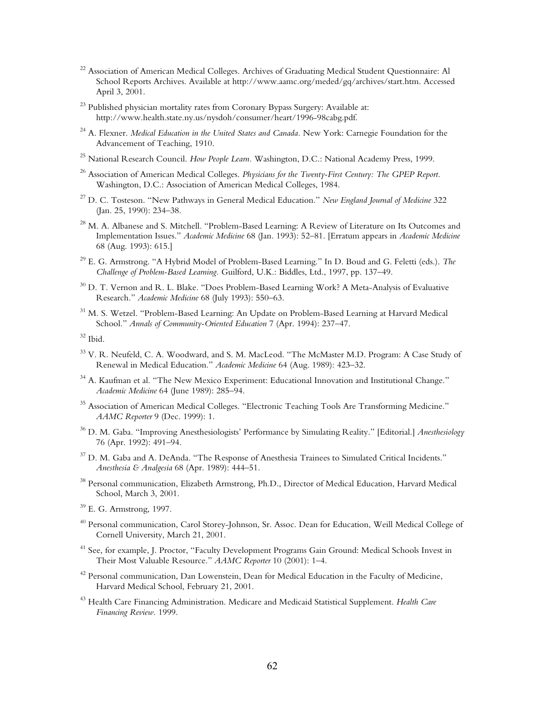- <sup>22</sup> Association of American Medical Colleges. Archives of Graduating Medical Student Questionnaire: Al School Reports Archives. Available at http://www.aamc.org/meded/gq/archives/start.htm. Accessed April 3, 2001.
- <sup>23</sup> Published physician mortality rates from Coronary Bypass Surgery: Available at: http://www.health.state.ny.us/nysdoh/consumer/heart/1996-98cabg.pdf.
- 24 A. Flexner. *Medical Education in the United States and Canada.* New York: Carnegie Foundation for the Advancement of Teaching, 1910.
- 25 National Research Council. *How People Learn.* Washington, D.C.: National Academy Press, 1999.
- 26 Association of American Medical Colleges. *Physicians for the Twenty-First Century: The GPEP Report.* Washington, D.C.: Association of American Medical Colleges, 1984.
- <sup>27</sup> D. C. Tosteson. "New Pathways in General Medical Education." *New England Journal of Medicine* 322 (Jan. 25, 1990): 234-38.
- $^{28}$  M. A. Albanese and S. Mitchell. "Problem-Based Learning: A Review of Literature on Its Outcomes and Implementation Issues." *Academic Medicine* 68 (Jan. 1993): 52–81. [Erratum appears in *Academic Medicine* 68 (Aug. 1993): 615.]
- <sup>29</sup> E. G. Armstrong. "A Hybrid Model of Problem-Based Learning." In D. Boud and G. Feletti (eds.). *The Challenge of Problem-Based Learning.* Guilford, U.K.: Biddles, Ltd., 1997, pp. 137–49.
- $30$  D. T. Vernon and R. L. Blake. "Does Problem-Based Learning Work? A Meta-Analysis of Evaluative Research." *Academic Medicine* 68 (July 1993): 550-63.
- <sup>31</sup> M. S. Wetzel. "Problem-Based Learning: An Update on Problem-Based Learning at Harvard Medical School." Annals of Community-Oriented Education 7 (Apr. 1994): 237-47.

- <sup>33</sup> V. R. Neufeld, C. A. Woodward, and S. M. MacLeod. "The McMaster M.D. Program: A Case Study of Renewal in Medical Education." *Academic Medicine* 64 (Aug. 1989): 423–32.
- $^{34}$  A. Kaufman et al. "The New Mexico Experiment: Educational Innovation and Institutional Change." *Academic Medicine* 64 (June 1989): 285–94.
- <sup>35</sup> Association of American Medical Colleges. "Electronic Teaching Tools Are Transforming Medicine." *AAMC Reporter* 9 (Dec. 1999): 1.
- <sup>36</sup> D. M. Gaba. "Improving Anesthesiologists' Performance by Simulating Reality." [Editorial.] *Anesthesiology* 76 (Apr. 1992): 491-94.
- <sup>37</sup> D. M. Gaba and A. DeAnda. "The Response of Anesthesia Trainees to Simulated Critical Incidents." *Anesthesia & Analgesia* 68 (Apr. 1989): 444-51.
- <sup>38</sup> Personal communication, Elizabeth Armstrong, Ph.D., Director of Medical Education, Harvard Medical School, March 3, 2001.
- $39$  E. G. Armstrong, 1997.
- <sup>40</sup> Personal communication, Carol Storey-Johnson, Sr. Assoc. Dean for Education, Weill Medical College of Cornell University, March 21, 2001.
- <sup>41</sup> See, for example, J. Proctor, "Faculty Development Programs Gain Ground: Medical Schools Invest in Their Most Valuable Resource.<sup>"</sup> *AAMC Reporter* 10 (2001): 1–4.
- <sup>42</sup> Personal communication, Dan Lowenstein, Dean for Medical Education in the Faculty of Medicine, Harvard Medical School, February 21, 2001.
- 43 Health Care Financing Administration. Medicare and Medicaid Statistical Supplement. *Health Care Financing Review.* 1999.

 $32$  Ibid.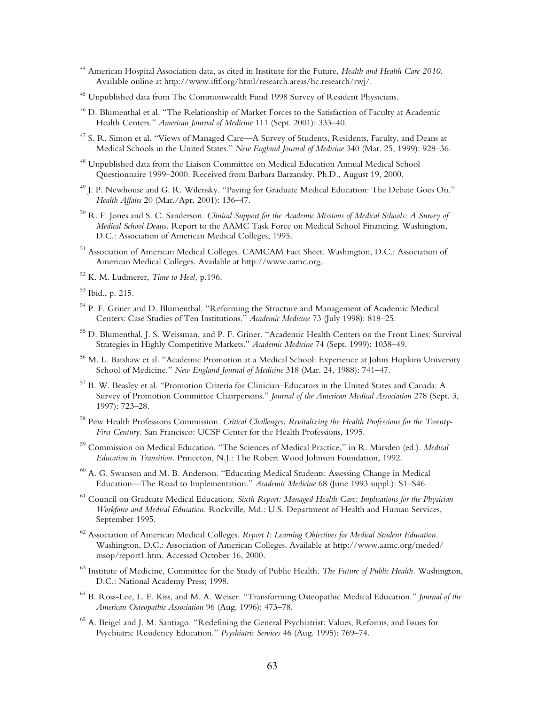- 44 American Hospital Association data, as cited in Institute for the Future, *Health and Health Care 2010*. Available online at http://www.iftf.org/html/research.areas/hc.research/rwj/.
- <sup>45</sup> Unpublished data from The Commonwealth Fund 1998 Survey of Resident Physicians.
- $^{46}$  D. Blumenthal et al. "The Relationship of Market Forces to the Satisfaction of Faculty at Academic Health Centers." *American Journal of Medicine* 111 (Sept. 2001): 333-40.
- $47$  S. R. Simon et al. "Views of Managed Care—A Survey of Students, Residents, Faculty, and Deans at Medical Schools in the United States.<sup>"</sup> *New England Journal of Medicine* 340 (Mar. 25, 1999): 928–36.
- 48 Unpublished data from the Liaison Committee on Medical Education Annual Medical School questionnaire 1999–2000. Received from Barbara Barzansky, Ph.D., August 19, 2000.
- <sup>49</sup> J. P. Newhouse and G. R. Wilensky. "Paying for Graduate Medical Education: The Debate Goes On." *Health Affairs* 20 (Mar./Apr. 2001): 136-47.
- 50 R. F. Jones and S. C. Sanderson. *Clinical Support for the Academic Missions of Medical Schools: A Survey of Medical School Deans.* Report to the AAMC Task Force on Medical School Financing. Washington, D.C.: Association of American Medical Colleges, 1995.
- 51 Association of American Medical Colleges. CAMCAM Fact Sheet. Washington, D.C.: Association of American Medical Colleges. Available at http://www.aamc.org.
- 52 K. M. Ludmerer, *Time to Heal,* p.196.
- 53 Ibid., p. 215.
- $54$  P. F. Griner and D. Blumenthal. "Reforming the Structure and Management of Academic Medical Centers: Case Studies of Ten Institutions.<sup>"</sup> Academic Medicine 73 (July 1998): 818–25.
- 55 D. Blumenthal, J. S. Weissman, and P. F. Griner. "Academic Health Centers on the Front Lines: Survival Strategies in Highly Competitive Markets." Academic Medicine 74 (Sept. 1999): 1038-49.
- <sup>56</sup> M. L. Batshaw et al. "Academic Promotion at a Medical School: Experience at Johns Hopkins University School of Medicine.<sup>"</sup> *New England Journal of Medicine* 318 (Mar. 24, 1988): 741–47.
- 57 B. W. Beasley et al. "Promotion Criteria for Clinician–Educators in the United States and Canada: A Survey of Promotion Committee Chairpersons." Journal of the American Medical Association 278 (Sept. 3, 1997): 723-28.
- 58 Pew Health Professions Commission. *Critical Challenges: Revitalizing the Health Professions for the Twenty-First Century.* San Francisco: UCSF Center for the Health Professions, 1995.
- <sup>59</sup> Commission on Medical Education. "The Sciences of Medical Practice," in R. Marsden (ed.). *Medical Education in Transition.* Princeton, N.J.: The Robert Wood Johnson Foundation, 1992.
- $^{60}$  A. G. Swanson and M. B. Anderson. "Educating Medical Students: Assessing Change in Medical Education—The Road to Implementation.<sup>"</sup> *Academic Medicine* 68 (June 1993 suppl.): S1–S46.
- 61 Council on Graduate Medical Education. *Sixth Report: Managed Health Care: Implications for the Physician Workforce and Medical Education.* Rockville, Md.: U.S. Department of Health and Human Services, September 1995.
- 62 Association of American Medical Colleges. *Report I: Learning Objectives for Medical Student Education.* Washington, D.C.: Association of American Colleges. Available at http://www.aamc.org/meded/ msop/report1.htm. Accessed October 16, 2000.
- 63 Institute of Medicine, Committee for the Study of Public Health. *The Future of Public Health.* Washington, D.C.: National Academy Press; 1998.
- <sup>64</sup> B. Ross-Lee, L. E. Kiss, and M. A. Weiser. "Transforming Osteopathic Medical Education." *Journal of the American Osteopathic Association* 96 (Aug. 1996): 473–78.
- <sup>65</sup> A. Beigel and J. M. Santiago. "Redefining the General Psychiatrist: Values, Reforms, and Issues for Psychiatric Residency Education.<sup>"</sup> *Psychiatric Services* 46 (Aug. 1995): 769–74.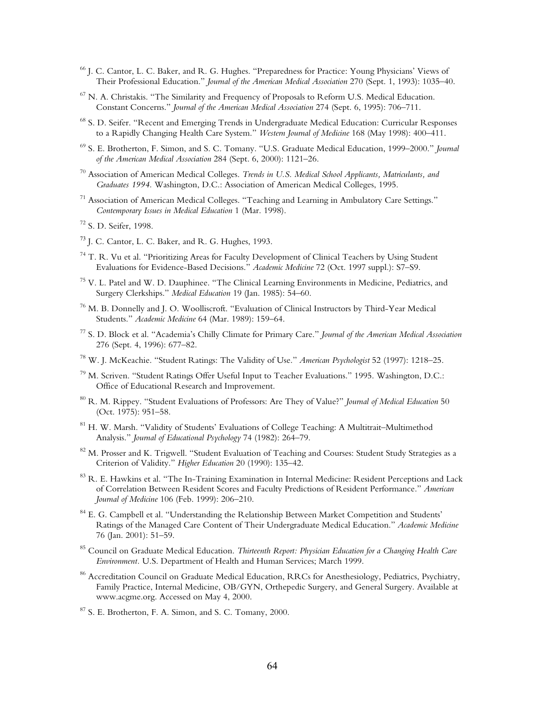- <sup>66</sup> J. C. Cantor, L. C. Baker, and R. G. Hughes. "Preparedness for Practice: Young Physicians' Views of Their Professional Education.<sup>"</sup> *Journal of the American Medical Association* 270 (Sept. 1, 1993): 1035–40.
- $67$  N. A. Christakis. "The Similarity and Frequency of Proposals to Reform U.S. Medical Education. Constant Concerns.<sup>"</sup> *Journal of the American Medical Association* 274 (Sept. 6, 1995): 706–711.
- <sup>68</sup> S. D. Seifer. "Recent and Emerging Trends in Undergraduate Medical Education: Curricular Responses to a Rapidly Changing Health Care System." *Western Journal of Medicine* 168 (May 1998): 400–411.
- <sup>69</sup> S. E. Brotherton, F. Simon, and S. C. Tomany. "U.S. Graduate Medical Education, 1999–2000." *Journal of the American Medical Association* 284 (Sept. 6, 2000): 1121–26.
- 70 Association of American Medical Colleges. *Trends in U.S. Medical School Applicants, Matriculants, and Graduates 1994.* Washington, D.C.: Association of American Medical Colleges, 1995.
- $71$  Association of American Medical Colleges. "Teaching and Learning in Ambulatory Care Settings." *Contemporary Issues in Medical Education* 1 (Mar. 1998).
- 72 S. D. Seifer, 1998.
- <sup>73</sup> J. C. Cantor, L. C. Baker, and R. G. Hughes, 1993.
- $74$  T. R. Vu et al. "Prioritizing Areas for Faculty Development of Clinical Teachers by Using Student Evaluations for Evidence-Based Decisions.<sup>"</sup> *Academic Medicine* 72 (Oct. 1997 suppl.): S7–S9.
- $75$  V. L. Patel and W. D. Dauphinee. "The Clinical Learning Environments in Medicine, Pediatrics, and Surgery Clerkships." *Medical Education* 19 (Jan. 1985): 54–60.
- $76$  M. B. Donnelly and J. O. Woolliscroft. "Evaluation of Clinical Instructors by Third-Year Medical Students." *Academic Medicine* 64 (Mar. 1989): 159-64.
- <sup>77</sup> S. D. Block et al. "Academia's Chilly Climate for Primary Care." *Journal of the American Medical Association* 276 (Sept. 4, 1996): 677-82.
- <sup>78</sup> W. J. McKeachie. "Student Ratings: The Validity of Use." *American Psychologist* 52 (1997): 1218–25.
- <sup>79</sup> M. Scriven. "Student Ratings Offer Useful Input to Teacher Evaluations." 1995. Washington, D.C.: Office of Educational Research and Improvement.
- <sup>80</sup> R. M. Rippey. "Student Evaluations of Professors: Are They of Value?" *Journal of Medical Education* 50  $(Oct. 1975): 951-58.$
- $81$  H. W. Marsh. "Validity of Students' Evaluations of College Teaching: A Multitrait–Multimethod Analysis.<sup>3</sup> *Journal of Educational Psychology* 74 (1982): 264–79.
- $82$  M. Prosser and K. Trigwell. "Student Evaluation of Teaching and Courses: Student Study Strategies as a Criterion of Validity." *Higher Education* 20 (1990): 135-42.
- $^{83}$  R. E. Hawkins et al. "The In-Training Examination in Internal Medicine: Resident Perceptions and Lack of Correlation Between Resident Scores and Faculty Predictions of Resident Performance.î *American Journal of Medicine* 106 (Feb. 1999): 206-210.
- <sup>84</sup> E. G. Campbell et al. "Understanding the Relationship Between Market Competition and Students' Ratings of the Managed Care Content of Their Undergraduate Medical Education.î *Academic Medicine* 76 (Jan. 2001): 51-59.
- 85 Council on Graduate Medical Education. *Thirteenth Report: Physician Education for a Changing Health Care Environment.* U.S. Department of Health and Human Services; March 1999.
- <sup>86</sup> Accreditation Council on Graduate Medical Education, RRCs for Anesthesiology, Pediatrics, Psychiatry, Family Practice, Internal Medicine, OB/GYN, Orthepedic Surgery, and General Surgery. Available at www.acgme.org. Accessed on May 4, 2000.
- 87 S. E. Brotherton, F. A. Simon, and S. C. Tomany, 2000.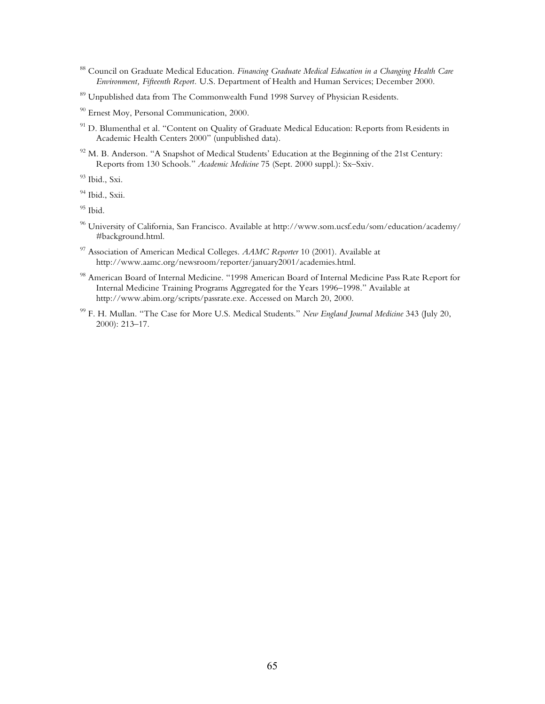- 88 Council on Graduate Medical Education. *Financing Graduate Medical Education in a Changing Health Care Environment, Fifteenth Report.* U.S. Department of Health and Human Services; December 2000.
- 89 Unpublished data from The Commonwealth Fund 1998 Survey of Physician Residents.
- <sup>90</sup> Ernest Moy, Personal Communication, 2000.
- <sup>91</sup> D. Blumenthal et al. "Content on Quality of Graduate Medical Education: Reports from Residents in Academic Health Centers 2000" (unpublished data).
- $^{92}$  M. B. Anderson. "A Snapshot of Medical Students' Education at the Beginning of the 21st Century: Reports from 130 Schools." *Academic Medicine* 75 (Sept. 2000 suppl.): Sx-Sxiv.
- 93 Ibid., Sxi.
- <sup>94</sup> Ibid., Sxii.
- $95$  Ibid.
- 96 University of California, San Francisco. Available at http://www.som.ucsf.edu/som/education/academy/ #background.html.
- 97 Association of American Medical Colleges. *AAMC Reporter* 10 (2001). Available at http://www.aamc.org/newsroom/reporter/january2001/academies.html.
- <sup>98</sup> American Board of Internal Medicine. "1998 American Board of Internal Medicine Pass Rate Report for Internal Medicine Training Programs Aggregated for the Years 1996-1998." Available at http://www.abim.org/scripts/passrate.exe. Accessed on March 20, 2000.
- <sup>99</sup> F. H. Mullan. "The Case for More U.S. Medical Students." *New England Journal Medicine* 343 (July 20,  $2000$ :  $213-17$ .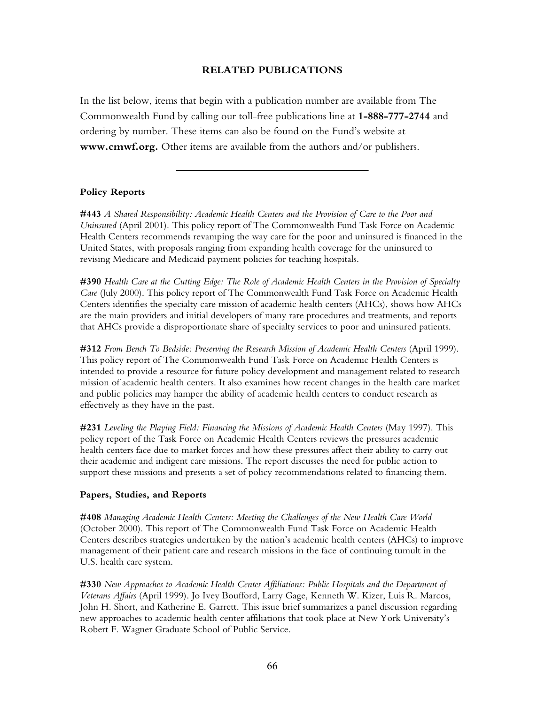## **RELATED PUBLICATIONS**

In the list below, items that begin with a publication number are available from The Commonwealth Fund by calling our toll-free publications line at **1-888-777-2744** and ordering by number. These items can also be found on the Fund's website at **www.cmwf.org.** Other items are available from the authors and/or publishers.

## **Policy Reports**

**#443** *A Shared Responsibility: Academic Health Centers and the Provision of Care to the Poor and Uninsured* (April 2001). This policy report of The Commonwealth Fund Task Force on Academic Health Centers recommends revamping the way care for the poor and uninsured is financed in the United States, with proposals ranging from expanding health coverage for the uninsured to revising Medicare and Medicaid payment policies for teaching hospitals.

**#390** *Health Care at the Cutting Edge: The Role of Academic Health Centers in the Provision of Specialty Care* (July 2000). This policy report of The Commonwealth Fund Task Force on Academic Health Centers identifies the specialty care mission of academic health centers (AHCs), shows how AHCs are the main providers and initial developers of many rare procedures and treatments, and reports that AHCs provide a disproportionate share of specialty services to poor and uninsured patients.

**#312** *From Bench To Bedside: Preserving the Research Mission of Academic Health Centers* (April 1999). This policy report of The Commonwealth Fund Task Force on Academic Health Centers is intended to provide a resource for future policy development and management related to research mission of academic health centers. It also examines how recent changes in the health care market and public policies may hamper the ability of academic health centers to conduct research as effectively as they have in the past.

**#231** *Leveling the Playing Field: Financing the Missions of Academic Health Centers* (May 1997). This policy report of the Task Force on Academic Health Centers reviews the pressures academic health centers face due to market forces and how these pressures affect their ability to carry out their academic and indigent care missions. The report discusses the need for public action to support these missions and presents a set of policy recommendations related to financing them.

#### **Papers, Studies, and Reports**

**#408** *Managing Academic Health Centers: Meeting the Challenges of the New Health Care World* (October 2000). This report of The Commonwealth Fund Task Force on Academic Health Centers describes strategies undertaken by the nation's academic health centers (AHCs) to improve management of their patient care and research missions in the face of continuing tumult in the U.S. health care system.

**#330** *New Approaches to Academic Health Center Affiliations: Public Hospitals and the Department of Veterans Affairs* (April 1999). Jo Ivey Boufford, Larry Gage, Kenneth W. Kizer, Luis R. Marcos, John H. Short, and Katherine E. Garrett. This issue brief summarizes a panel discussion regarding new approaches to academic health center affiliations that took place at New York Universityís Robert F. Wagner Graduate School of Public Service.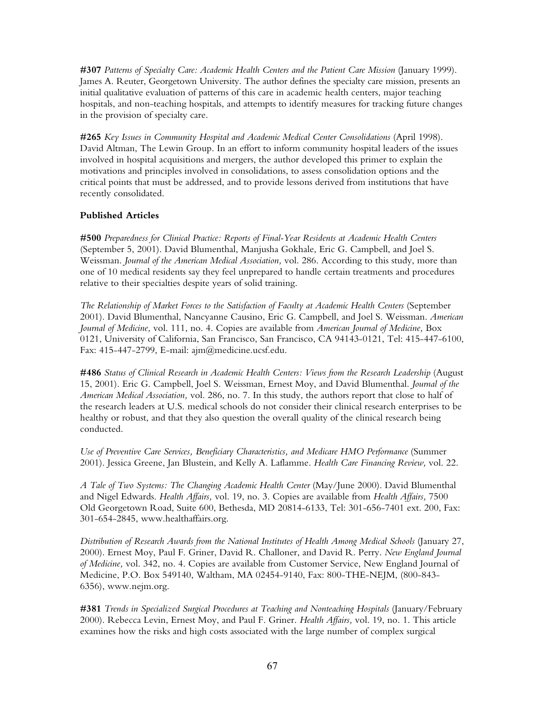**#307** *Patterns of Specialty Care: Academic Health Centers and the Patient Care Mission* (January 1999). James A. Reuter, Georgetown University. The author defines the specialty care mission, presents an initial qualitative evaluation of patterns of this care in academic health centers, major teaching hospitals, and non-teaching hospitals, and attempts to identify measures for tracking future changes in the provision of specialty care.

**#265** *Key Issues in Community Hospital and Academic Medical Center Consolidations* (April 1998). David Altman, The Lewin Group. In an effort to inform community hospital leaders of the issues involved in hospital acquisitions and mergers, the author developed this primer to explain the motivations and principles involved in consolidations, to assess consolidation options and the critical points that must be addressed, and to provide lessons derived from institutions that have recently consolidated.

# **Published Articles**

**#500** *Preparedness for Clinical Practice: Reports of Final-Year Residents at Academic Health Centers* (September 5, 2001). David Blumenthal, Manjusha Gokhale, Eric G. Campbell, and Joel S. Weissman. *Journal of the American Medical Association,* vol. 286. According to this study, more than one of 10 medical residents say they feel unprepared to handle certain treatments and procedures relative to their specialties despite years of solid training.

*The Relationship of Market Forces to the Satisfaction of Faculty at Academic Health Centers* (September 2001). David Blumenthal, Nancyanne Causino, Eric G. Campbell, and Joel S. Weissman. *American Journal of Medicine,* vol. 111, no. 4. Copies are available from *American Journal of Medicine,* Box 0121, University of California, San Francisco, San Francisco, CA 94143-0121, Tel: 415-447-6100, Fax: 415-447-2799, E-mail: ajm@medicine.ucsf.edu.

**#486** *Status of Clinical Research in Academic Health Centers: Views from the Research Leadership* (August 15, 2001). Eric G. Campbell, Joel S. Weissman, Ernest Moy, and David Blumenthal. *Journal of the American Medical Association,* vol. 286, no. 7. In this study, the authors report that close to half of the research leaders at U.S. medical schools do not consider their clinical research enterprises to be healthy or robust, and that they also question the overall quality of the clinical research being conducted.

*Use of Preventive Care Services, Beneficiary Characteristics, and Medicare HMO Performance* (Summer 2001). Jessica Greene, Jan Blustein, and Kelly A. Laflamme. *Health Care Financing Review,* vol. 22.

*A Tale of Two Systems: The Changing Academic Health Center* (May/June 2000). David Blumenthal and Nigel Edwards. *Health Affairs,* vol. 19, no. 3. Copies are available from *Health Affairs,* 7500 Old Georgetown Road, Suite 600, Bethesda, MD 20814-6133, Tel: 301-656-7401 ext. 200, Fax: 301-654-2845, www.healthaffairs.org.

*Distribution of Research Awards from the National Institutes of Health Among Medical Schools* (January 27, 2000). Ernest Moy, Paul F. Griner, David R. Challoner, and David R. Perry. *New England Journal of Medicine,* vol. 342, no. 4. Copies are available from Customer Service, New England Journal of Medicine, P.O. Box 549140, Waltham, MA 02454-9140, Fax: 800-THE-NEJM, (800-843- 6356), www.nejm.org.

**#381** *Trends in Specialized Surgical Procedures at Teaching and Nonteaching Hospitals* (January/February 2000). Rebecca Levin, Ernest Moy, and Paul F. Griner. *Health Affairs,* vol. 19, no. 1. This article examines how the risks and high costs associated with the large number of complex surgical